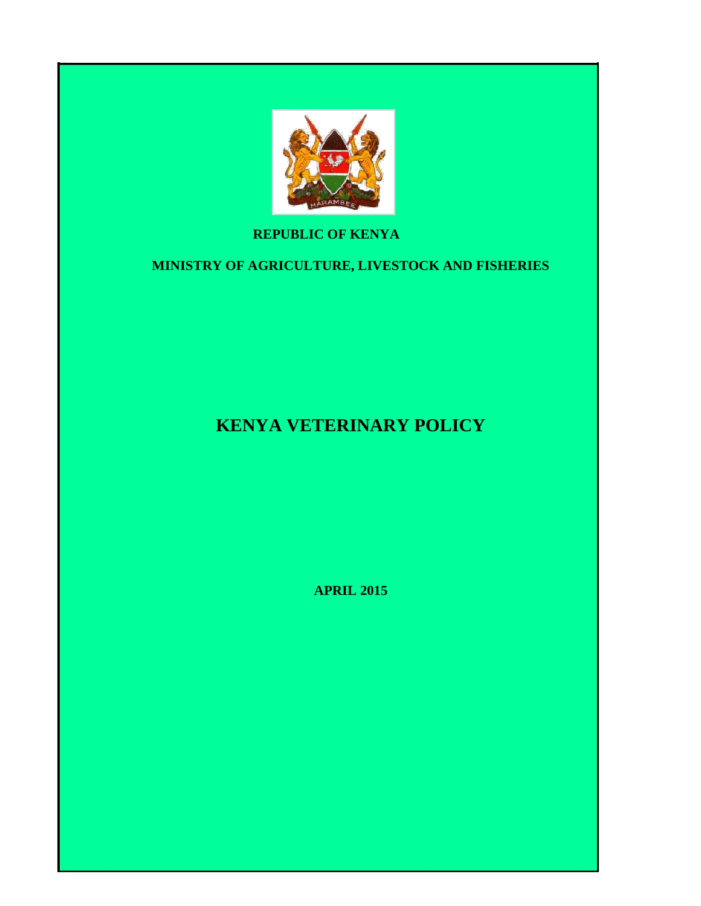

# **REPUBLIC OF KENYA**

# **MINISTRY OF AGRICULTURE, LIVESTOCK AND FISHERIES**

# **KENYA VETERINARY POLICY**

**APRIL 2015**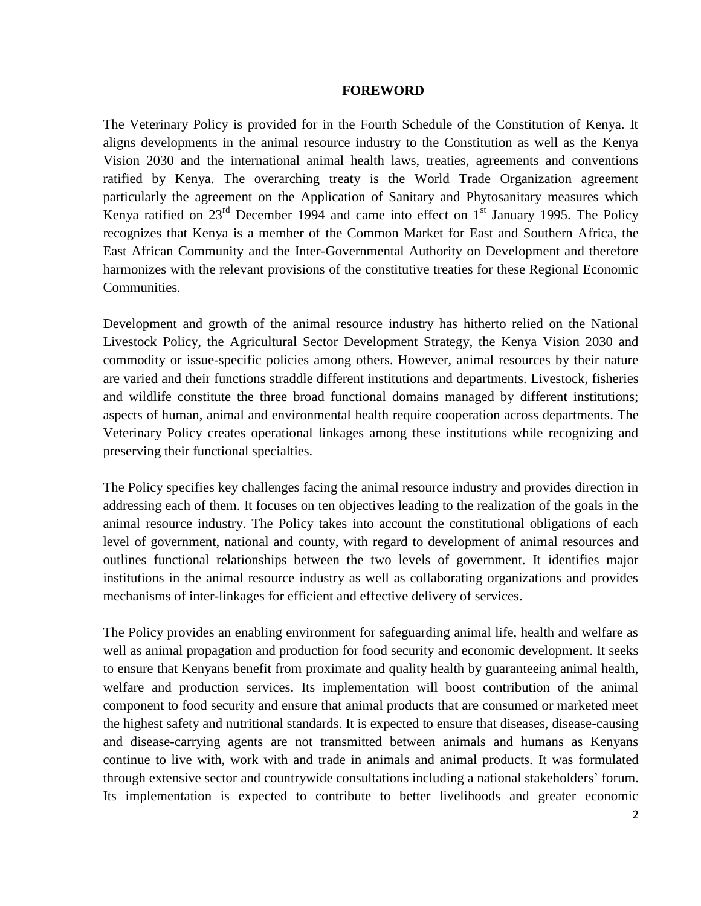#### **FOREWORD**

<span id="page-1-0"></span>The Veterinary Policy is provided for in the Fourth Schedule of the Constitution of Kenya. It aligns developments in the animal resource industry to the Constitution as well as the Kenya Vision 2030 and the international animal health laws, treaties, agreements and conventions ratified by Kenya. The overarching treaty is the World Trade Organization agreement particularly the agreement on the Application of Sanitary and Phytosanitary measures which Kenya ratified on  $23<sup>rd</sup>$  December 1994 and came into effect on  $1<sup>st</sup>$  January 1995. The Policy recognizes that Kenya is a member of the Common Market for East and Southern Africa, the East African Community and the Inter-Governmental Authority on Development and therefore harmonizes with the relevant provisions of the constitutive treaties for these Regional Economic Communities.

Development and growth of the animal resource industry has hitherto relied on the National Livestock Policy, the Agricultural Sector Development Strategy, the Kenya Vision 2030 and commodity or issue-specific policies among others. However, animal resources by their nature are varied and their functions straddle different institutions and departments. Livestock, fisheries and wildlife constitute the three broad functional domains managed by different institutions; aspects of human, animal and environmental health require cooperation across departments. The Veterinary Policy creates operational linkages among these institutions while recognizing and preserving their functional specialties.

The Policy specifies key challenges facing the animal resource industry and provides direction in addressing each of them. It focuses on ten objectives leading to the realization of the goals in the animal resource industry. The Policy takes into account the constitutional obligations of each level of government, national and county, with regard to development of animal resources and outlines functional relationships between the two levels of government. It identifies major institutions in the animal resource industry as well as collaborating organizations and provides mechanisms of inter-linkages for efficient and effective delivery of services.

The Policy provides an enabling environment for safeguarding animal life, health and welfare as well as animal propagation and production for food security and economic development. It seeks to ensure that Kenyans benefit from proximate and quality health by guaranteeing animal health, welfare and production services. Its implementation will boost contribution of the animal component to food security and ensure that animal products that are consumed or marketed meet the highest safety and nutritional standards. It is expected to ensure that diseases, disease-causing and disease-carrying agents are not transmitted between animals and humans as Kenyans continue to live with, work with and trade in animals and animal products. It was formulated through extensive sector and countrywide consultations including a national stakeholders' forum. Its implementation is expected to contribute to better livelihoods and greater economic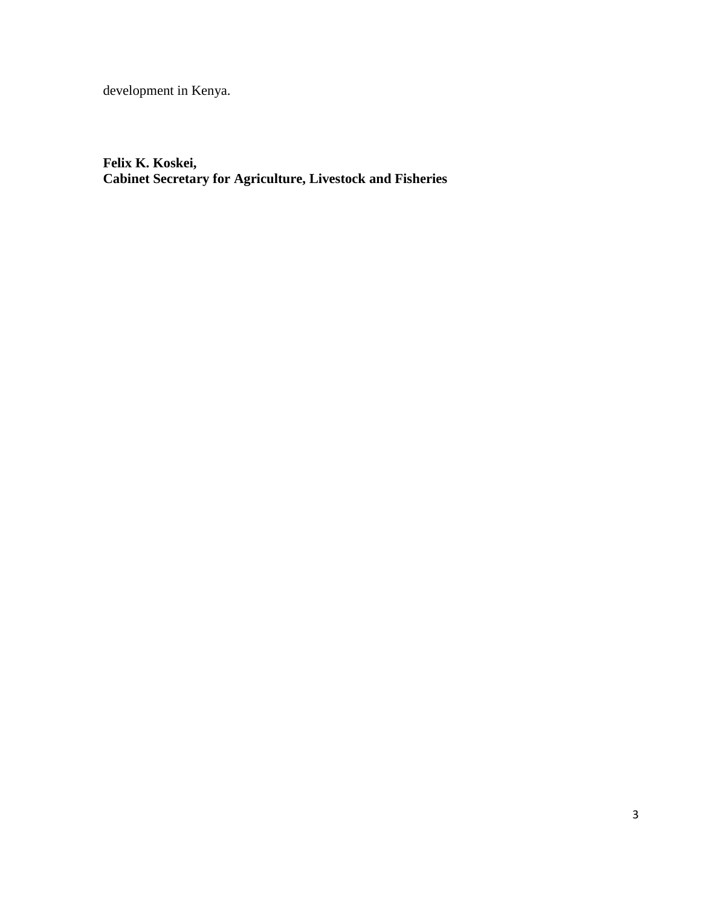development in Kenya.

**Felix K. Koskei, Cabinet Secretary for Agriculture, Livestock and Fisheries**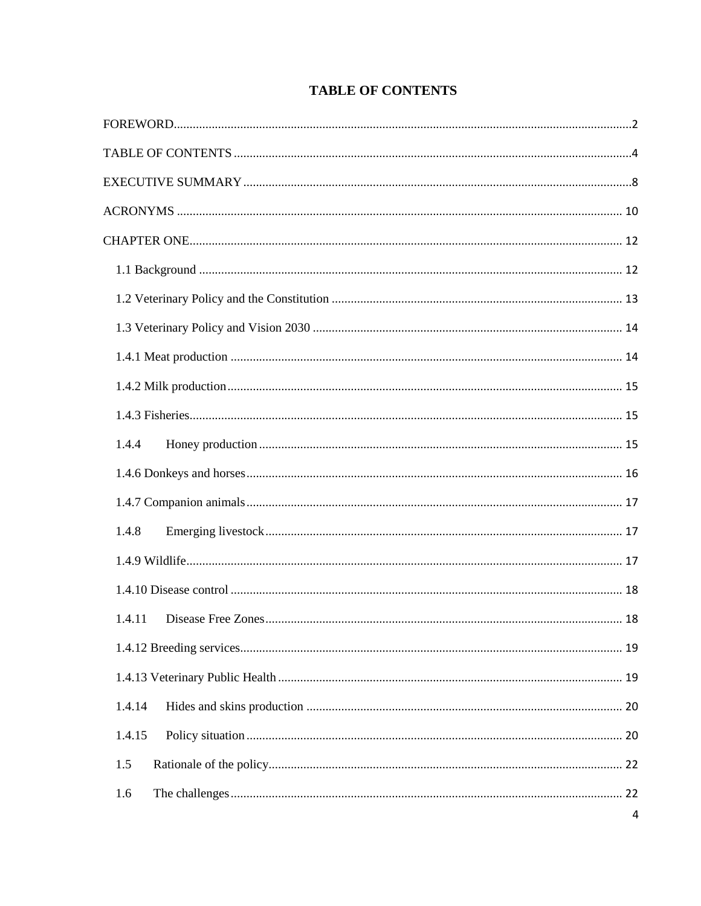| <b>TABLE OF CONTENTS</b> |  |
|--------------------------|--|
|--------------------------|--|

<span id="page-3-0"></span>

| 1.4.4  |   |
|--------|---|
|        |   |
|        |   |
| 1.4.8  |   |
|        |   |
|        |   |
| 1.4.11 |   |
|        |   |
|        |   |
| 1.4.14 |   |
| 1.4.15 |   |
| 1.5    |   |
| 1.6    |   |
|        | 4 |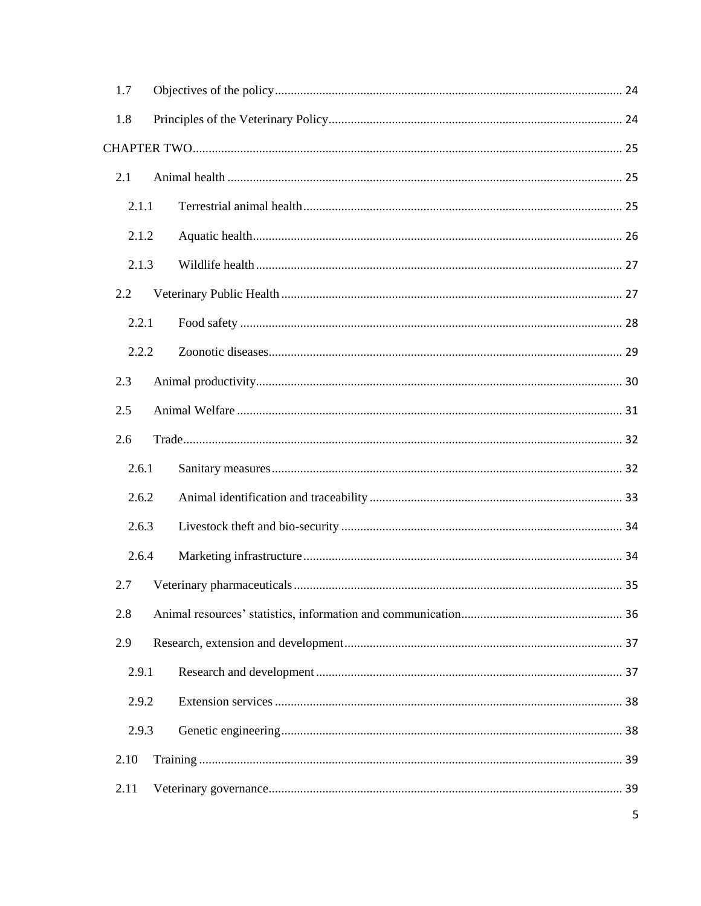| 1.7   |  |   |
|-------|--|---|
| 1.8   |  |   |
|       |  |   |
| 2.1   |  |   |
| 2.1.1 |  |   |
| 2.1.2 |  |   |
| 2.1.3 |  |   |
| 2.2   |  |   |
| 2.2.1 |  |   |
| 2.2.2 |  |   |
| 2.3   |  |   |
| 2.5   |  |   |
| 2.6   |  |   |
| 2.6.1 |  |   |
| 2.6.2 |  |   |
| 2.6.3 |  |   |
| 2.6.4 |  |   |
| 2.7   |  |   |
| 2.8   |  |   |
| 2.9   |  |   |
| 2.9.1 |  |   |
| 2.9.2 |  |   |
| 2.9.3 |  |   |
| 2.10  |  |   |
| 2.11  |  |   |
|       |  | 5 |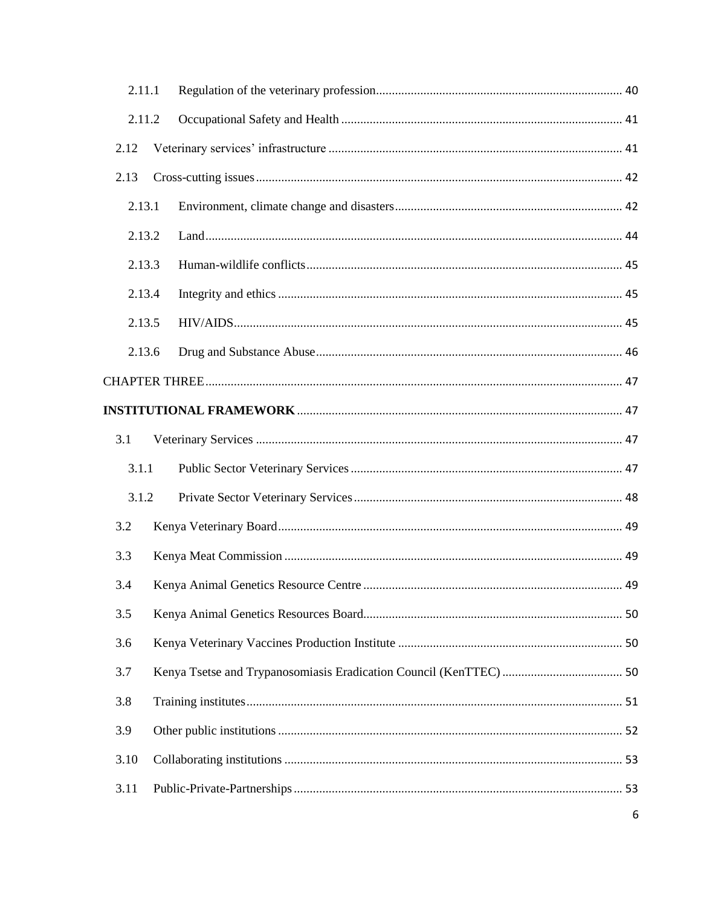|        | 2.11.1 |    |  |  |
|--------|--------|----|--|--|
|        | 2.11.2 |    |  |  |
| 2.12   |        |    |  |  |
| 2.13   |        |    |  |  |
| 2.13.1 |        |    |  |  |
| 2.13.2 |        |    |  |  |
|        | 2.13.3 |    |  |  |
| 2.13.4 |        |    |  |  |
| 2.13.5 |        |    |  |  |
| 2.13.6 |        |    |  |  |
|        |        |    |  |  |
|        |        |    |  |  |
| 3.1    |        |    |  |  |
| 3.1.1  |        |    |  |  |
| 3.1.2  |        |    |  |  |
| 3.2    |        |    |  |  |
| 3.3    |        |    |  |  |
| 3.4    |        |    |  |  |
| 3.5    |        |    |  |  |
| 3.6    |        |    |  |  |
| 3.7    |        |    |  |  |
| 3.8    |        |    |  |  |
| 3.9    |        |    |  |  |
| 3.10   |        |    |  |  |
| 3.11   |        | 53 |  |  |
|        |        | 6  |  |  |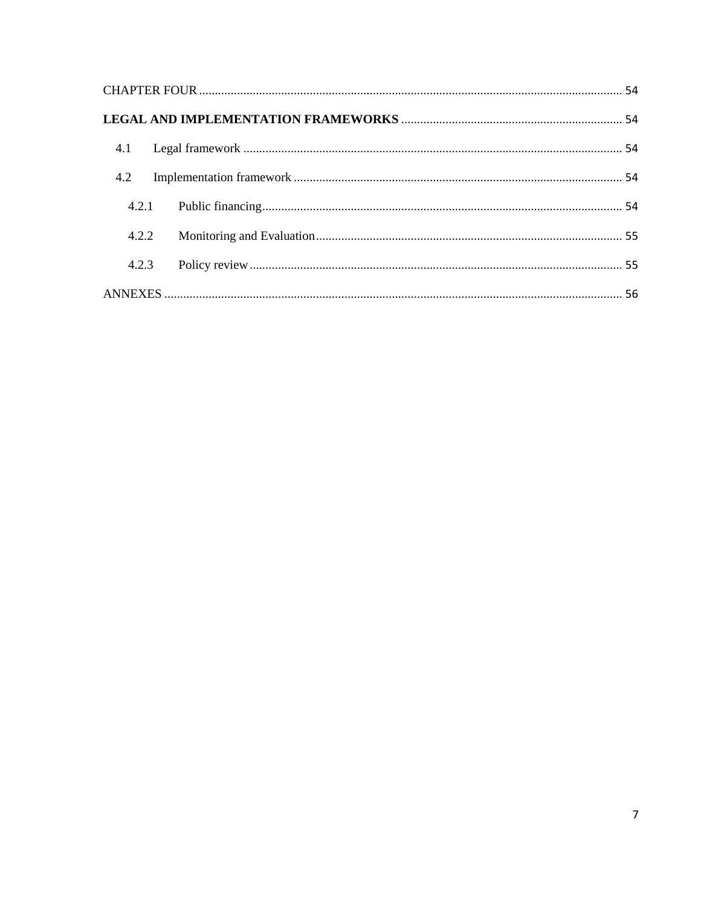| 4.2   |  |
|-------|--|
|       |  |
| 4.2.2 |  |
| 4.2.3 |  |
|       |  |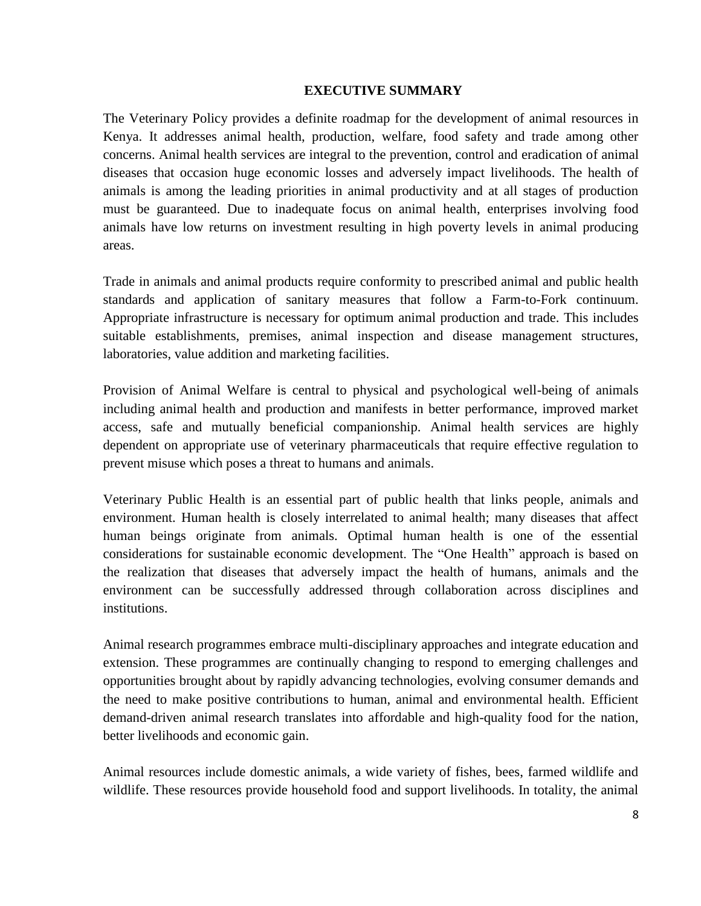#### **EXECUTIVE SUMMARY**

<span id="page-7-0"></span>The Veterinary Policy provides a definite roadmap for the development of animal resources in Kenya. It addresses animal health, production, welfare, food safety and trade among other concerns. Animal health services are integral to the prevention, control and eradication of animal diseases that occasion huge economic losses and adversely impact livelihoods. The health of animals is among the leading priorities in animal productivity and at all stages of production must be guaranteed. Due to inadequate focus on animal health, enterprises involving food animals have low returns on investment resulting in high poverty levels in animal producing areas.

Trade in animals and animal products require conformity to prescribed animal and public health standards and application of sanitary measures that follow a Farm-to-Fork continuum. Appropriate infrastructure is necessary for optimum animal production and trade. This includes suitable establishments, premises, animal inspection and disease management structures, laboratories, value addition and marketing facilities.

Provision of Animal Welfare is central to physical and psychological well-being of animals including animal health and production and manifests in better performance, improved market access, safe and mutually beneficial companionship. Animal health services are highly dependent on appropriate use of veterinary pharmaceuticals that require effective regulation to prevent misuse which poses a threat to humans and animals.

Veterinary Public Health is an essential part of public health that links people, animals and environment. Human health is closely interrelated to animal health; many diseases that affect human beings originate from animals. Optimal human health is one of the essential considerations for sustainable economic development. The "One Health" approach is based on the realization that diseases that adversely impact the health of humans, animals and the environment can be successfully addressed through collaboration across disciplines and institutions.

Animal research programmes embrace multi-disciplinary approaches and integrate education and extension. These programmes are continually changing to respond to emerging challenges and opportunities brought about by rapidly advancing technologies, evolving consumer demands and the need to make positive contributions to human, animal and environmental health. Efficient demand-driven animal research translates into affordable and high-quality food for the nation, better livelihoods and economic gain.

Animal resources include domestic animals, a wide variety of fishes, bees, farmed wildlife and wildlife. These resources provide household food and support livelihoods. In totality, the animal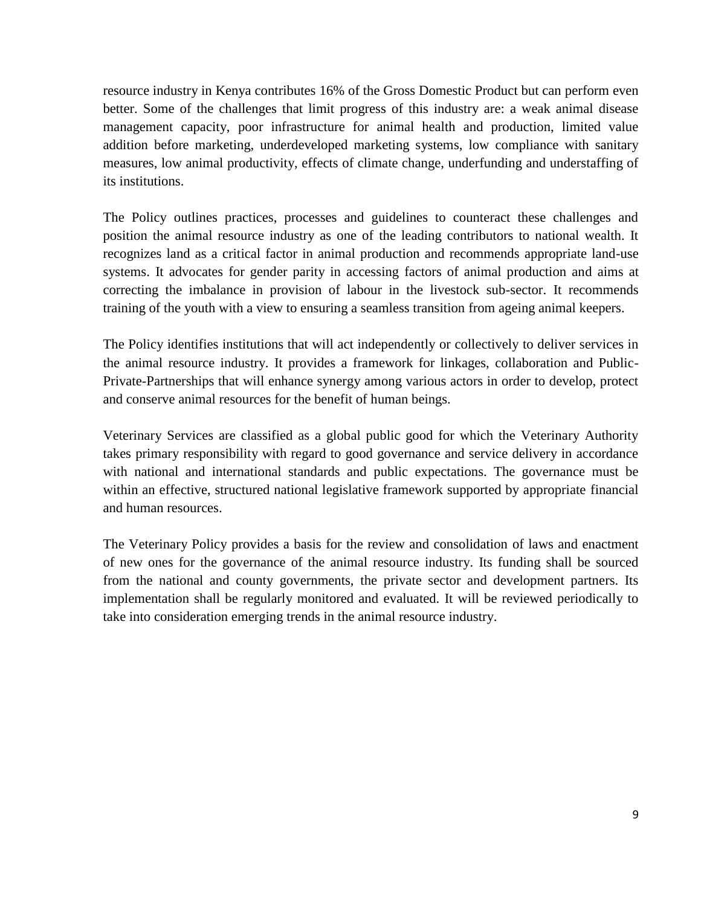resource industry in Kenya contributes 16% of the Gross Domestic Product but can perform even better. Some of the challenges that limit progress of this industry are: a weak animal disease management capacity, poor infrastructure for animal health and production, limited value addition before marketing, underdeveloped marketing systems, low compliance with sanitary measures, low animal productivity, effects of climate change, underfunding and understaffing of its institutions.

The Policy outlines practices, processes and guidelines to counteract these challenges and position the animal resource industry as one of the leading contributors to national wealth. It recognizes land as a critical factor in animal production and recommends appropriate land-use systems. It advocates for gender parity in accessing factors of animal production and aims at correcting the imbalance in provision of labour in the livestock sub-sector. It recommends training of the youth with a view to ensuring a seamless transition from ageing animal keepers.

The Policy identifies institutions that will act independently or collectively to deliver services in the animal resource industry. It provides a framework for linkages, collaboration and Public-Private-Partnerships that will enhance synergy among various actors in order to develop, protect and conserve animal resources for the benefit of human beings.

Veterinary Services are classified as a global public good for which the Veterinary Authority takes primary responsibility with regard to good governance and service delivery in accordance with national and international standards and public expectations. The governance must be within an effective, structured national legislative framework supported by appropriate financial and human resources.

The Veterinary Policy provides a basis for the review and consolidation of laws and enactment of new ones for the governance of the animal resource industry. Its funding shall be sourced from the national and county governments, the private sector and development partners. Its implementation shall be regularly monitored and evaluated. It will be reviewed periodically to take into consideration emerging trends in the animal resource industry.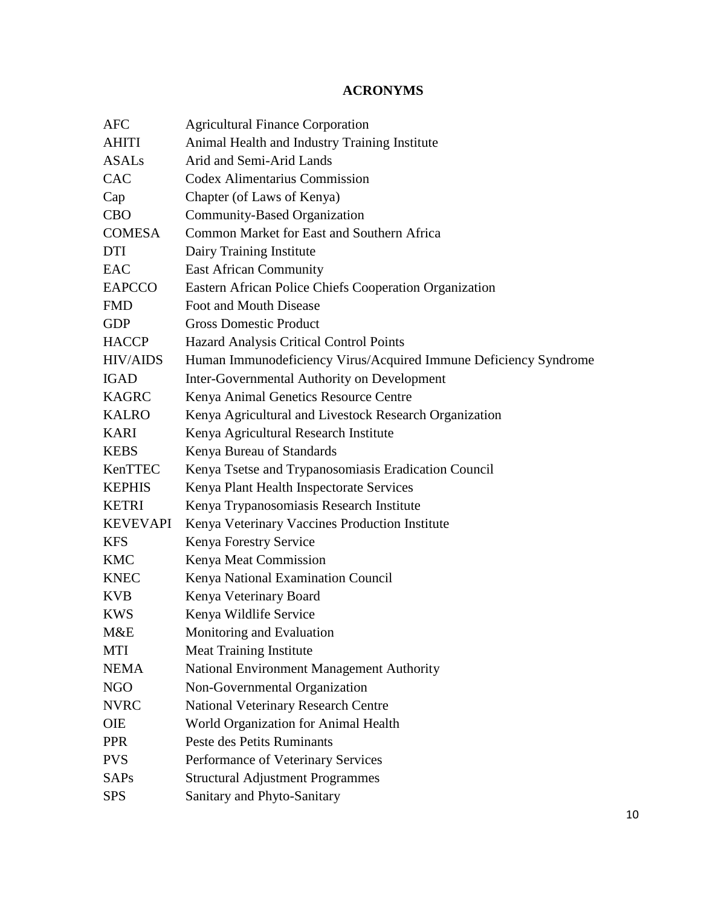# **ACRONYMS**

<span id="page-9-0"></span>

| <b>AFC</b>      | <b>Agricultural Finance Corporation</b>                          |
|-----------------|------------------------------------------------------------------|
| <b>AHITI</b>    | Animal Health and Industry Training Institute                    |
| <b>ASALs</b>    | Arid and Semi-Arid Lands                                         |
| <b>CAC</b>      | <b>Codex Alimentarius Commission</b>                             |
| Cap             | Chapter (of Laws of Kenya)                                       |
| <b>CBO</b>      | Community-Based Organization                                     |
| <b>COMESA</b>   | Common Market for East and Southern Africa                       |
| DTI             | Dairy Training Institute                                         |
| <b>EAC</b>      | <b>East African Community</b>                                    |
| <b>EAPCCO</b>   | Eastern African Police Chiefs Cooperation Organization           |
| <b>FMD</b>      | Foot and Mouth Disease                                           |
| <b>GDP</b>      | <b>Gross Domestic Product</b>                                    |
| <b>HACCP</b>    | Hazard Analysis Critical Control Points                          |
| <b>HIV/AIDS</b> | Human Immunodeficiency Virus/Acquired Immune Deficiency Syndrome |
| <b>IGAD</b>     | Inter-Governmental Authority on Development                      |
| <b>KAGRC</b>    | Kenya Animal Genetics Resource Centre                            |
| <b>KALRO</b>    | Kenya Agricultural and Livestock Research Organization           |
| <b>KARI</b>     | Kenya Agricultural Research Institute                            |
| <b>KEBS</b>     | Kenya Bureau of Standards                                        |
| KenTTEC         | Kenya Tsetse and Trypanosomiasis Eradication Council             |
| <b>KEPHIS</b>   | Kenya Plant Health Inspectorate Services                         |
| <b>KETRI</b>    | Kenya Trypanosomiasis Research Institute                         |
| <b>KEVEVAPI</b> | Kenya Veterinary Vaccines Production Institute                   |
| <b>KFS</b>      | Kenya Forestry Service                                           |
| <b>KMC</b>      | Kenya Meat Commission                                            |
| <b>KNEC</b>     | Kenya National Examination Council                               |
| <b>KVB</b>      | Kenya Veterinary Board                                           |
| <b>KWS</b>      | Kenya Wildlife Service                                           |
| M&E             | Monitoring and Evaluation                                        |
| <b>MTI</b>      | <b>Meat Training Institute</b>                                   |
| <b>NEMA</b>     | National Environment Management Authority                        |
| <b>NGO</b>      | Non-Governmental Organization                                    |
| <b>NVRC</b>     | <b>National Veterinary Research Centre</b>                       |
| OIE             | World Organization for Animal Health                             |
| <b>PPR</b>      | Peste des Petits Ruminants                                       |
| <b>PVS</b>      | Performance of Veterinary Services                               |
| <b>SAPs</b>     | <b>Structural Adjustment Programmes</b>                          |
| <b>SPS</b>      | Sanitary and Phyto-Sanitary                                      |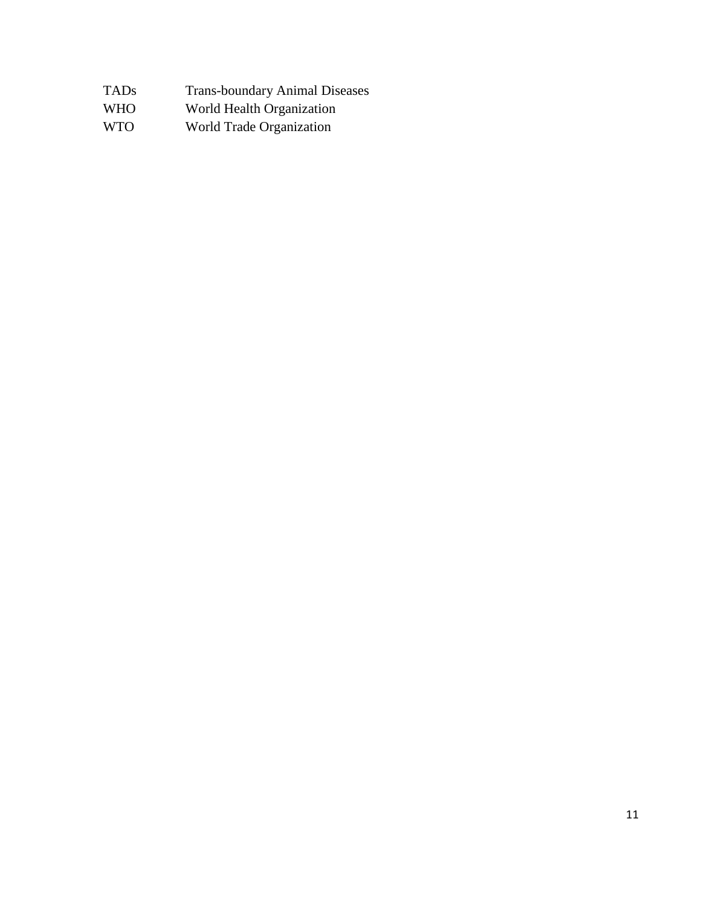| TADs<br><b>Trans-boundary Animal Diseases</b> |
|-----------------------------------------------|
|                                               |

- WHO World Health Organization
- WTO World Trade Organization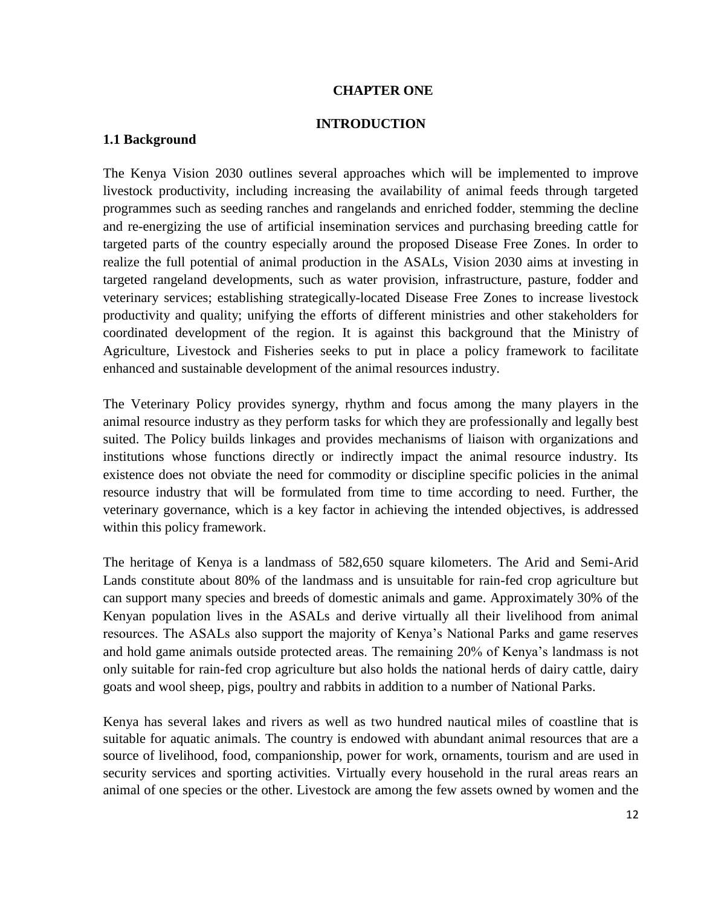#### **CHAPTER ONE**

#### **INTRODUCTION**

#### <span id="page-11-1"></span><span id="page-11-0"></span>**1.1 Background**

The Kenya Vision 2030 outlines several approaches which will be implemented to improve livestock productivity, including increasing the availability of animal feeds through targeted programmes such as seeding ranches and rangelands and enriched fodder, stemming the decline and re-energizing the use of artificial insemination services and purchasing breeding cattle for targeted parts of the country especially around the proposed Disease Free Zones. In order to realize the full potential of animal production in the ASALs, Vision 2030 aims at investing in targeted rangeland developments, such as water provision, infrastructure, pasture, fodder and veterinary services; establishing strategically-located Disease Free Zones to increase livestock productivity and quality; unifying the efforts of different ministries and other stakeholders for coordinated development of the region. It is against this background that the Ministry of Agriculture, Livestock and Fisheries seeks to put in place a policy framework to facilitate enhanced and sustainable development of the animal resources industry.

The Veterinary Policy provides synergy, rhythm and focus among the many players in the animal resource industry as they perform tasks for which they are professionally and legally best suited. The Policy builds linkages and provides mechanisms of liaison with organizations and institutions whose functions directly or indirectly impact the animal resource industry. Its existence does not obviate the need for commodity or discipline specific policies in the animal resource industry that will be formulated from time to time according to need. Further, the veterinary governance, which is a key factor in achieving the intended objectives, is addressed within this policy framework.

The heritage of Kenya is a landmass of 582,650 square kilometers. The Arid and Semi-Arid Lands constitute about 80% of the landmass and is unsuitable for rain-fed crop agriculture but can support many species and breeds of domestic animals and game. Approximately 30% of the Kenyan population lives in the ASALs and derive virtually all their livelihood from animal resources. The ASALs also support the majority of Kenya's National Parks and game reserves and hold game animals outside protected areas. The remaining 20% of Kenya's landmass is not only suitable for rain-fed crop agriculture but also holds the national herds of dairy cattle, dairy goats and wool sheep, pigs, poultry and rabbits in addition to a number of National Parks.

Kenya has several lakes and rivers as well as two hundred nautical miles of coastline that is suitable for aquatic animals. The country is endowed with abundant animal resources that are a source of livelihood, food, companionship, power for work, ornaments, tourism and are used in security services and sporting activities. Virtually every household in the rural areas rears an animal of one species or the other. Livestock are among the few assets owned by women and the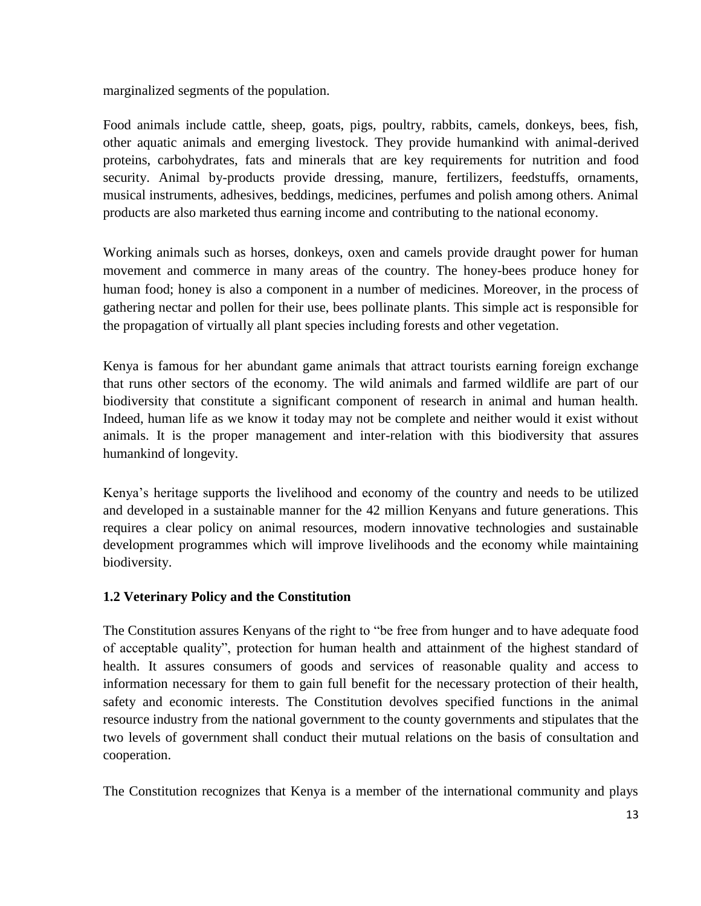marginalized segments of the population.

Food animals include cattle, sheep, goats, pigs, poultry, rabbits, camels, donkeys, bees, fish, other aquatic animals and emerging livestock. They provide humankind with animal-derived proteins, carbohydrates, fats and minerals that are key requirements for nutrition and food security. Animal by-products provide dressing, manure, fertilizers, feedstuffs, ornaments, musical instruments, adhesives, beddings, medicines, perfumes and polish among others. Animal products are also marketed thus earning income and contributing to the national economy.

Working animals such as horses, donkeys, oxen and camels provide draught power for human movement and commerce in many areas of the country. The honey-bees produce honey for human food; honey is also a component in a number of medicines. Moreover, in the process of gathering nectar and pollen for their use, bees pollinate plants. This simple act is responsible for the propagation of virtually all plant species including forests and other vegetation.

Kenya is famous for her abundant game animals that attract tourists earning foreign exchange that runs other sectors of the economy. The wild animals and farmed wildlife are part of our biodiversity that constitute a significant component of research in animal and human health. Indeed, human life as we know it today may not be complete and neither would it exist without animals. It is the proper management and inter-relation with this biodiversity that assures humankind of longevity.

Kenya's heritage supports the livelihood and economy of the country and needs to be utilized and developed in a sustainable manner for the 42 million Kenyans and future generations. This requires a clear policy on animal resources, modern innovative technologies and sustainable development programmes which will improve livelihoods and the economy while maintaining biodiversity.

# <span id="page-12-0"></span>**1.2 Veterinary Policy and the Constitution**

The Constitution assures Kenyans of the right to "be free from hunger and to have adequate food of acceptable quality", protection for human health and attainment of the highest standard of health. It assures consumers of goods and services of reasonable quality and access to information necessary for them to gain full benefit for the necessary protection of their health, safety and economic interests. The Constitution devolves specified functions in the animal resource industry from the national government to the county governments and stipulates that the two levels of government shall conduct their mutual relations on the basis of consultation and cooperation.

The Constitution recognizes that Kenya is a member of the international community and plays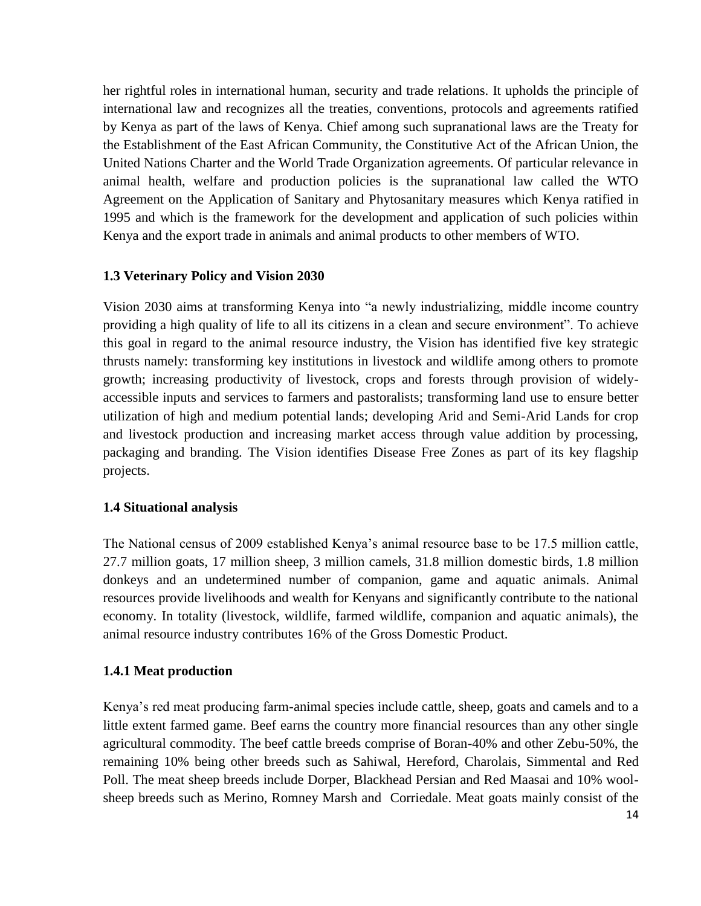her rightful roles in international human, security and trade relations. It upholds the principle of international law and recognizes all the treaties, conventions, protocols and agreements ratified by Kenya as part of the laws of Kenya. Chief among such supranational laws are the Treaty for the Establishment of the East African Community, the Constitutive Act of the African Union, the United Nations Charter and the World Trade Organization agreements. Of particular relevance in animal health, welfare and production policies is the supranational law called the WTO Agreement on the Application of Sanitary and Phytosanitary measures which Kenya ratified in 1995 and which is the framework for the development and application of such policies within Kenya and the export trade in animals and animal products to other members of WTO.

# <span id="page-13-0"></span>**1.3 Veterinary Policy and Vision 2030**

Vision 2030 aims at transforming Kenya into "a newly industrializing, middle income country providing a high quality of life to all its citizens in a clean and secure environment". To achieve this goal in regard to the animal resource industry, the Vision has identified five key strategic thrusts namely: transforming key institutions in livestock and wildlife among others to promote growth; increasing productivity of livestock, crops and forests through provision of widelyaccessible inputs and services to farmers and pastoralists; transforming land use to ensure better utilization of high and medium potential lands; developing Arid and Semi-Arid Lands for crop and livestock production and increasing market access through value addition by processing, packaging and branding. The Vision identifies Disease Free Zones as part of its key flagship projects.

#### **1.4 Situational analysis**

The National census of 2009 established Kenya's animal resource base to be 17.5 million cattle, 27.7 million goats, 17 million sheep, 3 million camels, 31.8 million domestic birds, 1.8 million donkeys and an undetermined number of companion, game and aquatic animals. Animal resources provide livelihoods and wealth for Kenyans and significantly contribute to the national economy. In totality (livestock, wildlife, farmed wildlife, companion and aquatic animals), the animal resource industry contributes 16% of the Gross Domestic Product.

# <span id="page-13-1"></span>**1.4.1 Meat production**

Kenya's red meat producing farm-animal species include cattle, sheep, goats and camels and to a little extent farmed game. Beef earns the country more financial resources than any other single agricultural commodity. The beef cattle breeds comprise of Boran-40% and other Zebu-50%, the remaining 10% being other breeds such as Sahiwal, Hereford, Charolais, Simmental and Red Poll. The meat sheep breeds include Dorper, Blackhead Persian and Red Maasai and 10% woolsheep breeds such as Merino, Romney Marsh and [Corriedale.](http://en.wikipedia.org/wiki/Corriedale_%28sheep%29) Meat goats mainly consist of the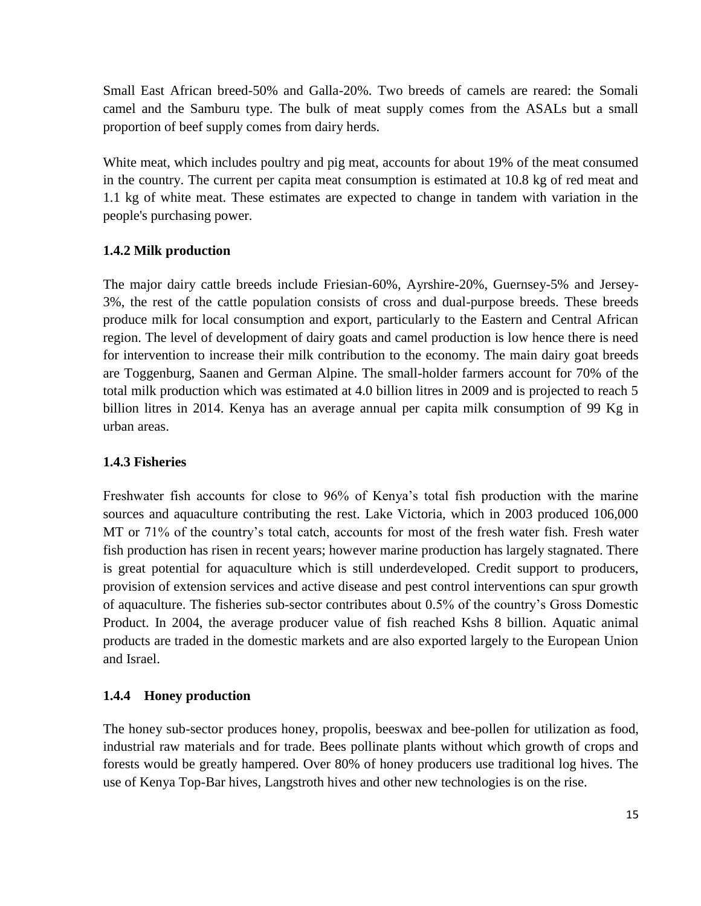Small East African breed-50% and Galla-20%. Two breeds of camels are reared: the Somali camel and the Samburu type. The bulk of meat supply comes from the ASALs but a small proportion of beef supply comes from dairy herds.

White meat, which includes poultry and pig meat, accounts for about 19% of the meat consumed in the country. The current per capita meat consumption is estimated at 10.8 kg of red meat and 1.1 kg of white meat. These estimates are expected to change in tandem with variation in the people's purchasing power.

# <span id="page-14-0"></span>**1.4.2 Milk production**

The major dairy cattle breeds include Friesian-60%, Ayrshire-20%, Guernsey-5% and Jersey-3%, the rest of the cattle population consists of cross and dual-purpose breeds. These breeds produce milk for local consumption and export, particularly to the Eastern and Central African region. The level of development of dairy goats and camel production is low hence there is need for intervention to increase their milk contribution to the economy. The main dairy goat breeds are Toggenburg, Saanen and German Alpine. The small-holder farmers account for 70% of the total milk production which was estimated at 4.0 billion litres in 2009 and is projected to reach 5 billion litres in 2014. Kenya has an average annual per capita milk consumption of 99 Kg in urban areas.

# <span id="page-14-1"></span>**1.4.3 Fisheries**

Freshwater fish accounts for close to 96% of Kenya's total fish production with the marine sources and aquaculture contributing the rest. Lake Victoria, which in 2003 produced 106,000 MT or 71% of the country's total catch, accounts for most of the fresh water fish. Fresh water fish production has risen in recent years; however marine production has largely stagnated. There is great potential for aquaculture which is still underdeveloped. Credit support to producers, provision of extension services and active disease and pest control interventions can spur growth of aquaculture. The fisheries sub-sector contributes about 0.5% of the country's Gross Domestic Product. In 2004, the average producer value of fish reached Kshs 8 billion. Aquatic animal products are traded in the domestic markets and are also exported largely to the European Union and Israel.

# <span id="page-14-2"></span>**1.4.4 Honey production**

The honey sub-sector produces honey, propolis, beeswax and bee-pollen for utilization as food, industrial raw materials and for trade. Bees pollinate plants without which growth of crops and forests would be greatly hampered. Over 80% of honey producers use traditional log hives. The use of Kenya Top-Bar hives, Langstroth hives and other new technologies is on the rise.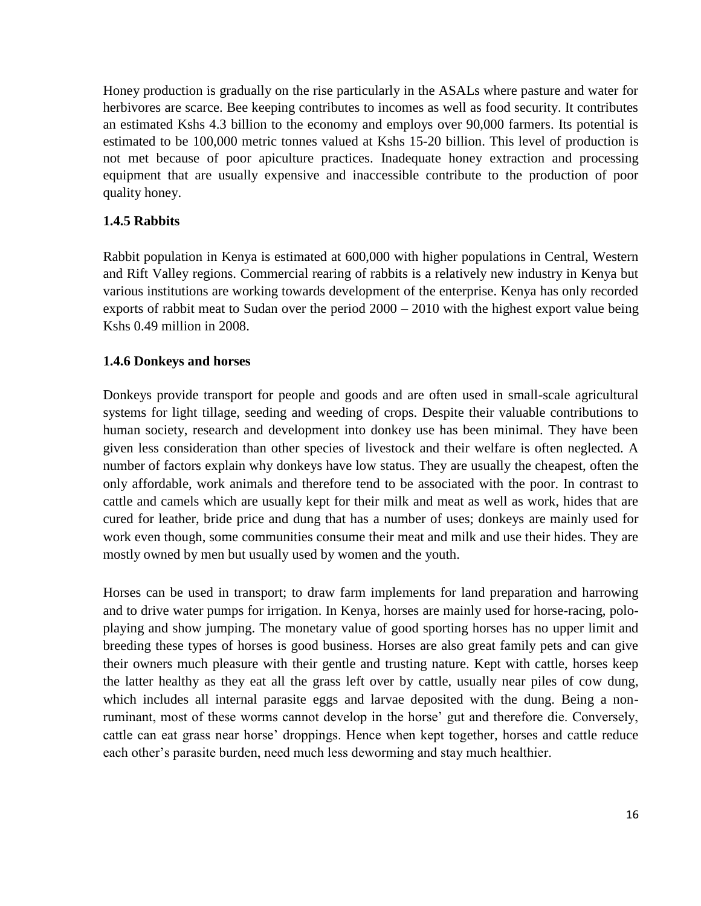Honey production is gradually on the rise particularly in the ASALs where pasture and water for herbivores are scarce. Bee keeping contributes to incomes as well as food security. It contributes an estimated Kshs 4.3 billion to the economy and employs over 90,000 farmers. Its potential is estimated to be 100,000 metric tonnes valued at Kshs 15-20 billion. This level of production is not met because of poor apiculture practices. Inadequate honey extraction and processing equipment that are usually expensive and inaccessible contribute to the production of poor quality honey.

# **1.4.5 Rabbits**

Rabbit population in Kenya is estimated at 600,000 with higher populations in Central, Western and Rift Valley regions. Commercial rearing of rabbits is a relatively new industry in Kenya but various institutions are working towards development of the enterprise. Kenya has only recorded exports of rabbit meat to Sudan over the period 2000 – 2010 with the highest export value being Kshs 0.49 million in 2008.

# <span id="page-15-0"></span>**1.4.6 Donkeys and horses**

Donkeys provide transport for people and goods and are often used in small-scale agricultural systems for light tillage, seeding and weeding of crops. Despite their valuable contributions to human society, research and development into donkey use has been minimal. They have been given less consideration than other species of livestock and their welfare is often neglected. A number of factors explain why donkeys have low status. They are usually the cheapest, often the only affordable, work animals and therefore tend to be associated with the poor. In contrast to cattle and camels which are usually kept for their milk and meat as well as work, hides that are cured for leather, bride price and dung that has a number of uses; donkeys are mainly used for work even though, some communities consume their meat and milk and use their hides. They are mostly owned by men but usually used by women and the youth.

Horses can be used in transport; to draw farm implements for land preparation and harrowing and to drive water pumps for irrigation. In Kenya, horses are mainly used for horse-racing, poloplaying and show jumping. The monetary value of good sporting horses has no upper limit and breeding these types of horses is good business. Horses are also great family pets and can give their owners much pleasure with their gentle and trusting nature. Kept with cattle, horses keep the latter healthy as they eat all the grass left over by cattle, usually near piles of cow dung, which includes all internal parasite eggs and larvae deposited with the dung. Being a nonruminant, most of these worms cannot develop in the horse' gut and therefore die. Conversely, cattle can eat grass near horse' droppings. Hence when kept together, horses and cattle reduce each other's parasite burden, need much less deworming and stay much healthier.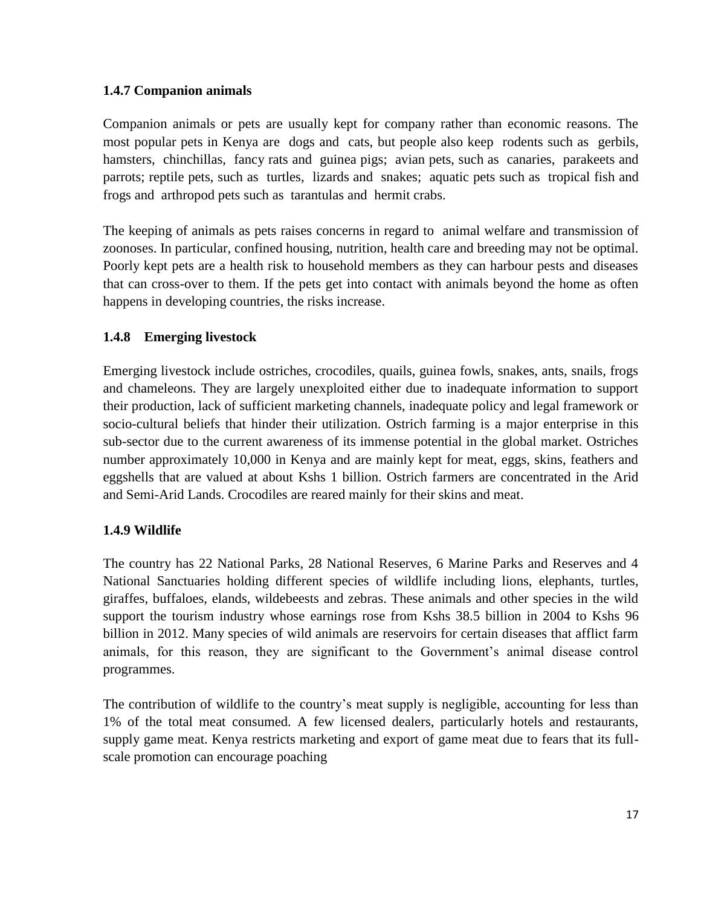# <span id="page-16-0"></span>**1.4.7 Companion animals**

Companion animals or pets are usually kept for company rather than economic reasons. The most popular pets in Kenya are [dogs](http://en.wikipedia.org/wiki/Dog) and [cats,](http://en.wikipedia.org/wiki/Cat) but people also keep [rodents](http://en.wikipedia.org/wiki/Rodent) such as [gerbils,](http://en.wikipedia.org/wiki/Gerbil) [hamsters,](http://en.wikipedia.org/wiki/Hamster) [chinchillas,](http://en.wikipedia.org/wiki/Chinchilla) [fancy rats](http://en.wikipedia.org/wiki/Fancy_rat) and [guinea pigs;](http://en.wikipedia.org/wiki/Guinea_pig) [avian](http://en.wikipedia.org/wiki/Bird) pets, such as [canaries,](http://en.wikipedia.org/wiki/Domestic_Canary) [parakeets](http://en.wikipedia.org/wiki/Parakeet) and [parrots;](http://en.wikipedia.org/wiki/Parrot) reptile pets, such as [turtles,](http://en.wikipedia.org/wiki/Turtle) [lizards](http://en.wikipedia.org/wiki/Lizard) and [snakes;](http://en.wikipedia.org/wiki/Snake) [aquatic pets](http://en.wikipedia.org/wiki/Aquarium) such as [tropical fish](http://en.wikipedia.org/wiki/Tropical_fish) and [frogs](http://en.wikipedia.org/wiki/Frog) and [arthropod](http://en.wikipedia.org/wiki/Arthropod) pets such as [tarantulas](http://en.wikipedia.org/wiki/Tarantula) and [hermit crabs.](http://en.wikipedia.org/wiki/Hermit_crab)

The keeping of animals as pets raises concerns in regard to [animal welfare](http://en.wikipedia.org/wiki/Animal_welfare) and transmission of zoonoses. In particular, confined housing, nutrition, health care and breeding may not be optimal. Poorly kept pets are a health risk to household members as they can harbour pests and diseases that can cross-over to them. If the pets get into contact with animals beyond the home as often happens in developing countries, the risks increase.

# <span id="page-16-1"></span>**1.4.8 Emerging livestock**

Emerging livestock include ostriches, crocodiles, quails, guinea fowls, snakes, ants, snails, frogs and chameleons. They are largely unexploited either due to inadequate information to support their production, lack of sufficient marketing channels, inadequate policy and legal framework or socio-cultural beliefs that hinder their utilization. Ostrich farming is a major enterprise in this sub-sector due to the current awareness of its immense potential in the global market. Ostriches number approximately 10,000 in Kenya and are mainly kept for meat, eggs, skins, feathers and eggshells that are valued at about Kshs 1 billion. Ostrich farmers are concentrated in the Arid and Semi-Arid Lands. Crocodiles are reared mainly for their skins and meat.

# <span id="page-16-2"></span>**1.4.9 Wildlife**

The country has 22 National Parks, 28 National Reserves, 6 Marine Parks and Reserves and 4 National Sanctuaries holding different species of wildlife including lions, elephants, turtles, giraffes, buffaloes, elands, wildebeests and zebras. These animals and other species in the wild support the tourism industry whose earnings rose from Kshs 38.5 billion in 2004 to Kshs 96 billion in 2012. Many species of wild animals are reservoirs for certain diseases that afflict farm animals, for this reason, they are significant to the Government's animal disease control programmes.

The contribution of wildlife to the country's meat supply is negligible, accounting for less than 1% of the total meat consumed. A few licensed dealers, particularly hotels and restaurants, supply game meat. Kenya restricts marketing and export of game meat due to fears that its fullscale promotion can encourage poaching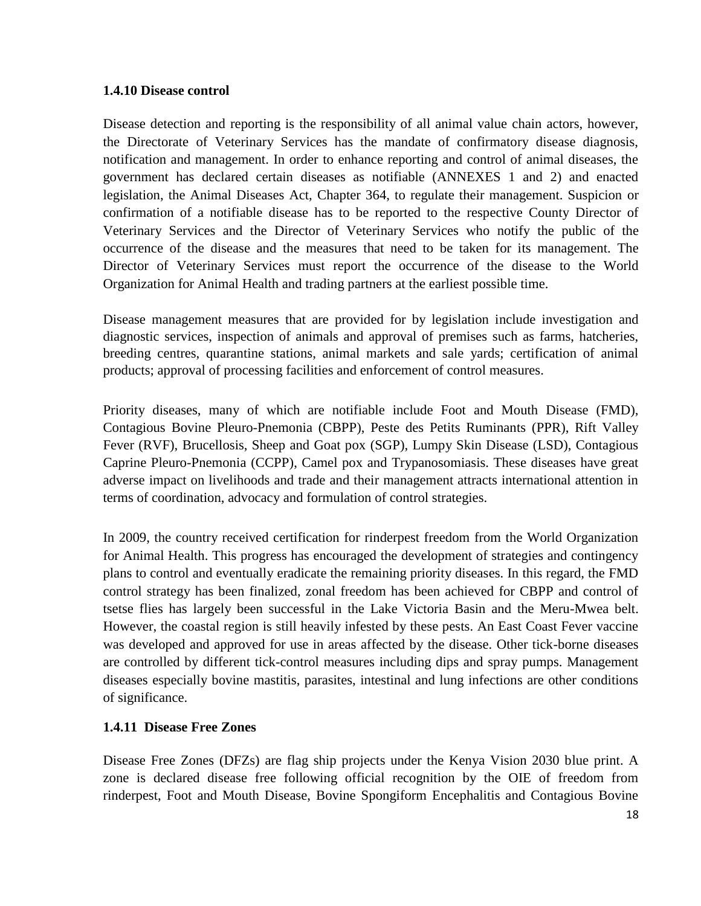#### <span id="page-17-0"></span>**1.4.10 Disease control**

Disease detection and reporting is the responsibility of all animal value chain actors, however, the Directorate of Veterinary Services has the mandate of confirmatory disease diagnosis, notification and management. In order to enhance reporting and control of animal diseases, the government has declared certain diseases as notifiable (ANNEXES 1 and 2) and enacted legislation, the Animal Diseases Act, Chapter 364, to regulate their management. Suspicion or confirmation of a notifiable disease has to be reported to the respective County Director of Veterinary Services and the Director of Veterinary Services who notify the public of the occurrence of the disease and the measures that need to be taken for its management. The Director of Veterinary Services must report the occurrence of the disease to the World Organization for Animal Health and trading partners at the earliest possible time.

Disease management measures that are provided for by legislation include investigation and diagnostic services, inspection of animals and approval of premises such as farms, hatcheries, breeding centres, quarantine stations, animal markets and sale yards; certification of animal products; approval of processing facilities and enforcement of control measures.

Priority diseases, many of which are notifiable include Foot and Mouth Disease (FMD), Contagious Bovine Pleuro-Pnemonia (CBPP), Peste des Petits Ruminants (PPR), Rift Valley Fever (RVF), Brucellosis, Sheep and Goat pox (SGP), Lumpy Skin Disease (LSD), Contagious Caprine Pleuro-Pnemonia (CCPP), Camel pox and Trypanosomiasis. These diseases have great adverse impact on livelihoods and trade and their management attracts international attention in terms of coordination, advocacy and formulation of control strategies.

In 2009, the country received certification for rinderpest freedom from the World Organization for Animal Health. This progress has encouraged the development of strategies and contingency plans to control and eventually eradicate the remaining priority diseases. In this regard, the FMD control strategy has been finalized, zonal freedom has been achieved for CBPP and control of tsetse flies has largely been successful in the Lake Victoria Basin and the Meru-Mwea belt. However, the coastal region is still heavily infested by these pests. An East Coast Fever vaccine was developed and approved for use in areas affected by the disease. Other tick-borne diseases are controlled by different tick-control measures including dips and spray pumps. Management diseases especially bovine mastitis, parasites, intestinal and lung infections are other conditions of significance.

# <span id="page-17-1"></span>**1.4.11 Disease Free Zones**

Disease Free Zones (DFZs) are flag ship projects under the Kenya Vision 2030 blue print. A zone is declared disease free following official recognition by the OIE of freedom from rinderpest, Foot and Mouth Disease, Bovine Spongiform Encephalitis and Contagious Bovine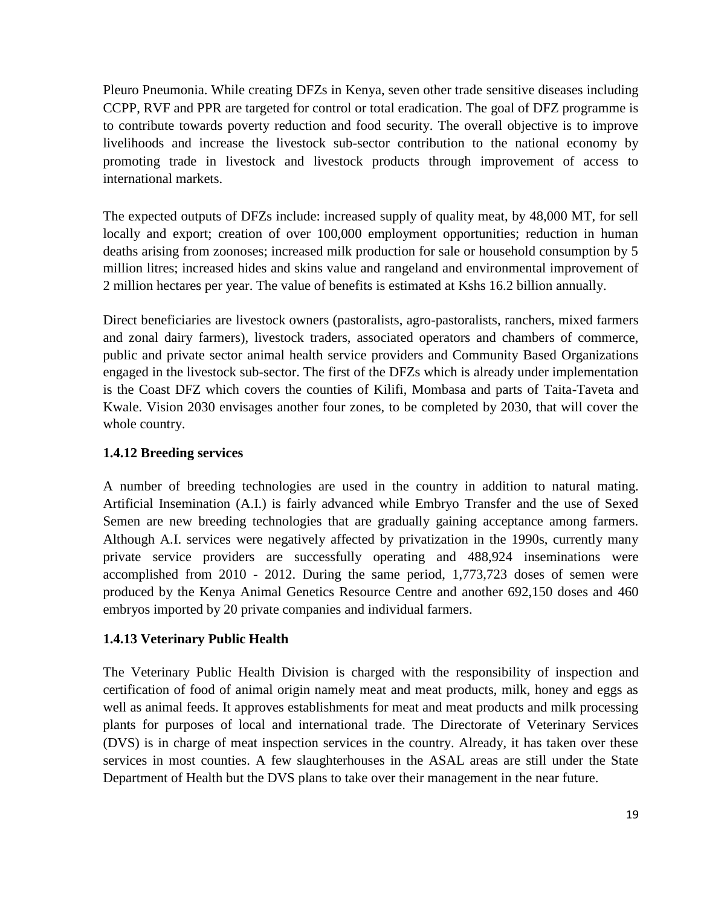Pleuro Pneumonia. While creating DFZs in Kenya, seven other trade sensitive diseases including CCPP, RVF and PPR are targeted for control or total eradication. The goal of DFZ programme is to contribute towards poverty reduction and food security. The overall objective is to improve livelihoods and increase the livestock sub-sector contribution to the national economy by promoting trade in livestock and livestock products through improvement of access to international markets.

The expected outputs of DFZs include: increased supply of quality meat, by 48,000 MT, for sell locally and export; creation of over 100,000 employment opportunities; reduction in human deaths arising from zoonoses; increased milk production for sale or household consumption by 5 million litres; increased hides and skins value and rangeland and environmental improvement of 2 million hectares per year. The value of benefits is estimated at Kshs 16.2 billion annually.

Direct beneficiaries are livestock owners (pastoralists, agro-pastoralists, ranchers, mixed farmers and zonal dairy farmers), livestock traders, associated operators and chambers of commerce, public and private sector animal health service providers and Community Based Organizations engaged in the livestock sub-sector. The first of the DFZs which is already under implementation is the Coast DFZ which covers the counties of Kilifi, Mombasa and parts of Taita-Taveta and Kwale. Vision 2030 envisages another four zones, to be completed by 2030, that will cover the whole country.

# <span id="page-18-0"></span>**1.4.12 Breeding services**

A number of breeding technologies are used in the country in addition to natural mating. Artificial Insemination (A.I.) is fairly advanced while Embryo Transfer and the use of Sexed Semen are new breeding technologies that are gradually gaining acceptance among farmers. Although A.I. services were negatively affected by privatization in the 1990s, currently many private service providers are successfully operating and 488,924 inseminations were accomplished from 2010 - 2012. During the same period, 1,773,723 doses of semen were produced by the Kenya Animal Genetics Resource Centre and another 692,150 doses and 460 embryos imported by 20 private companies and individual farmers.

# <span id="page-18-1"></span>**1.4.13 Veterinary Public Health**

The Veterinary Public Health Division is charged with the responsibility of inspection and certification of food of animal origin namely meat and meat products, milk, honey and eggs as well as animal feeds. It approves establishments for meat and meat products and milk processing plants for purposes of local and international trade. The Directorate of Veterinary Services (DVS) is in charge of meat inspection services in the country. Already, it has taken over these services in most counties. A few slaughterhouses in the ASAL areas are still under the State Department of Health but the DVS plans to take over their management in the near future.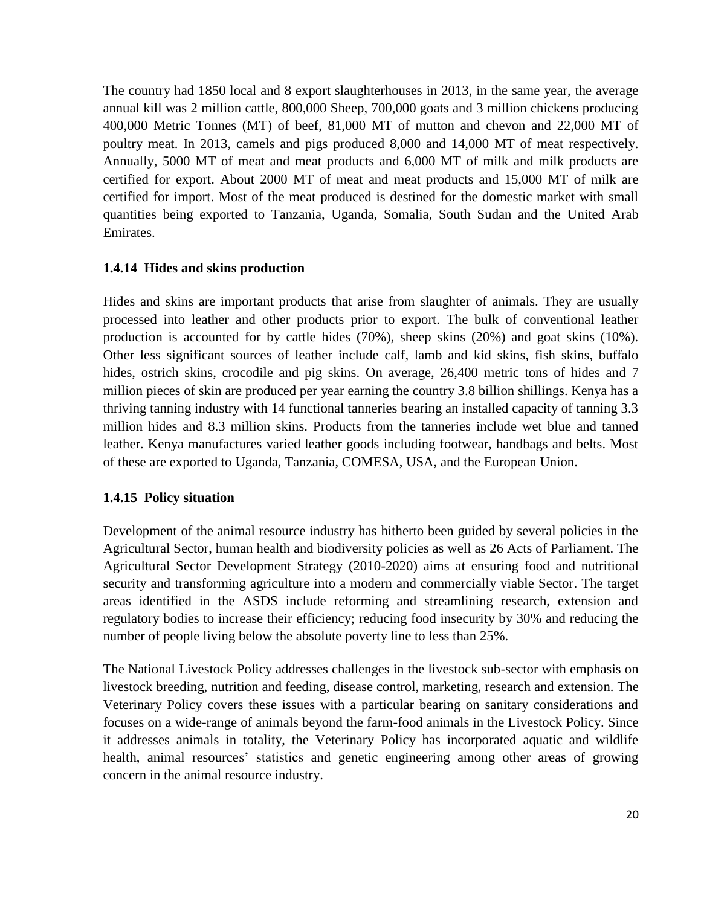The country had 1850 local and 8 export slaughterhouses in 2013, in the same year, the average annual kill was 2 million cattle, 800,000 Sheep, 700,000 goats and 3 million chickens producing 400,000 Metric Tonnes (MT) of beef, 81,000 MT of mutton and chevon and 22,000 MT of poultry meat. In 2013, camels and pigs produced 8,000 and 14,000 MT of meat respectively. Annually, 5000 MT of meat and meat products and 6,000 MT of milk and milk products are certified for export. About 2000 MT of meat and meat products and 15,000 MT of milk are certified for import. Most of the meat produced is destined for the domestic market with small quantities being exported to Tanzania, Uganda, Somalia, South Sudan and the United Arab Emirates.

#### <span id="page-19-0"></span>**1.4.14 Hides and skins production**

Hides and skins are important products that arise from slaughter of animals. They are usually processed into leather and other products prior to export. The bulk of conventional leather production is accounted for by cattle hides (70%), sheep skins (20%) and goat skins (10%). Other less significant sources of leather include calf, lamb and kid skins, fish skins, buffalo hides, ostrich skins, crocodile and pig skins. On average, 26,400 metric tons of hides and 7 million pieces of skin are produced per year earning the country 3.8 billion shillings. Kenya has a thriving tanning industry with 14 functional tanneries bearing an installed capacity of tanning 3.3 million hides and 8.3 million skins. Products from the tanneries include wet blue and tanned leather. Kenya manufactures varied leather goods including footwear, handbags and belts. Most of these are exported to Uganda, Tanzania, COMESA, USA, and the European Union.

#### <span id="page-19-1"></span>**1.4.15 Policy situation**

Development of the animal resource industry has hitherto been guided by several policies in the Agricultural Sector, human health and biodiversity policies as well as 26 Acts of Parliament. The Agricultural Sector Development Strategy (2010-2020) aims at ensuring food and nutritional security and transforming agriculture into a modern and commercially viable Sector. The target areas identified in the ASDS include reforming and streamlining research, extension and regulatory bodies to increase their efficiency; reducing food insecurity by 30% and reducing the number of people living below the absolute poverty line to less than 25%.

The National Livestock Policy addresses challenges in the livestock sub-sector with emphasis on livestock breeding, nutrition and feeding, disease control, marketing, research and extension. The Veterinary Policy covers these issues with a particular bearing on sanitary considerations and focuses on a wide-range of animals beyond the farm-food animals in the Livestock Policy. Since it addresses animals in totality, the Veterinary Policy has incorporated aquatic and wildlife health, animal resources' statistics and genetic engineering among other areas of growing concern in the animal resource industry.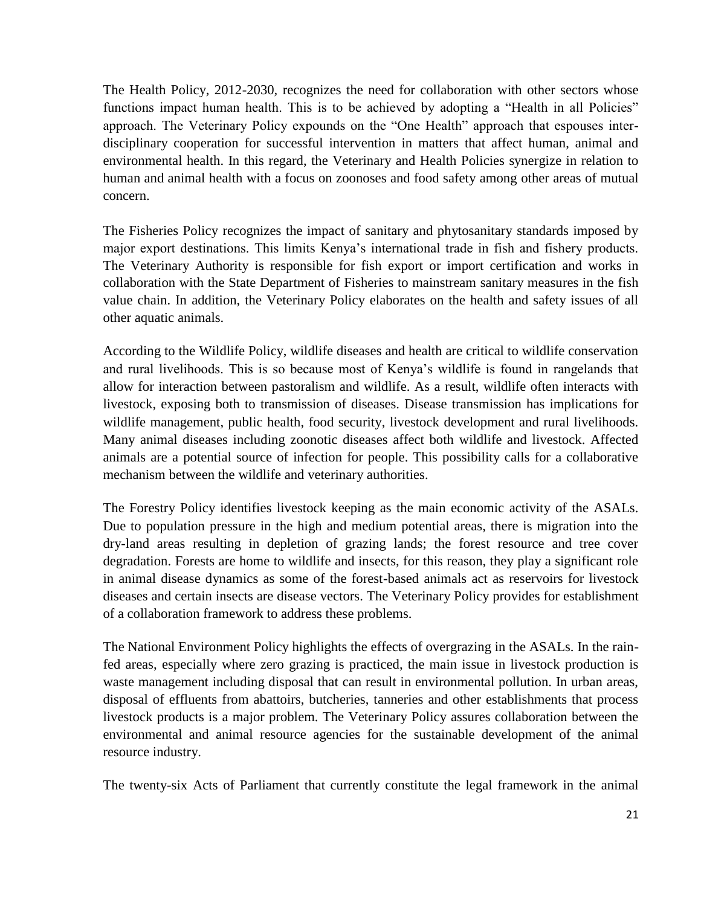The Health Policy, 2012-2030, recognizes the need for collaboration with other sectors whose functions impact human health. This is to be achieved by adopting a "Health in all Policies" approach. The Veterinary Policy expounds on the "One Health" approach that espouses interdisciplinary cooperation for successful intervention in matters that affect human, animal and environmental health. In this regard, the Veterinary and Health Policies synergize in relation to human and animal health with a focus on zoonoses and food safety among other areas of mutual concern.

The Fisheries Policy recognizes the impact of sanitary and phytosanitary standards imposed by major export destinations. This limits Kenya's international trade in fish and fishery products. The Veterinary Authority is responsible for fish export or import certification and works in collaboration with the State Department of Fisheries to mainstream sanitary measures in the fish value chain. In addition, the Veterinary Policy elaborates on the health and safety issues of all other aquatic animals.

According to the Wildlife Policy, wildlife diseases and health are critical to wildlife conservation and rural livelihoods. This is so because most of Kenya's wildlife is found in rangelands that allow for interaction between pastoralism and wildlife. As a result, wildlife often interacts with livestock, exposing both to transmission of diseases. Disease transmission has implications for wildlife management, public health, food security, livestock development and rural livelihoods. Many animal diseases including zoonotic diseases affect both wildlife and livestock. Affected animals are a potential source of infection for people. This possibility calls for a collaborative mechanism between the wildlife and veterinary authorities.

The Forestry Policy identifies livestock keeping as the main economic activity of the ASALs. Due to population pressure in the high and medium potential areas, there is migration into the dry-land areas resulting in depletion of grazing lands; the forest resource and tree cover degradation. Forests are home to wildlife and insects, for this reason, they play a significant role in animal disease dynamics as some of the forest-based animals act as reservoirs for livestock diseases and certain insects are disease vectors. The Veterinary Policy provides for establishment of a collaboration framework to address these problems.

The National Environment Policy highlights the effects of overgrazing in the ASALs. In the rainfed areas, especially where zero grazing is practiced, the main issue in livestock production is waste management including disposal that can result in environmental pollution. In urban areas, disposal of effluents from abattoirs, butcheries, tanneries and other establishments that process livestock products is a major problem. The Veterinary Policy assures collaboration between the environmental and animal resource agencies for the sustainable development of the animal resource industry.

The twenty-six Acts of Parliament that currently constitute the legal framework in the animal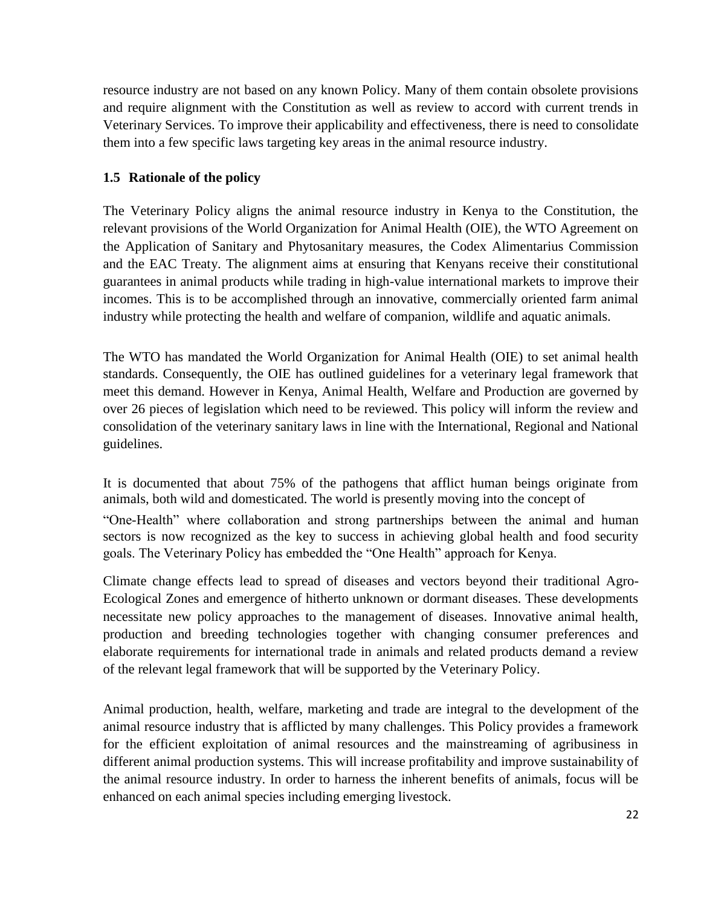resource industry are not based on any known Policy. Many of them contain obsolete provisions and require alignment with the Constitution as well as review to accord with current trends in Veterinary Services. To improve their applicability and effectiveness, there is need to consolidate them into a few specific laws targeting key areas in the animal resource industry.

# <span id="page-21-0"></span>**1.5 Rationale of the policy**

The Veterinary Policy aligns the animal resource industry in Kenya to the Constitution, the relevant provisions of the World Organization for Animal Health (OIE), the WTO Agreement on the Application of Sanitary and Phytosanitary measures, the Codex Alimentarius Commission and the EAC Treaty. The alignment aims at ensuring that Kenyans receive their constitutional guarantees in animal products while trading in high-value international markets to improve their incomes. This is to be accomplished through an innovative, commercially oriented farm animal industry while protecting the health and welfare of companion, wildlife and aquatic animals.

The WTO has mandated the World Organization for Animal Health (OIE) to set animal health standards. Consequently, the OIE has outlined guidelines for a veterinary legal framework that meet this demand. However in Kenya, Animal Health, Welfare and Production are governed by over 26 pieces of legislation which need to be reviewed. This policy will inform the review and consolidation of the veterinary sanitary laws in line with the International, Regional and National guidelines.

It is documented that about 75% of the pathogens that afflict human beings originate from animals, both wild and domesticated. The world is presently moving into the concept of

"One-Health" where collaboration and strong partnerships between the animal and human sectors is now recognized as the key to success in achieving global health and food security goals. The Veterinary Policy has embedded the "One Health" approach for Kenya.

Climate change effects lead to spread of diseases and vectors beyond their traditional Agro-Ecological Zones and emergence of hitherto unknown or dormant diseases. These developments necessitate new policy approaches to the management of diseases. Innovative animal health, production and breeding technologies together with changing consumer preferences and elaborate requirements for international trade in animals and related products demand a review of the relevant legal framework that will be supported by the Veterinary Policy.

Animal production, health, welfare, marketing and trade are integral to the development of the animal resource industry that is afflicted by many challenges. This Policy provides a framework for the efficient exploitation of animal resources and the mainstreaming of agribusiness in different animal production systems. This will increase profitability and improve sustainability of the animal resource industry. In order to harness the inherent benefits of animals, focus will be enhanced on each animal species including emerging livestock.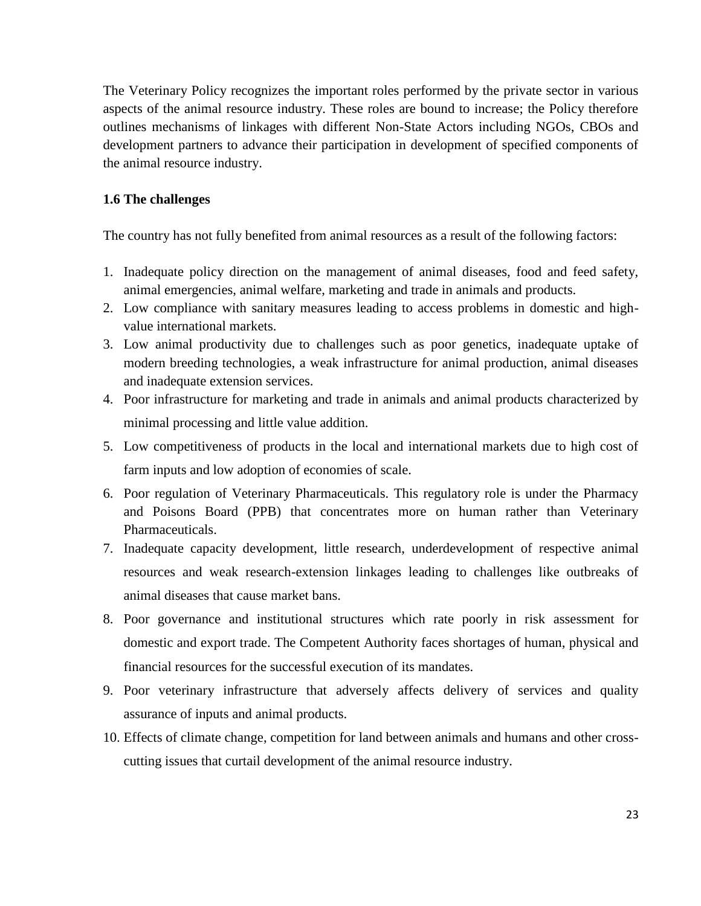The Veterinary Policy recognizes the important roles performed by the private sector in various aspects of the animal resource industry. These roles are bound to increase; the Policy therefore outlines mechanisms of linkages with different Non-State Actors including NGOs, CBOs and development partners to advance their participation in development of specified components of the animal resource industry.

#### **1.6 The challenges**

The country has not fully benefited from animal resources as a result of the following factors:

- 1. Inadequate policy direction on the management of animal diseases, food and feed safety, animal emergencies, animal welfare, marketing and trade in animals and products.
- 2. Low compliance with sanitary measures leading to access problems in domestic and highvalue international markets.
- 3. Low animal productivity due to challenges such as poor genetics, inadequate uptake of modern breeding technologies, a weak infrastructure for animal production, animal diseases and inadequate extension services.
- 4. Poor infrastructure for marketing and trade in animals and animal products characterized by minimal processing and little value addition.
- 5. Low competitiveness of products in the local and international markets due to high cost of farm inputs and low adoption of economies of scale.
- 6. Poor regulation of Veterinary Pharmaceuticals. This regulatory role is under the Pharmacy and Poisons Board (PPB) that concentrates more on human rather than Veterinary Pharmaceuticals.
- 7. Inadequate capacity development, little research, underdevelopment of respective animal resources and weak research-extension linkages leading to challenges like outbreaks of animal diseases that cause market bans.
- 8. Poor governance and institutional structures which rate poorly in risk assessment for domestic and export trade. The Competent Authority faces shortages of human, physical and financial resources for the successful execution of its mandates.
- 9. Poor veterinary infrastructure that adversely affects delivery of services and quality assurance of inputs and animal products.
- 10. Effects of climate change, competition for land between animals and humans and other crosscutting issues that curtail development of the animal resource industry.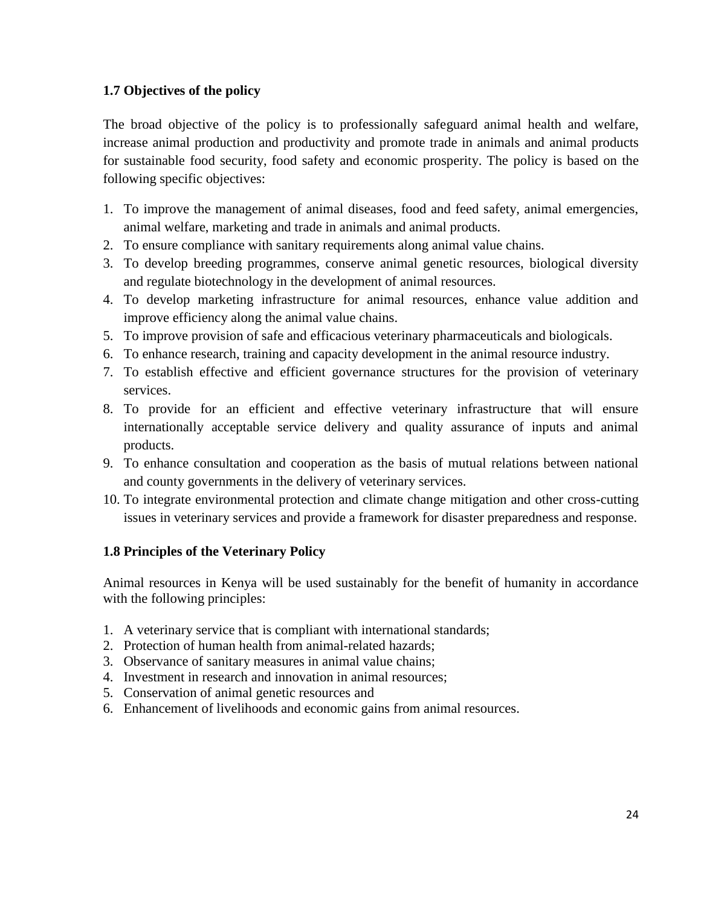# <span id="page-23-0"></span>**1.7 Objectives of the policy**

The broad objective of the policy is to professionally safeguard animal health and welfare, increase animal production and productivity and promote trade in animals and animal products for sustainable food security, food safety and economic prosperity. The policy is based on the following specific objectives:

- 1. To improve the management of animal diseases, food and feed safety, animal emergencies, animal welfare, marketing and trade in animals and animal products.
- 2. To ensure compliance with sanitary requirements along animal value chains.
- 3. To develop breeding programmes, conserve animal genetic resources, biological diversity and regulate biotechnology in the development of animal resources.
- 4. To develop marketing infrastructure for animal resources, enhance value addition and improve efficiency along the animal value chains.
- 5. To improve provision of safe and efficacious veterinary pharmaceuticals and biologicals.
- 6. To enhance research, training and capacity development in the animal resource industry.
- 7. To establish effective and efficient governance structures for the provision of veterinary services.
- 8. To provide for an efficient and effective veterinary infrastructure that will ensure internationally acceptable service delivery and quality assurance of inputs and animal products.
- 9. To enhance consultation and cooperation as the basis of mutual relations between national and county governments in the delivery of veterinary services.
- 10. To integrate environmental protection and climate change mitigation and other cross-cutting issues in veterinary services and provide a framework for disaster preparedness and response.

# <span id="page-23-1"></span>**1.8 Principles of the Veterinary Policy**

Animal resources in Kenya will be used sustainably for the benefit of humanity in accordance with the following principles:

- 1. A veterinary service that is compliant with international standards;
- 2. Protection of human health from animal-related hazards;
- 3. Observance of sanitary measures in animal value chains;
- 4. Investment in research and innovation in animal resources;
- 5. Conservation of animal genetic resources and
- 6. Enhancement of livelihoods and economic gains from animal resources.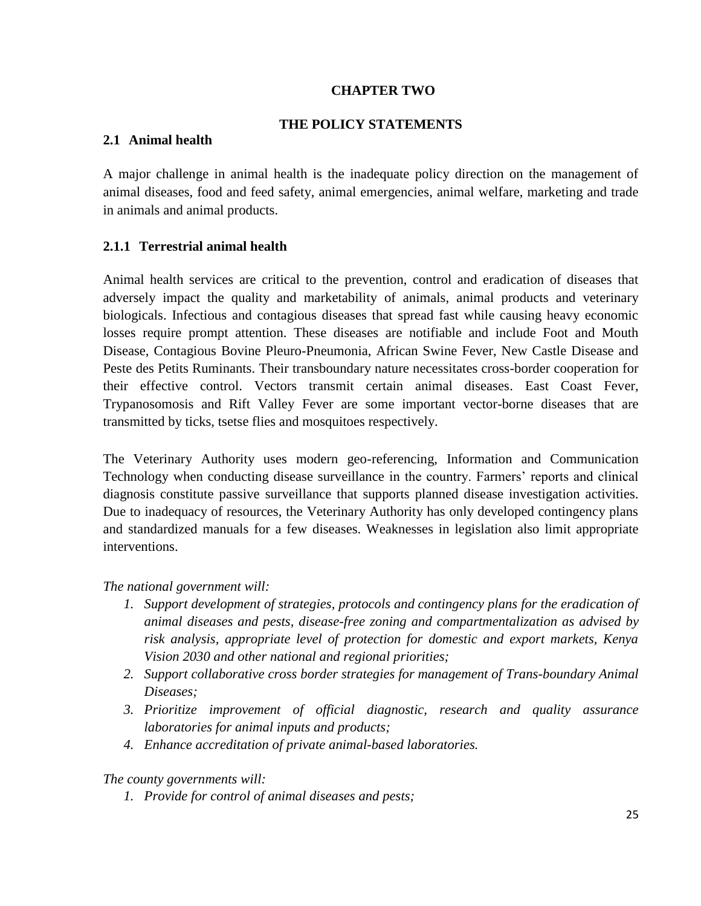# **CHAPTER TWO**

#### **THE POLICY STATEMENTS**

#### <span id="page-24-1"></span><span id="page-24-0"></span>**2.1 Animal health**

A major challenge in animal health is the inadequate policy direction on the management of animal diseases, food and feed safety, animal emergencies, animal welfare, marketing and trade in animals and animal products.

#### <span id="page-24-2"></span>**2.1.1 Terrestrial animal health**

Animal health services are critical to the prevention, control and eradication of diseases that adversely impact the quality and marketability of animals, animal products and veterinary biologicals. Infectious and contagious diseases that spread fast while causing heavy economic losses require prompt attention. These diseases are notifiable and include Foot and Mouth Disease, Contagious Bovine Pleuro-Pneumonia, African Swine Fever, New Castle Disease and Peste des Petits Ruminants. Their transboundary nature necessitates cross-border cooperation for their effective control. Vectors transmit certain animal diseases. East Coast Fever, Trypanosomosis and Rift Valley Fever are some important vector-borne diseases that are transmitted by ticks, tsetse flies and mosquitoes respectively.

The Veterinary Authority uses modern geo-referencing, Information and Communication Technology when conducting disease surveillance in the country. Farmers' reports and clinical diagnosis constitute passive surveillance that supports planned disease investigation activities. Due to inadequacy of resources, the Veterinary Authority has only developed contingency plans and standardized manuals for a few diseases. Weaknesses in legislation also limit appropriate interventions.

#### *The national government will:*

- *1. Support development of strategies, protocols and contingency plans for the eradication of animal diseases and pests, disease-free zoning and compartmentalization as advised by risk analysis, appropriate level of protection for domestic and export markets, Kenya Vision 2030 and other national and regional priorities;*
- *2. Support collaborative cross border strategies for management of Trans-boundary Animal Diseases;*
- *3. Prioritize improvement of official diagnostic, research and quality assurance laboratories for animal inputs and products;*
- *4. Enhance accreditation of private animal-based laboratories.*

#### *The county governments will:*

*1. Provide for control of animal diseases and pests;*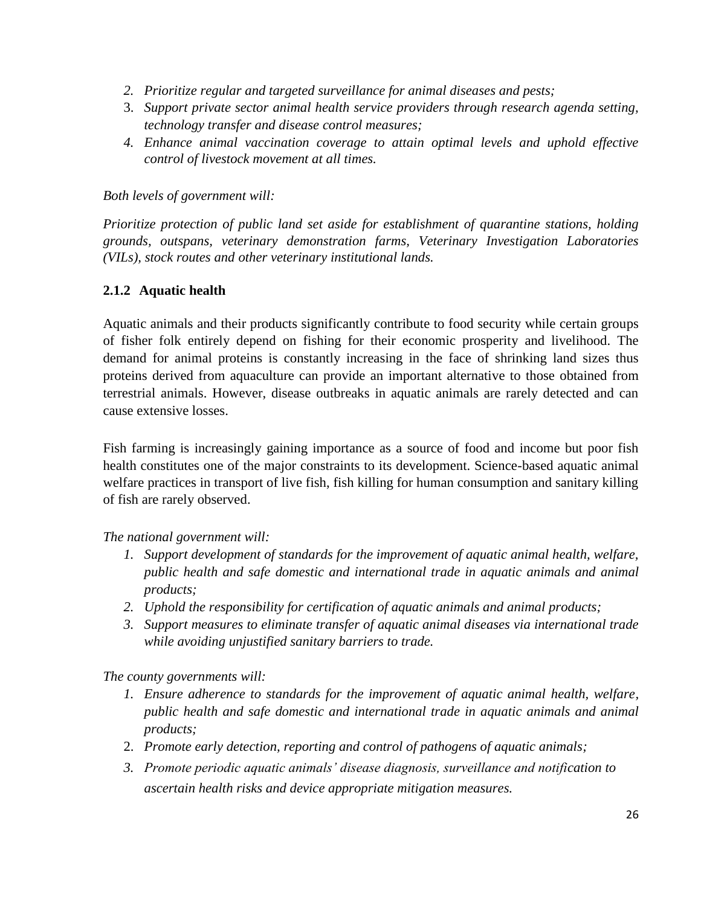- *2. Prioritize regular and targeted surveillance for animal diseases and pests;*
- 3. *Support private sector animal health service providers through research agenda setting, technology transfer and disease control measures;*
- *4. Enhance animal vaccination coverage to attain optimal levels and uphold effective control of livestock movement at all times.*

*Both levels of government will:*

*Prioritize protection of public land set aside for establishment of quarantine stations, holding grounds, outspans, veterinary demonstration farms, Veterinary Investigation Laboratories (VILs), stock routes and other veterinary institutional lands.*

# <span id="page-25-0"></span>**2.1.2 Aquatic health**

Aquatic animals and their products significantly contribute to food security while certain groups of fisher folk entirely depend on fishing for their economic prosperity and livelihood. The demand for animal proteins is constantly increasing in the face of shrinking land sizes thus proteins derived from aquaculture can provide an important alternative to those obtained from terrestrial animals. However, disease outbreaks in aquatic animals are rarely detected and can cause extensive losses.

Fish farming is increasingly gaining importance as a source of food and income but poor fish health constitutes one of the major constraints to its development. Science-based aquatic animal welfare practices in transport of live fish, fish killing for human consumption and sanitary killing of fish are rarely observed.

# *The national government will:*

- *1. Support development of standards for the improvement of aquatic animal health, welfare, public health and safe domestic and international trade in aquatic animals and animal products;*
- *2. Uphold the responsibility for certification of aquatic animals and animal products;*
- *3. Support measures to eliminate transfer of aquatic animal diseases via international trade while avoiding unjustified sanitary barriers to trade.*

*The county governments will:*

- *1. Ensure adherence to standards for the improvement of aquatic animal health, welfare, public health and safe domestic and international trade in aquatic animals and animal products;*
- 2. *Promote early detection, reporting and control of pathogens of aquatic animals;*
- *3. Promote periodic aquatic animals' disease diagnosis, surveillance and notification to ascertain health risks and device appropriate mitigation measures.*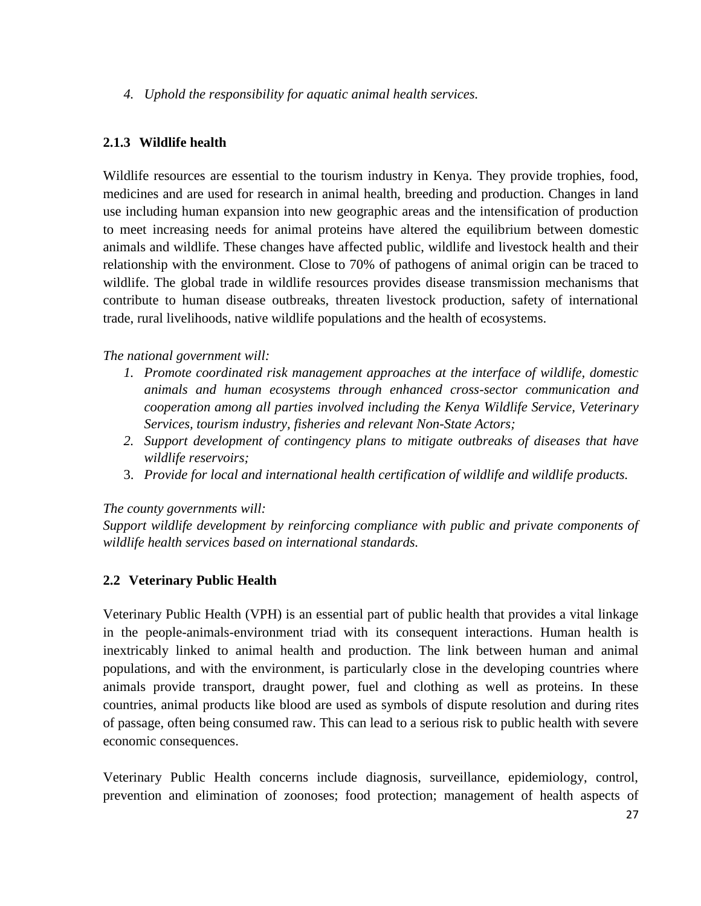*4. Uphold the responsibility for aquatic animal health services.*

# <span id="page-26-0"></span>**2.1.3 Wildlife health**

Wildlife resources are essential to the tourism industry in Kenya. They provide trophies, food, medicines and are used for research in animal health, breeding and production. Changes in land use including human expansion into new geographic areas and the intensification of production to meet increasing needs for animal proteins have altered the equilibrium between domestic animals and wildlife. These changes have affected public, wildlife and livestock health and their relationship with the environment. Close to 70% of pathogens of animal origin can be traced to wildlife. The global trade in wildlife resources provides disease transmission mechanisms that contribute to human disease outbreaks, threaten livestock production, safety of international trade, rural livelihoods, native wildlife populations and the health of ecosystems.

# *The national government will:*

- *1. Promote coordinated risk management approaches at the interface of wildlife, domestic animals and human ecosystems through enhanced cross-sector communication and cooperation among all parties involved including the Kenya Wildlife Service, Veterinary Services, tourism industry, fisheries and relevant Non-State Actors;*
- *2. Support development of contingency plans to mitigate outbreaks of diseases that have wildlife reservoirs;*
- 3. *Provide for local and international health certification of wildlife and wildlife products.*

# *The county governments will:*

*Support wildlife development by reinforcing compliance with public and private components of wildlife health services based on international standards.* 

# <span id="page-26-1"></span>**2.2 Veterinary Public Health**

Veterinary Public Health (VPH) is an essential part of public health that provides a vital linkage in the people-animals-environment triad with its consequent interactions. Human health is inextricably linked to animal health and production. The link between human and animal populations, and with the environment, is particularly close in the developing countries where animals provide transport, draught power, fuel and clothing as well as proteins. In these countries, animal products like blood are used as symbols of dispute resolution and during rites of passage, often being consumed raw. This can lead to a serious risk to public health with severe economic consequences.

Veterinary Public Health concerns include diagnosis, surveillance, epidemiology, control, prevention and elimination of zoonoses; food protection; management of health aspects of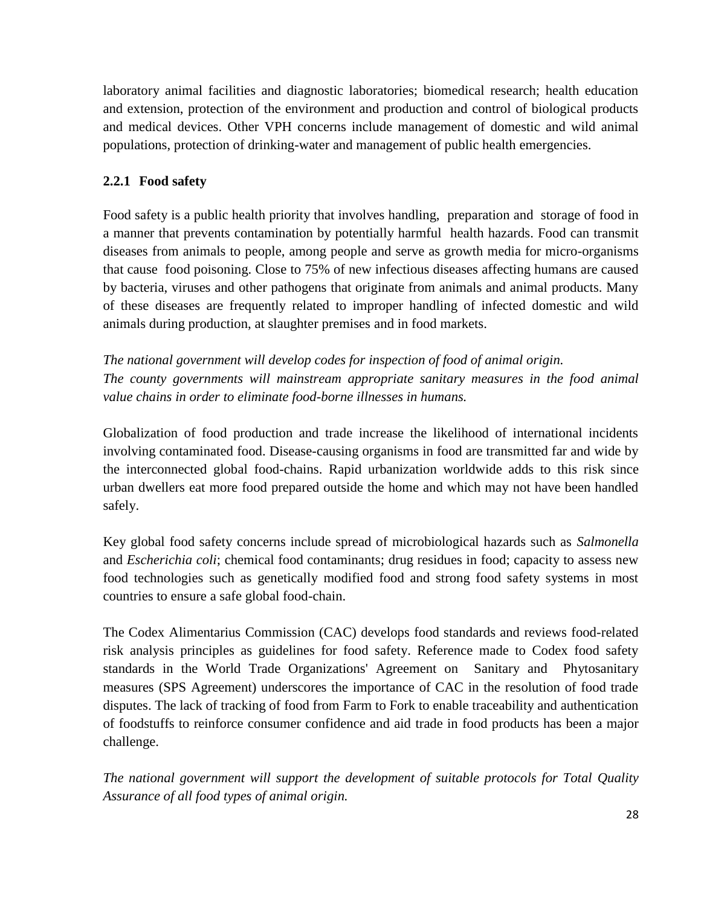laboratory animal facilities and diagnostic laboratories; biomedical research; health education and extension, protection of the environment and production and control of biological products and medical devices. Other VPH concerns include management of domestic and wild animal populations, protection of drinking-water and management of public health emergencies.

# <span id="page-27-0"></span>**2.2.1 Food safety**

Food safety is a public health priority that involves handling, [preparation](http://en.wikipedia.org/wiki/Food_processing) and [storage of food](http://en.wikipedia.org/wiki/Food_storage) in a manner that prevents contamination by potentially harmful [health hazards.](http://en.wikipedia.org/wiki/Health) Food can transmit diseases from animals to people, among people and serve as growth media for micro-organisms that cause [food poisoning.](http://en.wikipedia.org/wiki/Food_poisoning) Close to 75% of new infectious diseases affecting humans are caused by bacteria, viruses and other pathogens that originate from animals and animal products. Many of these diseases are frequently related to improper handling of infected domestic and wild animals during production, at slaughter premises and in food markets.

*The national government will develop codes for inspection of food of animal origin. The county governments will mainstream appropriate sanitary measures in the food animal value chains in order to eliminate food-borne illnesses in humans.*

Globalization of food production and trade increase the likelihood of international incidents involving contaminated food. Disease-causing organisms in food are transmitted far and wide by the interconnected global food-chains. Rapid urbanization worldwide adds to this risk since urban dwellers eat more food prepared outside the home and which may not have been handled safely.

Key global food safety concerns include spread of microbiological hazards such as *Salmonella* and *Escherichia coli*; chemical food contaminants; drug residues in food; capacity to assess new food technologies such as genetically modified food and strong food safety systems in most countries to ensure a safe global food-chain.

The [Codex Alimentarius](http://en.wikipedia.org/wiki/Codex_Alimentarius) Commission (CAC) develops food standards and reviews food-related risk analysis principles as guidelines for food safety. Reference made to Codex food safety standards in the World Trade Organizations' Agreement on [Sanitary](http://en.wikipedia.org/wiki/Sanitary) and [Phytosanitary](http://en.wiktionary.org/wiki/Phytosanitary) measures (SPS Agreement) underscores the importance of CAC in the resolution of food trade disputes. The lack of tracking of food from Farm to Fork to enable traceability and authentication of foodstuffs to reinforce consumer confidence and aid trade in food products has been a major challenge.

*The national government will support the development of suitable protocols for Total Quality Assurance of all food types of animal origin.*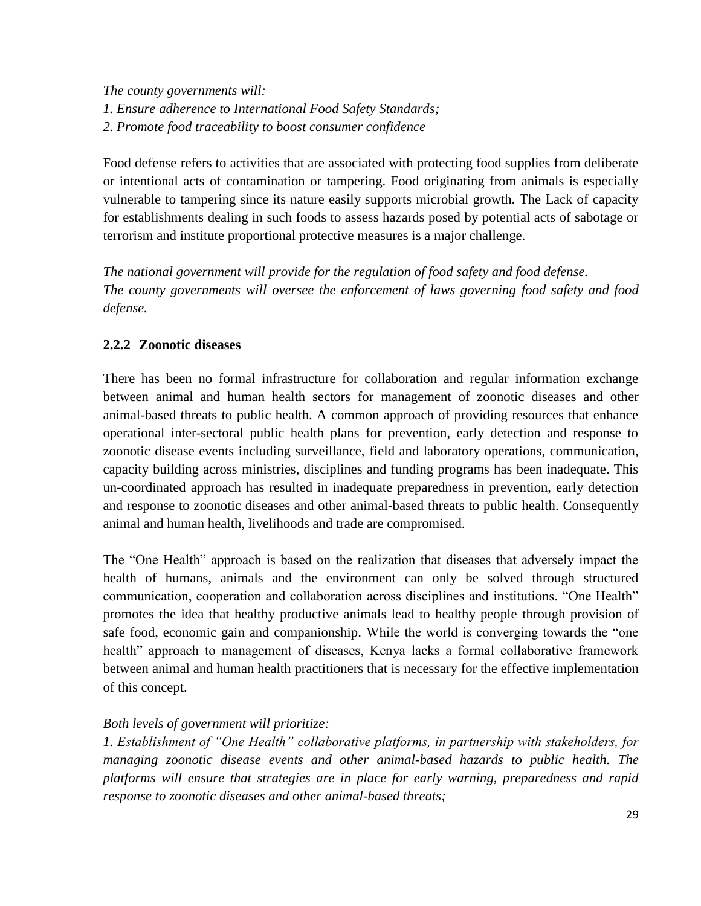*The county governments will: 1. Ensure adherence to International Food Safety Standards; 2. Promote food traceability to boost consumer confidence*

Food defense refers to activities that are associated with protecting food supplies from deliberate or intentional acts of contamination or tampering. Food originating from animals is especially vulnerable to tampering since its nature easily supports microbial growth. The Lack of capacity for establishments dealing in such foods to assess hazards posed by potential acts of sabotage or terrorism and institute proportional protective measures is a major challenge.

*The national government will provide for the regulation of food safety and food defense. The county governments will oversee the enforcement of laws governing food safety and food defense.* 

# <span id="page-28-0"></span>**2.2.2 Zoonotic diseases**

There has been no formal infrastructure for collaboration and regular information exchange between animal and human health sectors for management of zoonotic diseases and other animal-based threats to public health. A common approach of providing resources that enhance operational inter-sectoral public health plans for prevention, early detection and response to zoonotic disease events including surveillance, field and laboratory operations, communication, capacity building across ministries, disciplines and funding programs has been inadequate. This un-coordinated approach has resulted in inadequate preparedness in prevention, early detection and response to zoonotic diseases and other animal-based threats to public health. Consequently animal and human health, livelihoods and trade are compromised.

The "One Health" approach is based on the realization that diseases that adversely impact the health of humans, animals and the environment can only be solved through structured communication, cooperation and collaboration across disciplines and institutions. "One Health" promotes the idea that healthy productive animals lead to healthy people through provision of safe food, economic gain and companionship. While the world is converging towards the "one health" approach to management of diseases, Kenya lacks a formal collaborative framework between animal and human health practitioners that is necessary for the effective implementation of this concept.

# *Both levels of government will prioritize:*

*1. Establishment of "One Health" collaborative platforms, in partnership with stakeholders, for managing zoonotic disease events and other animal-based hazards to public health. The platforms will ensure that strategies are in place for early warning, preparedness and rapid response to zoonotic diseases and other animal-based threats;*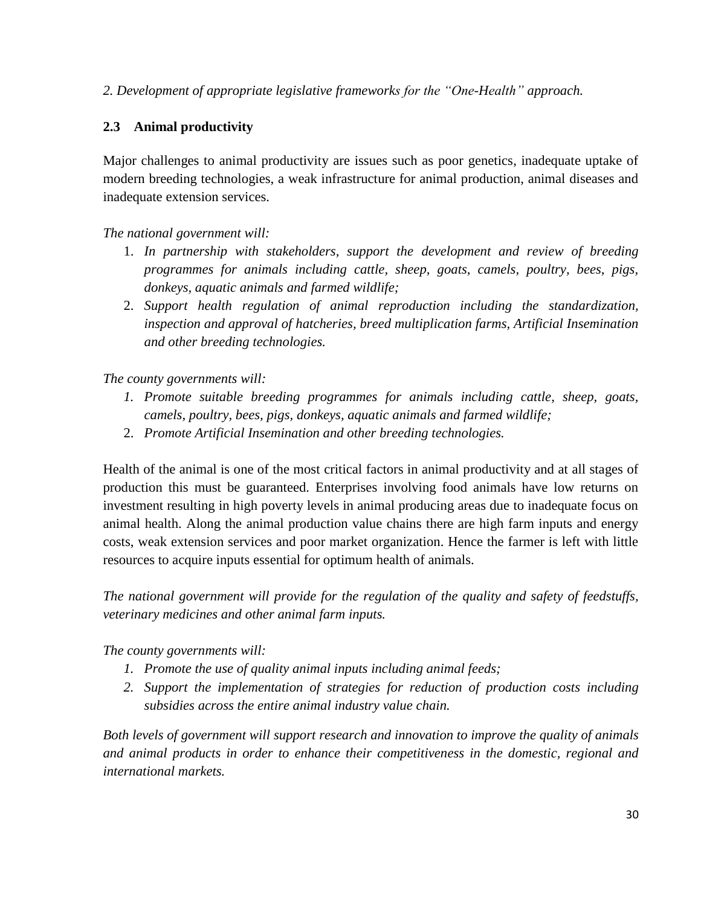# *2. Development of appropriate legislative frameworks for the "One-Health" approach.*

# <span id="page-29-0"></span>**2.3 Animal productivity**

Major challenges to animal productivity are issues such as poor genetics, inadequate uptake of modern breeding technologies, a weak infrastructure for animal production, animal diseases and inadequate extension services.

*The national government will:*

- 1. *In partnership with stakeholders, support the development and review of breeding programmes for animals including cattle, sheep, goats, camels, poultry, bees, pigs, donkeys, aquatic animals and farmed wildlife;*
- 2. *Support health regulation of animal reproduction including the standardization, inspection and approval of hatcheries, breed multiplication farms, Artificial Insemination and other breeding technologies.*

*The county governments will:*

- *1. Promote suitable breeding programmes for animals including cattle, sheep, goats, camels, poultry, bees, pigs, donkeys, aquatic animals and farmed wildlife;*
- 2. *Promote Artificial Insemination and other breeding technologies.*

Health of the animal is one of the most critical factors in animal productivity and at all stages of production this must be guaranteed. Enterprises involving food animals have low returns on investment resulting in high poverty levels in animal producing areas due to inadequate focus on animal health. Along the animal production value chains there are high farm inputs and energy costs, weak extension services and poor market organization. Hence the farmer is left with little resources to acquire inputs essential for optimum health of animals.

*The national government will provide for the regulation of the quality and safety of feedstuffs, veterinary medicines and other animal farm inputs.* 

*The county governments will:*

- *1. Promote the use of quality animal inputs including animal feeds;*
- *2. Support the implementation of strategies for reduction of production costs including subsidies across the entire animal industry value chain.*

*Both levels of government will support research and innovation to improve the quality of animals and animal products in order to enhance their competitiveness in the domestic, regional and international markets.*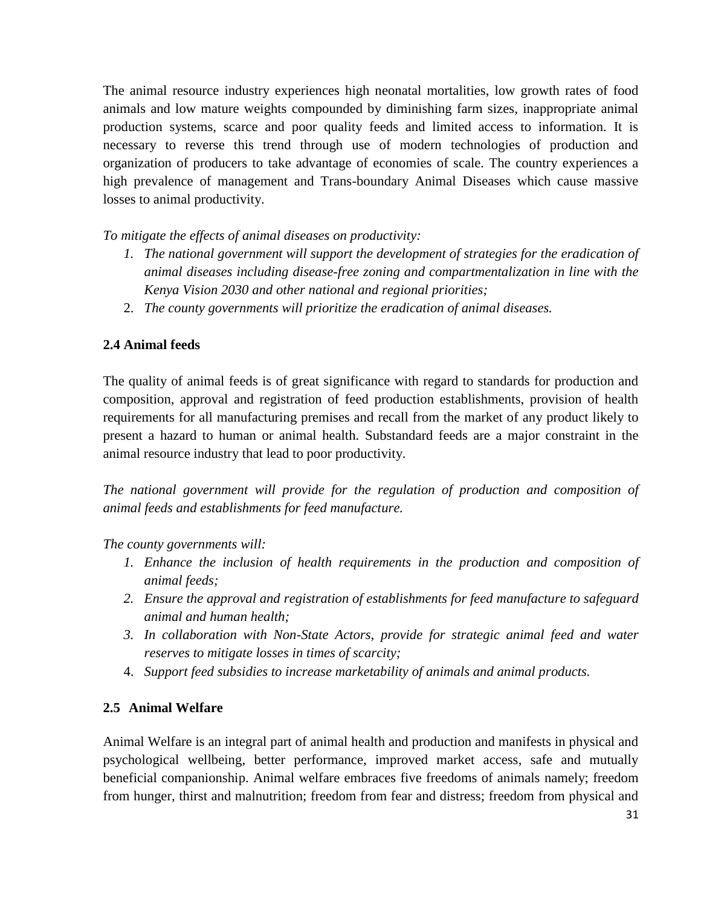The animal resource industry experiences high neonatal mortalities, low growth rates of food animals and low mature weights compounded by diminishing farm sizes, inappropriate animal production systems, scarce and poor quality feeds and limited access to information. It is necessary to reverse this trend through use of modern technologies of production and organization of producers to take advantage of economies of scale. The country experiences a high prevalence of management and Trans-boundary Animal Diseases which cause massive losses to animal productivity.

*To mitigate the effects of animal diseases on productivity:*

- *1. The national government will support the development of strategies for the eradication of animal diseases including disease-free zoning and compartmentalization in line with the Kenya Vision 2030 and other national and regional priorities;*
- 2. *The county governments will prioritize the eradication of animal diseases.*

# **2.4 Animal feeds**

The quality of animal feeds is of great significance with regard to standards for production and composition, approval and registration of feed production establishments, provision of health requirements for all manufacturing premises and recall from the market of any product likely to present a hazard to human or animal health. Substandard feeds are a major constraint in the animal resource industry that lead to poor productivity.

*The national government will provide for the regulation of production and composition of animal feeds and establishments for feed manufacture.*

# *The county governments will:*

- *1. Enhance the inclusion of health requirements in the production and composition of animal feeds;*
- *2. Ensure the approval and registration of establishments for feed manufacture to safeguard animal and human health;*
- *3. In collaboration with Non-State Actors, provide for strategic animal feed and water reserves to mitigate losses in times of scarcity;*
- 4. *Support feed subsidies to increase marketability of animals and animal products.*

# <span id="page-30-0"></span>**2.5 Animal Welfare**

Animal Welfare is an integral part of animal health and production and manifests in physical and psychological wellbeing, better performance, improved market access, safe and mutually beneficial companionship. Animal welfare embraces five freedoms of animals namely; freedom from hunger, thirst and malnutrition; freedom from fear and distress; freedom from physical and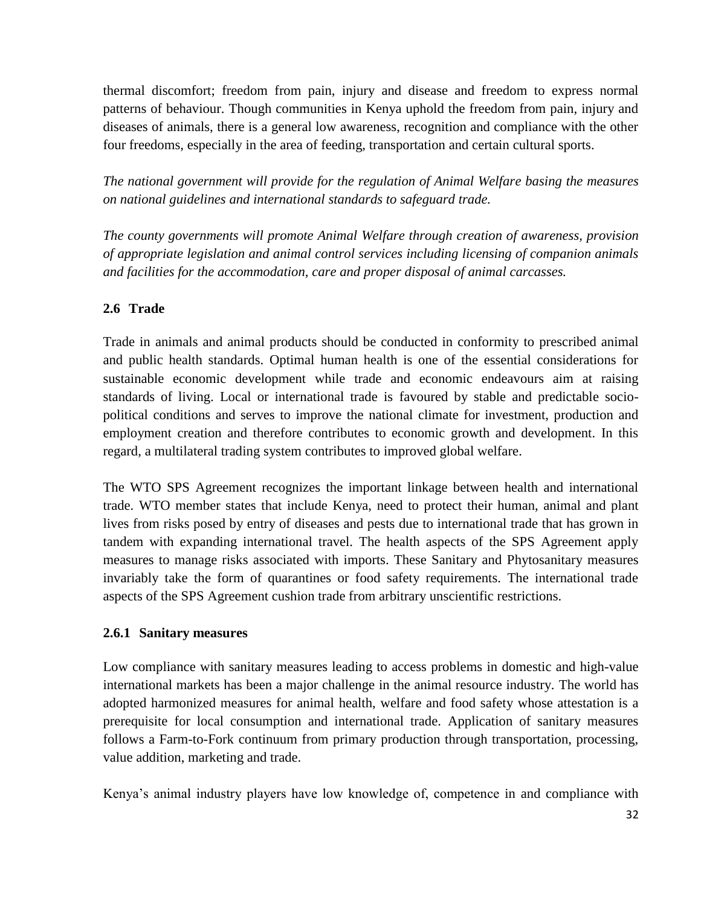thermal discomfort; freedom from pain, injury and disease and freedom to express normal patterns of behaviour. Though communities in Kenya uphold the freedom from pain, injury and diseases of animals, there is a general low awareness, recognition and compliance with the other four freedoms, especially in the area of feeding, transportation and certain cultural sports.

*The national government will provide for the regulation of Animal Welfare basing the measures on national guidelines and international standards to safeguard trade.* 

*The county governments will promote Animal Welfare through creation of awareness, provision of appropriate legislation and animal control services including licensing of companion animals and facilities for the accommodation, care and proper disposal of animal carcasses.*

# <span id="page-31-0"></span>**2.6 Trade**

Trade in animals and animal products should be conducted in conformity to prescribed animal and public health standards. Optimal human health is one of the essential considerations for sustainable economic development while trade and economic endeavours aim at raising standards of living. Local or international trade is favoured by stable and predictable sociopolitical conditions and serves to improve the national climate for investment, production and employment creation and therefore contributes to economic growth and development. In this regard, a multilateral trading system contributes to improved global welfare.

The WTO SPS Agreement recognizes the important linkage between health and international trade. WTO member states that include Kenya, need to protect their human, animal and plant lives from risks posed by entry of diseases and pests due to international trade that has grown in tandem with expanding international travel. The health aspects of the SPS Agreement apply measures to manage risks associated with imports. These Sanitary and Phytosanitary measures invariably take the form of quarantines or food safety requirements. The international trade aspects of the SPS Agreement cushion trade from arbitrary unscientific restrictions.

# <span id="page-31-1"></span>**2.6.1 Sanitary measures**

Low compliance with sanitary measures leading to access problems in domestic and high-value international markets has been a major challenge in the animal resource industry. The world has adopted harmonized measures for animal health, welfare and food safety whose attestation is a prerequisite for local consumption and international trade. Application of sanitary measures follows a Farm-to-Fork continuum from primary production through transportation, processing, value addition, marketing and trade.

Kenya's animal industry players have low knowledge of, competence in and compliance with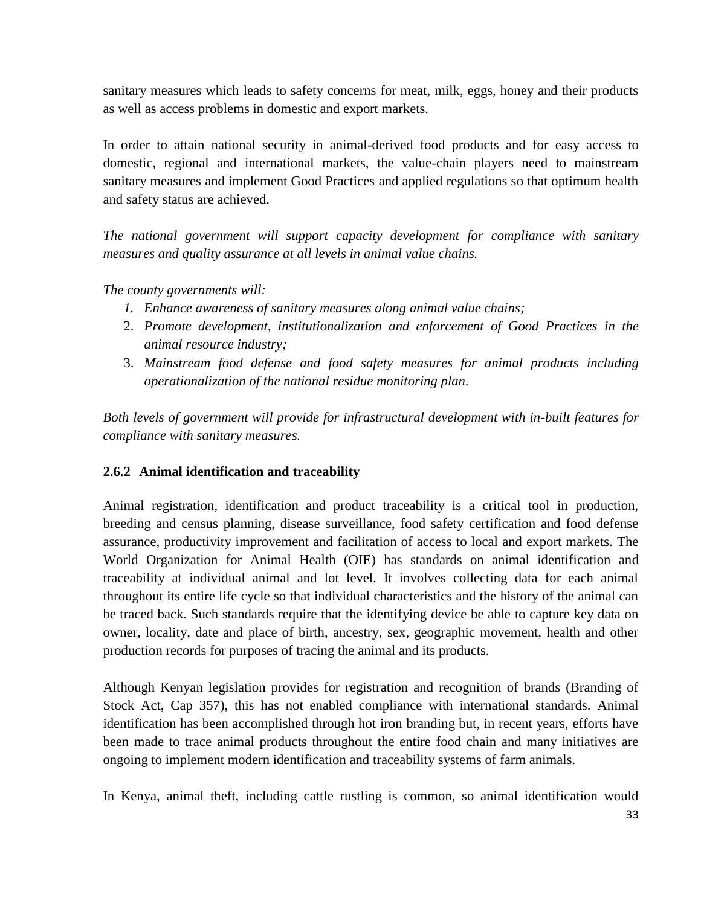sanitary measures which leads to safety concerns for meat, milk, eggs, honey and their products as well as access problems in domestic and export markets.

In order to attain national security in animal-derived food products and for easy access to domestic, regional and international markets, the value-chain players need to mainstream sanitary measures and implement Good Practices and applied regulations so that optimum health and safety status are achieved.

*The national government will support capacity development for compliance with sanitary measures and quality assurance at all levels in animal value chains.*

*The county governments will:*

- *1. Enhance awareness of sanitary measures along animal value chains;*
- 2. *Promote development, institutionalization and enforcement of Good Practices in the animal resource industry;*
- 3. *Mainstream food defense and food safety measures for animal products including operationalization of the national residue monitoring plan.*

*Both levels of government will provide for infrastructural development with in-built features for compliance with sanitary measures.*

# <span id="page-32-0"></span>**2.6.2 Animal identification and traceability**

Animal registration, identification and product traceability is a critical tool in production, breeding and census planning, disease surveillance, food safety certification and food defense assurance, productivity improvement and facilitation of access to local and export markets. The World Organization for Animal Health (OIE) has standards on animal identification and traceability at individual animal and lot level. It involves collecting data for each animal throughout its entire life cycle so that individual characteristics and the history of the animal can be traced back. Such standards require that the identifying device be able to capture key data on owner, locality, date and place of birth, ancestry, sex, geographic movement, health and other production records for purposes of tracing the animal and its products.

Although Kenyan legislation provides for registration and recognition of brands (Branding of Stock Act, Cap 357), this has not enabled compliance with international standards. Animal identification has been accomplished through hot iron branding but, in recent years, efforts have been made to trace animal products throughout the entire food chain and many initiatives are ongoing to implement modern identification and traceability systems of farm animals.

In Kenya, animal theft, including cattle rustling is common, so animal identification would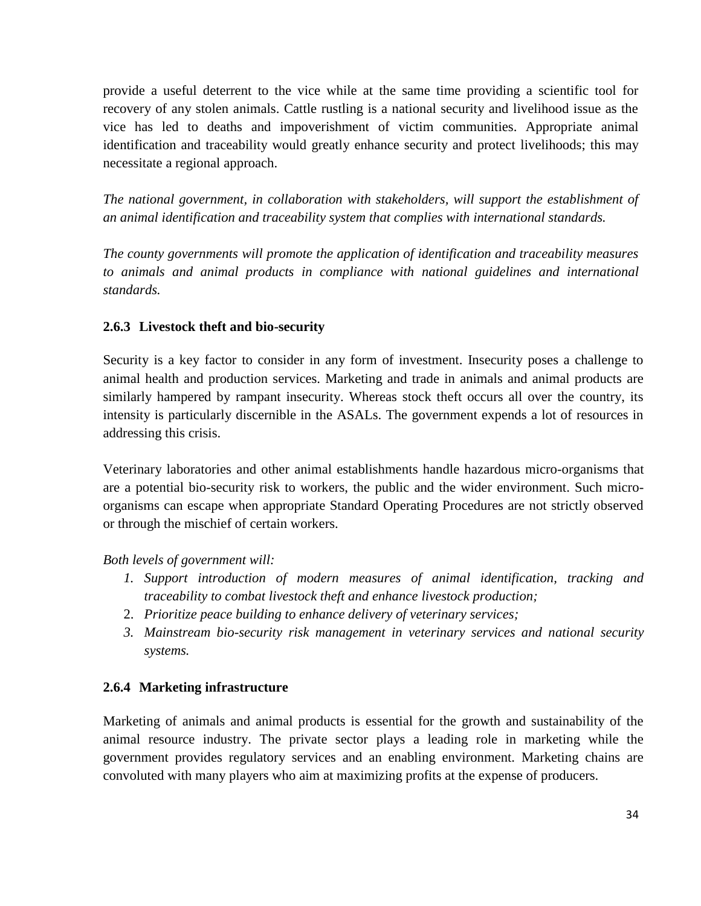provide a useful deterrent to the vice while at the same time providing a scientific tool for recovery of any stolen animals. Cattle rustling is a national security and livelihood issue as the vice has led to deaths and impoverishment of victim communities. Appropriate animal identification and traceability would greatly enhance security and protect livelihoods; this may necessitate a regional approach.

*The national government, in collaboration with stakeholders, will support the establishment of an animal identification and traceability system that complies with international standards.*

*The county governments will promote the application of identification and traceability measures to animals and animal products in compliance with national guidelines and international standards.*

# <span id="page-33-0"></span>**2.6.3 Livestock theft and bio-security**

Security is a key factor to consider in any form of investment. Insecurity poses a challenge to animal health and production services. Marketing and trade in animals and animal products are similarly hampered by rampant insecurity. Whereas stock theft occurs all over the country, its intensity is particularly discernible in the ASALs. The government expends a lot of resources in addressing this crisis.

Veterinary laboratories and other animal establishments handle hazardous micro-organisms that are a potential bio-security risk to workers, the public and the wider environment. Such microorganisms can escape when appropriate Standard Operating Procedures are not strictly observed or through the mischief of certain workers.

*Both levels of government will:*

- *1. Support introduction of modern measures of animal identification, tracking and traceability to combat livestock theft and enhance livestock production;*
- 2. *Prioritize peace building to enhance delivery of veterinary services;*
- *3. Mainstream bio-security risk management in veterinary services and national security systems.*

# <span id="page-33-1"></span>**2.6.4 Marketing infrastructure**

Marketing of animals and animal products is essential for the growth and sustainability of the animal resource industry. The private sector plays a leading role in marketing while the government provides regulatory services and an enabling environment. Marketing chains are convoluted with many players who aim at maximizing profits at the expense of producers.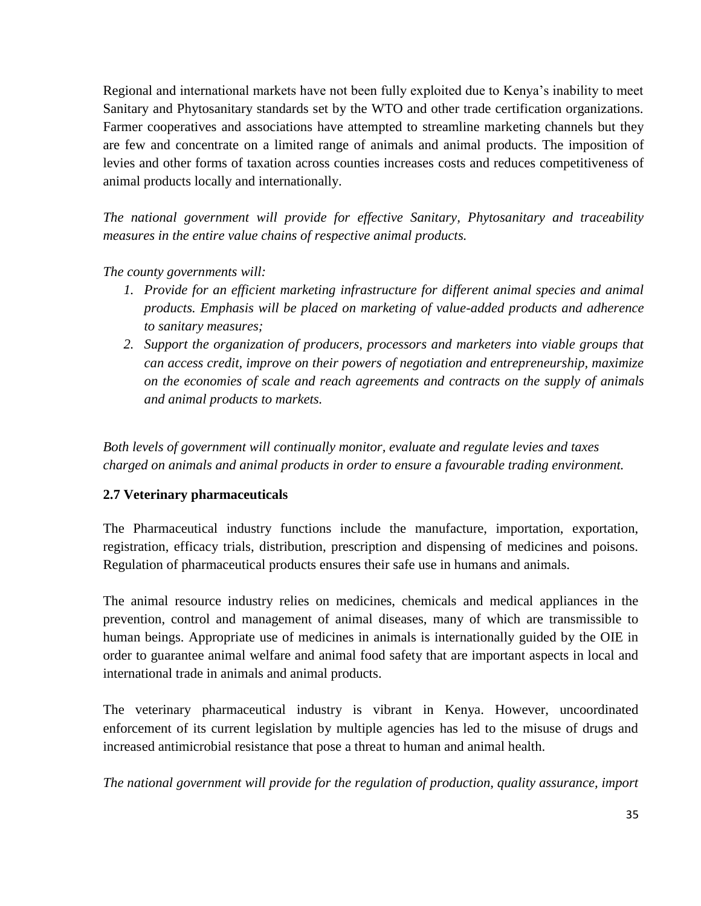Regional and international markets have not been fully exploited due to Kenya's inability to meet Sanitary and Phytosanitary standards set by the WTO and other trade certification organizations. Farmer cooperatives and associations have attempted to streamline marketing channels but they are few and concentrate on a limited range of animals and animal products. The imposition of levies and other forms of taxation across counties increases costs and reduces competitiveness of animal products locally and internationally.

*The national government will provide for effective Sanitary, Phytosanitary and traceability measures in the entire value chains of respective animal products.*

# *The county governments will:*

- *1. Provide for an efficient marketing infrastructure for different animal species and animal products. Emphasis will be placed on marketing of value-added products and adherence to sanitary measures;*
- *2. Support the organization of producers, processors and marketers into viable groups that can access credit, improve on their powers of negotiation and entrepreneurship, maximize on the economies of scale and reach agreements and contracts on the supply of animals and animal products to markets.*

*Both levels of government will continually monitor, evaluate and regulate levies and taxes charged on animals and animal products in order to ensure a favourable trading environment.*

# <span id="page-34-0"></span>**2.7 Veterinary pharmaceuticals**

The Pharmaceutical industry functions include the manufacture, importation, exportation, registration, efficacy trials, distribution, prescription and dispensing of medicines and poisons. Regulation of pharmaceutical products ensures their safe use in humans and animals.

The animal resource industry relies on medicines, chemicals and medical appliances in the prevention, control and management of animal diseases, many of which are transmissible to human beings. Appropriate use of medicines in animals is internationally guided by the OIE in order to guarantee animal welfare and animal food safety that are important aspects in local and international trade in animals and animal products.

The veterinary pharmaceutical industry is vibrant in Kenya. However, uncoordinated enforcement of its current legislation by multiple agencies has led to the misuse of drugs and increased antimicrobial resistance that pose a threat to human and animal health.

*The national government will provide for the regulation of production, quality assurance, import*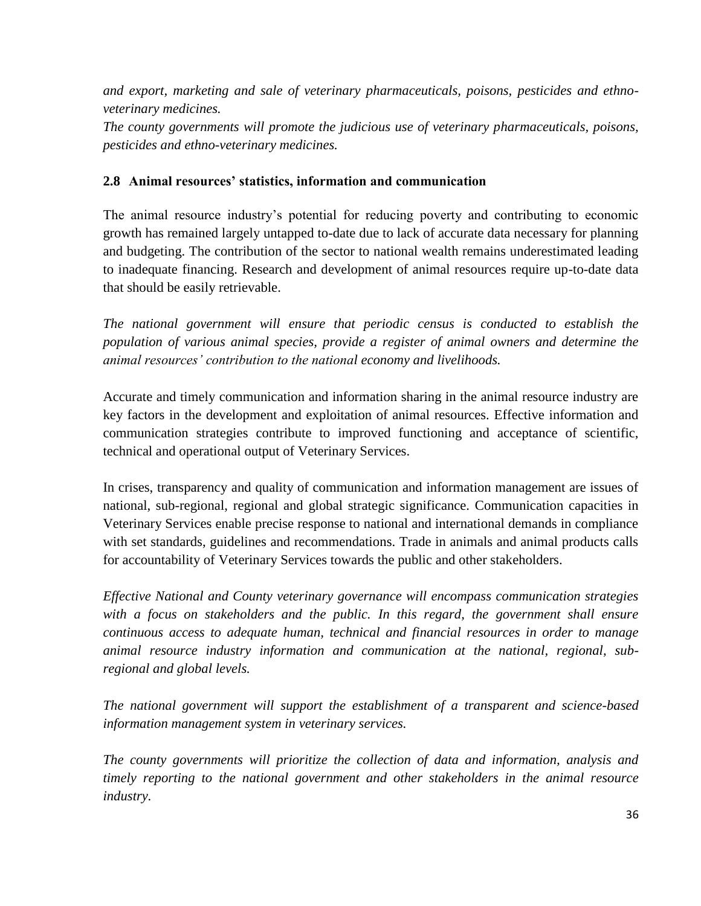*and export, marketing and sale of veterinary pharmaceuticals, poisons, pesticides and ethnoveterinary medicines.*

*The county governments will promote the judicious use of veterinary pharmaceuticals, poisons, pesticides and ethno-veterinary medicines.*

# <span id="page-35-0"></span>**2.8 Animal resources' statistics, information and communication**

The animal resource industry's potential for reducing poverty and contributing to economic growth has remained largely untapped to-date due to lack of accurate data necessary for planning and budgeting. The contribution of the sector to national wealth remains underestimated leading to inadequate financing. Research and development of animal resources require up-to-date data that should be easily retrievable.

*The national government will ensure that periodic census is conducted to establish the population of various animal species, provide a register of animal owners and determine the animal resources' contribution to the national economy and livelihoods.* 

Accurate and timely communication and information sharing in the animal resource industry are key factors in the development and exploitation of animal resources. Effective information and communication strategies contribute to improved functioning and acceptance of scientific, technical and operational output of Veterinary Services.

In crises, transparency and quality of communication and information management are issues of national, sub-regional, regional and global strategic significance. Communication capacities in Veterinary Services enable precise response to national and international demands in compliance with set standards, guidelines and recommendations. Trade in animals and animal products calls for accountability of Veterinary Services towards the public and other stakeholders.

*Effective National and County veterinary governance will encompass communication strategies with a focus on stakeholders and the public. In this regard, the government shall ensure continuous access to adequate human, technical and financial resources in order to manage animal resource industry information and communication at the national, regional, subregional and global levels.*

*The national government will support the establishment of a transparent and science-based information management system in veterinary services.*

*The county governments will prioritize the collection of data and information, analysis and timely reporting to the national government and other stakeholders in the animal resource industry.*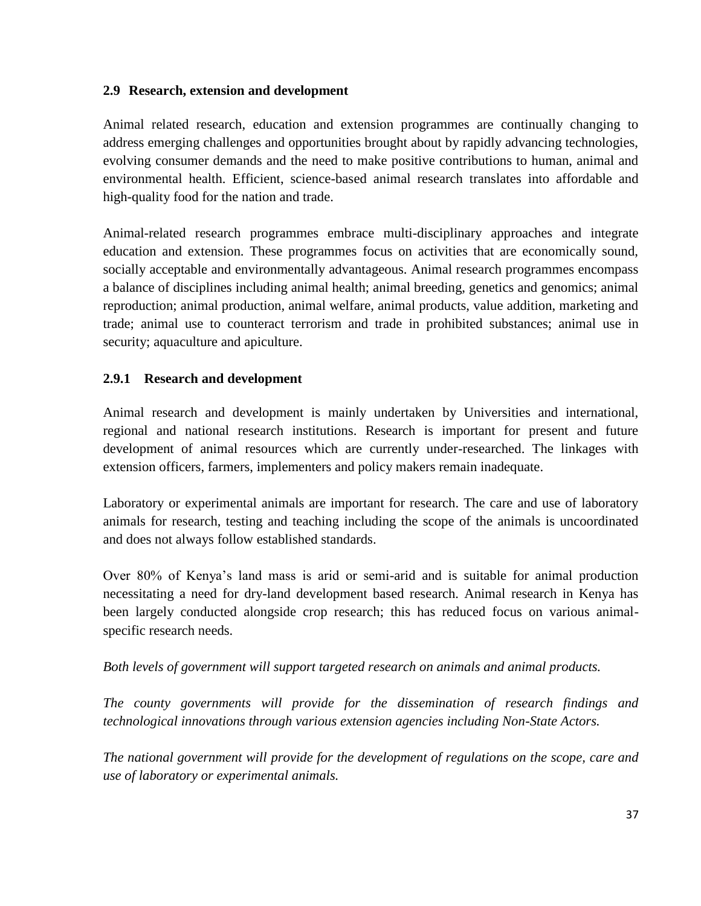### <span id="page-36-0"></span>**2.9 Research, extension and development**

Animal related research, education and extension programmes are continually changing to address emerging challenges and opportunities brought about by rapidly advancing technologies, evolving consumer demands and the need to make positive contributions to human, animal and environmental health. Efficient, science-based animal research translates into affordable and high-quality food for the nation and trade.

Animal-related research programmes embrace multi-disciplinary approaches and integrate education and extension. These programmes focus on activities that are economically sound, socially acceptable and environmentally advantageous. Animal research programmes encompass a balance of disciplines including animal health; animal breeding, genetics and genomics; animal reproduction; animal production, animal welfare, animal products, value addition, marketing and trade; animal use to counteract terrorism and trade in prohibited substances; animal use in security; aquaculture and apiculture.

# <span id="page-36-1"></span>**2.9.1 Research and development**

Animal research and development is mainly undertaken by Universities and international, regional and national research institutions. Research is important for present and future development of animal resources which are currently under-researched. The linkages with extension officers, farmers, implementers and policy makers remain inadequate.

Laboratory or experimental animals are important for research. The care and use of laboratory animals for research, testing and teaching including the scope of the animals is uncoordinated and does not always follow established standards.

Over 80% of Kenya's land mass is arid or semi-arid and is suitable for animal production necessitating a need for dry-land development based research. Animal research in Kenya has been largely conducted alongside crop research; this has reduced focus on various animalspecific research needs.

# *Both levels of government will support targeted research on animals and animal products.*

*The county governments will provide for the dissemination of research findings and technological innovations through various extension agencies including Non-State Actors.*

*The national government will provide for the development of regulations on the scope, care and use of laboratory or experimental animals.*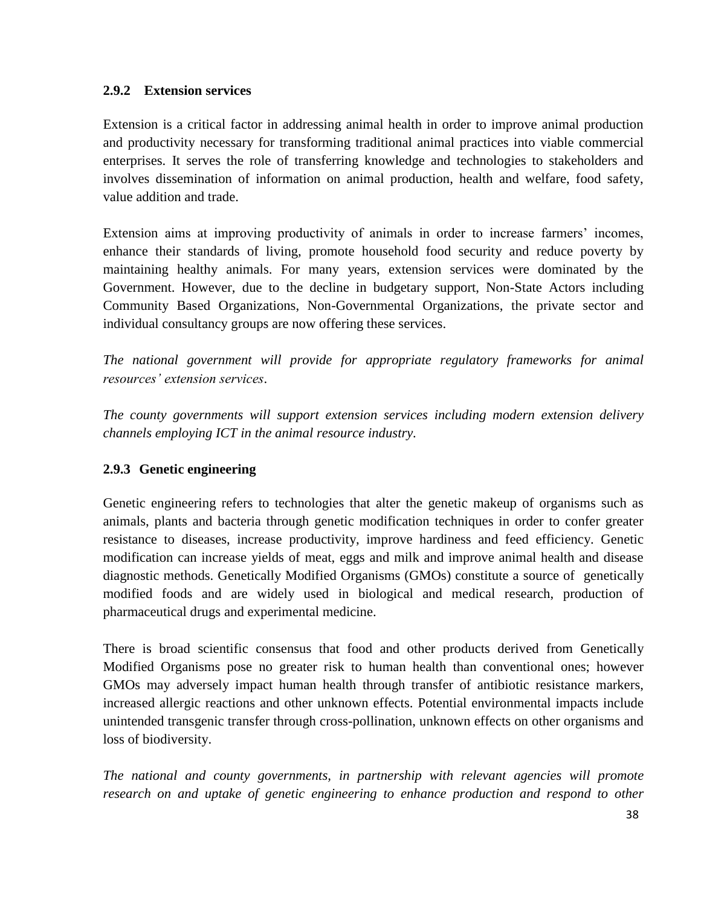# <span id="page-37-0"></span>**2.9.2 Extension services**

Extension is a critical factor in addressing animal health in order to improve animal production and productivity necessary for transforming traditional animal practices into viable commercial enterprises. It serves the role of transferring knowledge and technologies to stakeholders and involves dissemination of information on animal production, health and welfare, food safety, value addition and trade.

Extension aims at improving productivity of animals in order to increase farmers' incomes, enhance their standards of living, promote household food security and reduce poverty by maintaining healthy animals. For many years, extension services were dominated by the Government. However, due to the decline in budgetary support, Non-State Actors including Community Based Organizations, Non-Governmental Organizations, the private sector and individual consultancy groups are now offering these services.

*The national government will provide for appropriate regulatory frameworks for animal resources' extension services*.

*The county governments will support extension services including modern extension delivery channels employing ICT in the animal resource industry.*

# <span id="page-37-1"></span>**2.9.3 Genetic engineering**

Genetic engineering refers to technologies that alter the genetic makeup of organisms such as animals, plants and bacteria through genetic modification techniques in order to confer greater resistance to diseases, increase productivity, improve hardiness and feed efficiency. Genetic modification can increase yields of meat, eggs and milk and improve animal health and disease diagnostic methods. Genetically Modified Organisms (GMOs) constitute a source of [genetically](http://en.wikipedia.org/wiki/Genetically_modified_food)  [modified foods](http://en.wikipedia.org/wiki/Genetically_modified_food) and are widely used in biological and medical research, production of [pharmaceutical drugs](http://en.wikipedia.org/wiki/Pharmaceutical_drug) and experimental medicine.

There is broad scientific consensus that food and other products derived from Genetically Modified Organisms pose no greater risk to human health than conventional ones; however GMOs may adversely impact human health through transfer of antibiotic resistance markers, increased allergic reactions and other unknown effects. Potential environmental impacts include unintended transgenic transfer through cross-pollination, unknown effects on other organisms and loss of biodiversity.

*The national and county governments, in partnership with relevant agencies will promote research on and uptake of genetic engineering to enhance production and respond to other*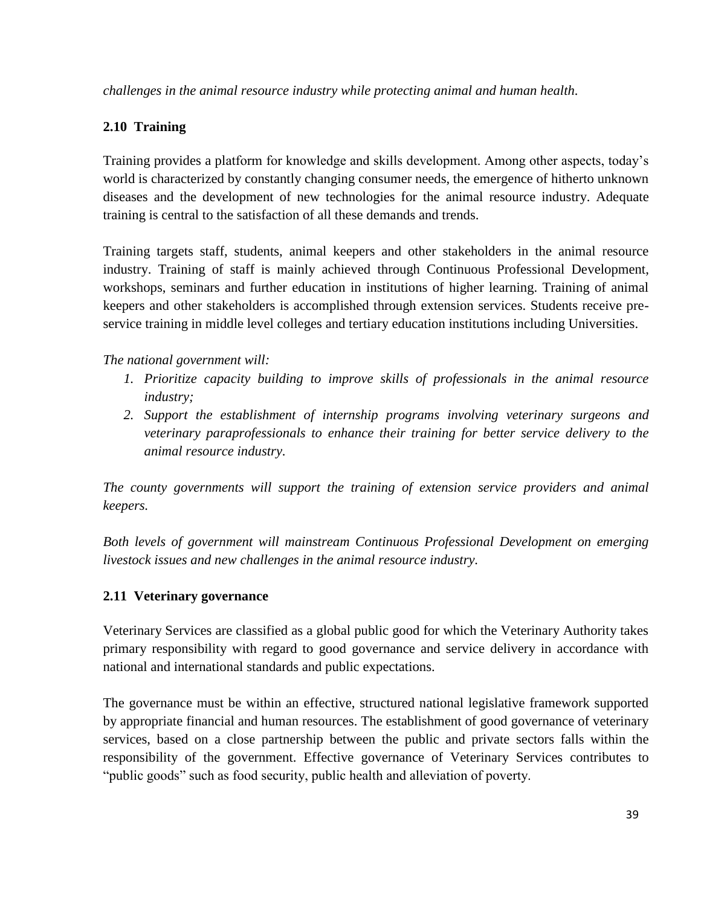*challenges in the animal resource industry while protecting animal and human health.* 

# <span id="page-38-0"></span>**2.10 Training**

Training provides a platform for knowledge and skills development. Among other aspects, today's world is characterized by constantly changing consumer needs, the emergence of hitherto unknown diseases and the development of new technologies for the animal resource industry. Adequate training is central to the satisfaction of all these demands and trends.

Training targets staff, students, animal keepers and other stakeholders in the animal resource industry. Training of staff is mainly achieved through Continuous Professional Development, workshops, seminars and further education in institutions of higher learning. Training of animal keepers and other stakeholders is accomplished through extension services. Students receive preservice training in middle level colleges and tertiary education institutions including Universities.

*The national government will:*

- *1. Prioritize capacity building to improve skills of professionals in the animal resource industry;*
- *2. Support the establishment of internship programs involving veterinary surgeons and veterinary paraprofessionals to enhance their training for better service delivery to the animal resource industry.*

*The county governments will support the training of extension service providers and animal keepers.*

*Both levels of government will mainstream Continuous Professional Development on emerging livestock issues and new challenges in the animal resource industry.*

# <span id="page-38-1"></span>**2.11 Veterinary governance**

Veterinary Services are classified as a global public good for which the Veterinary Authority takes primary responsibility with regard to good governance and service delivery in accordance with national and international standards and public expectations.

The governance must be within an effective, structured national legislative framework supported by appropriate financial and human resources. The establishment of good governance of veterinary services, based on a close partnership between the public and private sectors falls within the responsibility of the government. Effective governance of Veterinary Services contributes to "public goods" such as food security, public health and alleviation of poverty.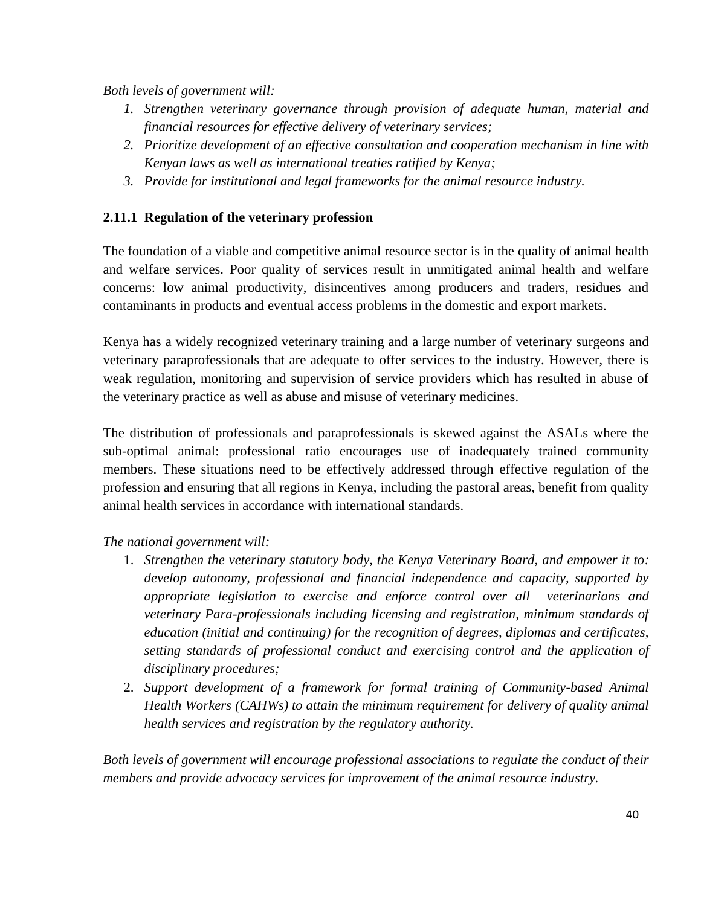*Both levels of government will:* 

- *1. Strengthen veterinary governance through provision of adequate human, material and financial resources for effective delivery of veterinary services;*
- *2. Prioritize development of an effective consultation and cooperation mechanism in line with Kenyan laws as well as international treaties ratified by Kenya;*
- *3. Provide for institutional and legal frameworks for the animal resource industry.*

# <span id="page-39-0"></span>**2.11.1 Regulation of the veterinary profession**

The foundation of a viable and competitive animal resource sector is in the quality of animal health and welfare services. Poor quality of services result in unmitigated animal health and welfare concerns: low animal productivity, disincentives among producers and traders, residues and contaminants in products and eventual access problems in the domestic and export markets.

Kenya has a widely recognized veterinary training and a large number of veterinary surgeons and veterinary paraprofessionals that are adequate to offer services to the industry. However, there is weak regulation, monitoring and supervision of service providers which has resulted in abuse of the veterinary practice as well as abuse and misuse of veterinary medicines.

The distribution of professionals and paraprofessionals is skewed against the ASALs where the sub-optimal animal: professional ratio encourages use of inadequately trained community members. These situations need to be effectively addressed through effective regulation of the profession and ensuring that all regions in Kenya, including the pastoral areas, benefit from quality animal health services in accordance with international standards.

# *The national government will:*

- 1. *Strengthen the veterinary statutory body, the Kenya Veterinary Board, and empower it to: develop autonomy, professional and financial independence and capacity, supported by appropriate legislation to exercise and enforce control over all [veterinarians](http://www.oie.int/index.php?id=169&L=0&htmfile=glossaire.htm#terme_veterinaire) and [veterinary Para-professionals](http://www.oie.int/index.php?id=169&L=0&htmfile=glossaire.htm#terme_paraprofessionnel_veterinaire) including licensing and registration, minimum standards of education (initial and continuing) for the recognition of degrees, diplomas and certificates, setting standards of professional conduct and exercising control and the application of disciplinary procedures;*
- 2. *Support development of a framework for formal training of Community-based Animal Health Workers (CAHWs) to attain the minimum requirement for delivery of quality animal health services and registration by the regulatory authority.*

*Both levels of government will encourage professional associations to regulate the conduct of their members and provide advocacy services for improvement of the animal resource industry.*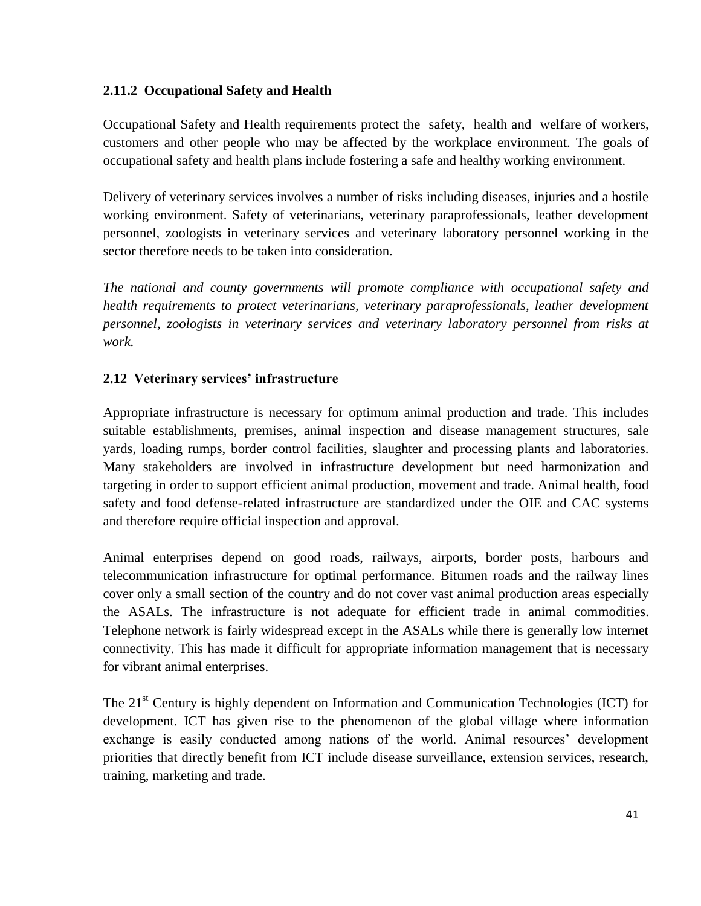# <span id="page-40-0"></span>**2.11.2 Occupational Safety and Health**

Occupational Safety and Health requirements protect the [safety,](http://en.wikipedia.org/wiki/Safety) [health](http://en.wikipedia.org/wiki/Health) and [welfare](http://en.wikipedia.org/wiki/Quality_of_life) of workers, customers and other people who may be affected by the workplace environment. The goals of occupational safety and health plans include fostering a safe and healthy working environment.

Delivery of veterinary services involves a number of risks including diseases, injuries and a hostile working environment. Safety of veterinarians, veterinary paraprofessionals, leather development personnel, zoologists in veterinary services and veterinary laboratory personnel working in the sector therefore needs to be taken into consideration.

*The national and county governments will promote compliance with occupational safety and health requirements to protect veterinarians, veterinary paraprofessionals, leather development personnel, zoologists in veterinary services and veterinary laboratory personnel from risks at work.*

# <span id="page-40-1"></span>**2.12 Veterinary services' infrastructure**

Appropriate infrastructure is necessary for optimum animal production and trade. This includes suitable establishments, premises, animal inspection and disease management structures, sale yards, loading rumps, border control facilities, slaughter and processing plants and laboratories. Many stakeholders are involved in infrastructure development but need harmonization and targeting in order to support efficient animal production, movement and trade. Animal health, food safety and food defense-related infrastructure are standardized under the OIE and CAC systems and therefore require official inspection and approval.

Animal enterprises depend on good roads, railways, airports, border posts, harbours and telecommunication infrastructure for optimal performance. Bitumen roads and the railway lines cover only a small section of the country and do not cover vast animal production areas especially the ASALs. The infrastructure is not adequate for efficient trade in animal commodities. Telephone network is fairly widespread except in the ASALs while there is generally low internet connectivity. This has made it difficult for appropriate information management that is necessary for vibrant animal enterprises.

The 21<sup>st</sup> Century is highly dependent on Information and Communication Technologies (ICT) for development. ICT has given rise to the phenomenon of the global village where information exchange is easily conducted among nations of the world. Animal resources' development priorities that directly benefit from ICT include disease surveillance, extension services, research, training, marketing and trade.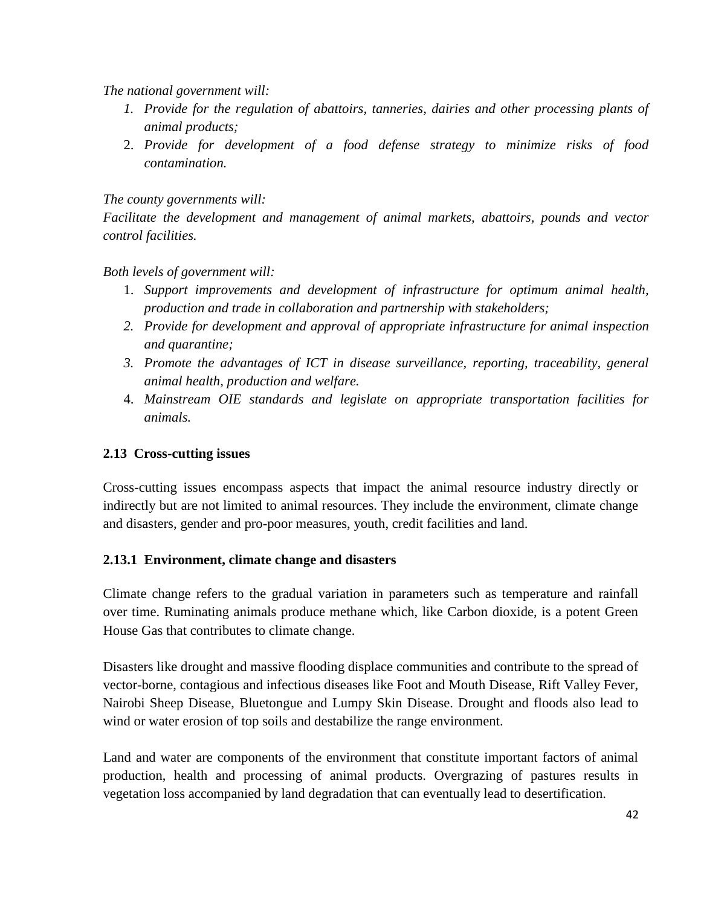*The national government will:*

- *1. Provide for the regulation of abattoirs, tanneries, dairies and other processing plants of animal products;*
- 2. *Provide for development of a food defense strategy to minimize risks of food contamination.*

# *The county governments will:*

*Facilitate the development and management of animal markets, abattoirs, pounds and vector control facilities.*

*Both levels of government will:*

- 1. *Support improvements and development of infrastructure for optimum animal health, production and trade in collaboration and partnership with stakeholders;*
- *2. Provide for development and approval of appropriate infrastructure for animal inspection and quarantine;*
- *3. Promote the advantages of ICT in disease surveillance, reporting, traceability, general animal health, production and welfare.*
- 4. *Mainstream OIE standards and legislate on appropriate transportation facilities for animals.*

# <span id="page-41-0"></span>**2.13 Cross-cutting issues**

Cross-cutting issues encompass aspects that impact the animal resource industry directly or indirectly but are not limited to animal resources. They include the environment, climate change and disasters, gender and pro-poor measures, youth, credit facilities and land.

# <span id="page-41-1"></span>**2.13.1 Environment, climate change and disasters**

Climate change refers to the gradual variation in parameters such as temperature and rainfall over time. Ruminating animals produce methane which, like Carbon dioxide, is a potent Green House Gas that contributes to climate change.

Disasters like drought and massive flooding displace communities and contribute to the spread of vector-borne, contagious and infectious diseases like Foot and Mouth Disease, Rift Valley Fever, Nairobi Sheep Disease, Bluetongue and Lumpy Skin Disease. Drought and floods also lead to wind or water erosion of top soils and destabilize the range environment.

Land and water are components of the environment that constitute important factors of animal production, health and processing of animal products. Overgrazing of pastures results in vegetation loss accompanied by land degradation that can eventually lead to desertification.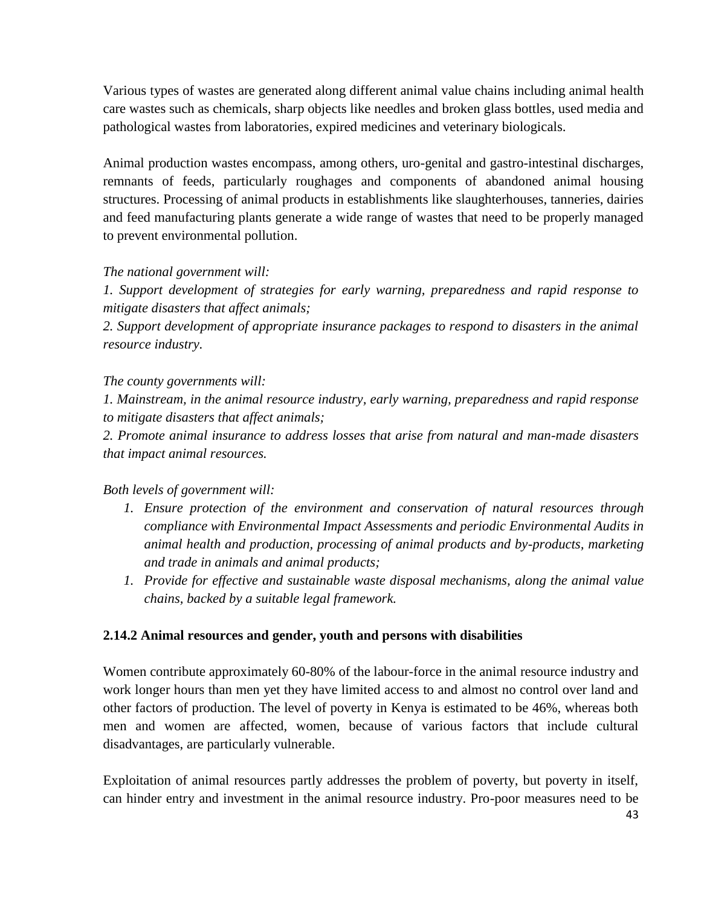Various types of wastes are generated along different animal value chains including animal health care wastes such as chemicals, sharp objects like needles and broken glass bottles, used media and pathological wastes from laboratories, expired medicines and veterinary biologicals.

Animal production wastes encompass, among others, uro-genital and gastro-intestinal discharges, remnants of feeds, particularly roughages and components of abandoned animal housing structures. Processing of animal products in establishments like slaughterhouses, tanneries, dairies and feed manufacturing plants generate a wide range of wastes that need to be properly managed to prevent environmental pollution.

#### *The national government will:*

*1. Support development of strategies for early warning, preparedness and rapid response to mitigate disasters that affect animals;*

2. Support development of appropriate insurance packages to respond to disasters in the animal *resource industry.*

#### *The county governments will:*

*1. Mainstream, in the animal resource industry, early warning, preparedness and rapid response to mitigate disasters that affect animals;*

*2. Promote animal insurance to address losses that arise from natural and man-made disasters that impact animal resources.*

# *Both levels of government will:*

- *1. Ensure protection of the environment and conservation of natural resources through compliance with Environmental Impact Assessments and periodic Environmental Audits in animal health and production, processing of animal products and by-products, marketing and trade in animals and animal products;*
- *1. Provide for effective and sustainable waste disposal mechanisms, along the animal value chains, backed by a suitable legal framework.*

# **2.14.2 Animal resources and gender, youth and persons with disabilities**

Women contribute approximately 60-80% of the labour-force in the animal resource industry and work longer hours than men yet they have limited access to and almost no control over land and other factors of production. The level of poverty in Kenya is estimated to be 46%, whereas both men and women are affected, women, because of various factors that include cultural disadvantages, are particularly vulnerable.

Exploitation of animal resources partly addresses the problem of poverty, but poverty in itself, can hinder entry and investment in the animal resource industry. Pro-poor measures need to be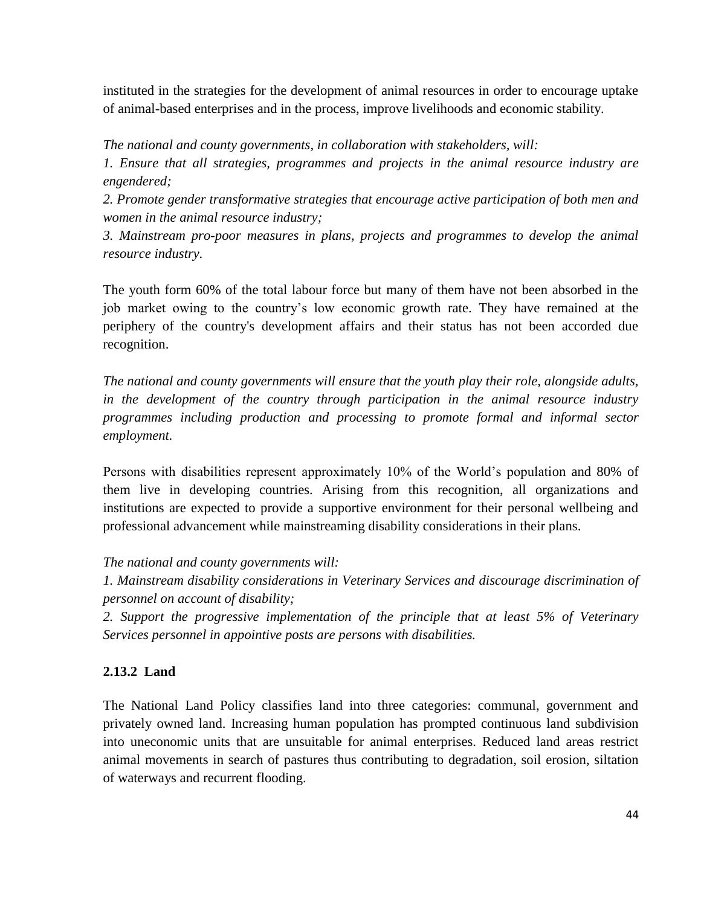instituted in the strategies for the development of animal resources in order to encourage uptake of animal-based enterprises and in the process, improve livelihoods and economic stability.

*The national and county governments, in collaboration with stakeholders, will:*

*1. Ensure that all strategies, programmes and projects in the animal resource industry are engendered;*

*2. Promote gender transformative strategies that encourage active participation of both men and women in the animal resource industry;*

*3. Mainstream pro-poor measures in plans, projects and programmes to develop the animal resource industry.*

The youth form 60% of the total labour force but many of them have not been absorbed in the job market owing to the country's low economic growth rate. They have remained at the periphery of the country's development affairs and their status has not been accorded due recognition.

*The national and county governments will ensure that the youth play their role, alongside adults, in the development of the country through participation in the animal resource industry programmes including production and processing to promote formal and informal sector employment.* 

Persons with disabilities represent approximately 10% of the World's population and 80% of them live in developing countries. Arising from this recognition, all organizations and institutions are expected to provide a supportive environment for their personal wellbeing and professional advancement while mainstreaming disability considerations in their plans.

*The national and county governments will:*

*1. Mainstream disability considerations in Veterinary Services and discourage discrimination of personnel on account of disability;*

*2. Support the progressive implementation of the principle that at least 5% of Veterinary Services personnel in appointive posts are persons with disabilities.*

# <span id="page-43-0"></span>**2.13.2 Land**

The National Land Policy classifies land into three categories: communal, government and privately owned land. Increasing human population has prompted continuous land subdivision into uneconomic units that are unsuitable for animal enterprises. Reduced land areas restrict animal movements in search of pastures thus contributing to degradation, soil erosion, siltation of waterways and recurrent flooding.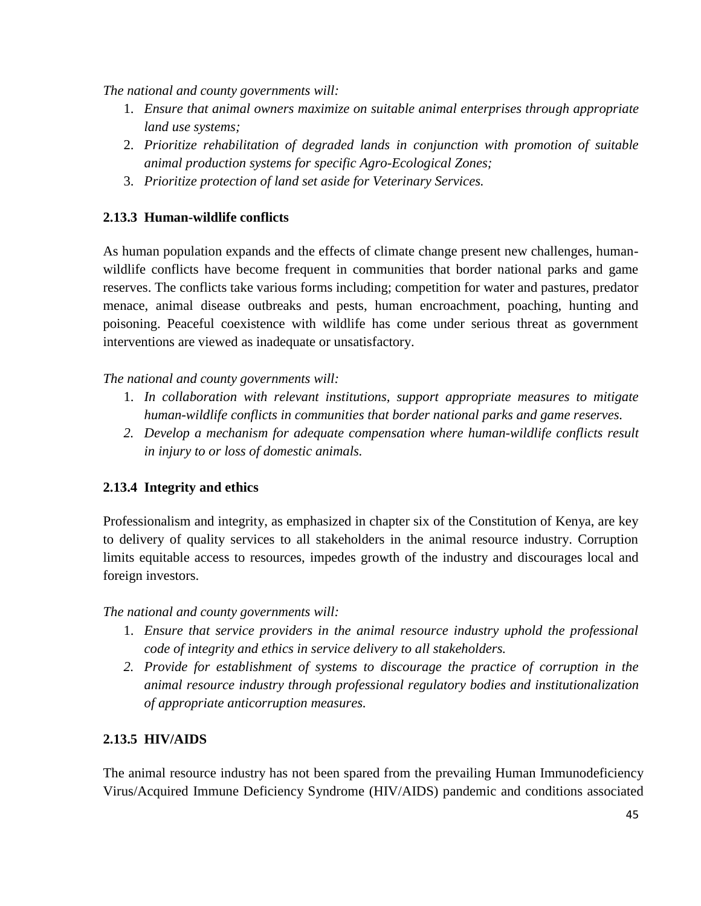*The national and county governments will:*

- 1. *Ensure that animal owners maximize on suitable animal enterprises through appropriate land use systems;*
- 2. *Prioritize rehabilitation of degraded lands in conjunction with promotion of suitable animal production systems for specific Agro-Ecological Zones;*
- 3. *Prioritize protection of land set aside for Veterinary Services.*

# <span id="page-44-0"></span>**2.13.3 Human-wildlife conflicts**

As human population expands and the effects of climate change present new challenges, humanwildlife conflicts have become frequent in communities that border national parks and game reserves. The conflicts take various forms including; competition for water and pastures, predator menace, animal disease outbreaks and pests, human encroachment, poaching, hunting and poisoning. Peaceful coexistence with wildlife has come under serious threat as government interventions are viewed as inadequate or unsatisfactory.

*The national and county governments will:*

- 1. *In collaboration with relevant institutions, support appropriate measures to mitigate human-wildlife conflicts in communities that border national parks and game reserves.*
- *2. Develop a mechanism for adequate compensation where human-wildlife conflicts result in injury to or loss of domestic animals.*

# <span id="page-44-1"></span>**2.13.4 Integrity and ethics**

Professionalism and integrity, as emphasized in chapter six of the Constitution of Kenya, are key to delivery of quality services to all stakeholders in the animal resource industry. Corruption limits equitable access to resources, impedes growth of the industry and discourages local and foreign investors.

*The national and county governments will:*

- 1. *Ensure that service providers in the animal resource industry uphold the professional code of integrity and ethics in service delivery to all stakeholders.*
- *2. Provide for establishment of systems to discourage the practice of corruption in the animal resource industry through professional regulatory bodies and institutionalization of appropriate anticorruption measures.*

# <span id="page-44-2"></span>**2.13.5 HIV/AIDS**

The animal resource industry has not been spared from the prevailing Human Immunodeficiency Virus/Acquired Immune Deficiency Syndrome (HIV/AIDS) pandemic and conditions associated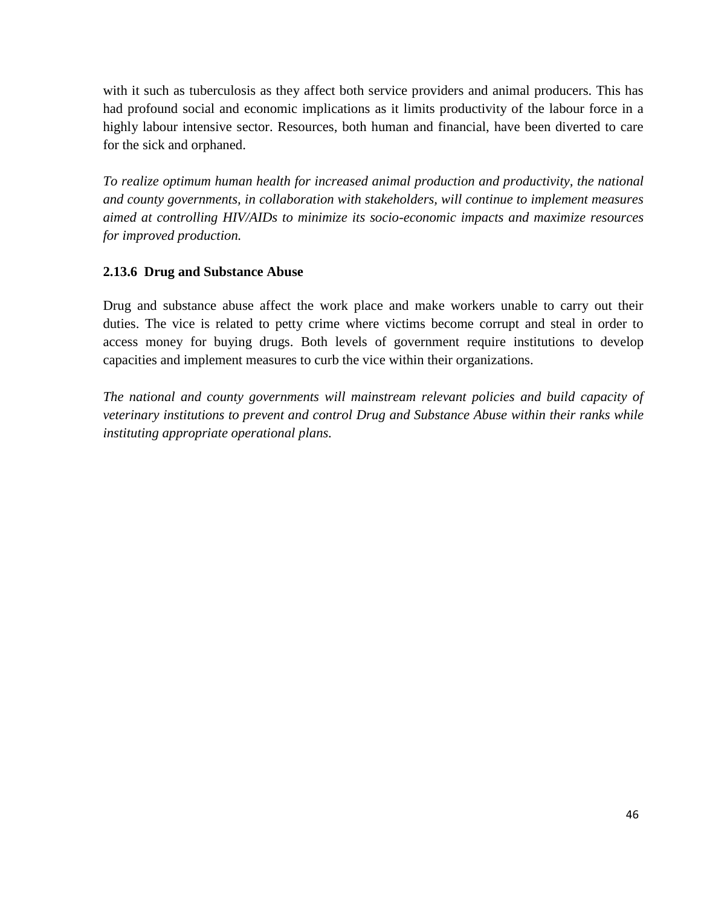with it such as tuberculosis as they affect both service providers and animal producers. This has had profound social and economic implications as it limits productivity of the labour force in a highly labour intensive sector. Resources, both human and financial, have been diverted to care for the sick and orphaned.

*To realize optimum human health for increased animal production and productivity, the national and county governments, in collaboration with stakeholders, will continue to implement measures aimed at controlling HIV/AIDs to minimize its socio-economic impacts and maximize resources for improved production.*

#### <span id="page-45-0"></span>**2.13.6 Drug and Substance Abuse**

Drug and substance abuse affect the work place and make workers unable to carry out their duties. The vice is related to petty crime where victims become corrupt and steal in order to access money for buying drugs. Both levels of government require institutions to develop capacities and implement measures to curb the vice within their organizations.

*The national and county governments will mainstream relevant policies and build capacity of veterinary institutions to prevent and control Drug and Substance Abuse within their ranks while instituting appropriate operational plans.*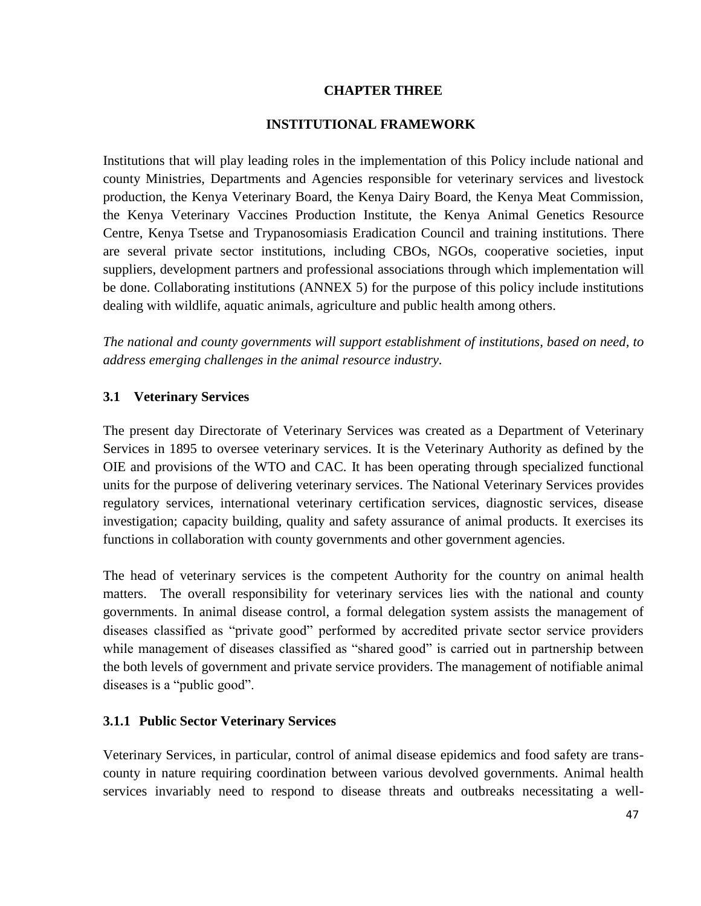### **CHAPTER THREE**

#### **INSTITUTIONAL FRAMEWORK**

<span id="page-46-1"></span><span id="page-46-0"></span>Institutions that will play leading roles in the implementation of this Policy include national and county Ministries, Departments and Agencies responsible for veterinary services and livestock production, the Kenya Veterinary Board, the Kenya Dairy Board, the Kenya Meat Commission, the Kenya Veterinary Vaccines Production Institute, the Kenya Animal Genetics Resource Centre, Kenya Tsetse and Trypanosomiasis Eradication Council and training institutions. There are several private sector institutions, including CBOs, NGOs, cooperative societies, input suppliers, development partners and professional associations through which implementation will be done. Collaborating institutions (ANNEX 5) for the purpose of this policy include institutions dealing with wildlife, aquatic animals, agriculture and public health among others.

*The national and county governments will support establishment of institutions, based on need, to address emerging challenges in the animal resource industry.* 

#### <span id="page-46-2"></span>**3.1 Veterinary Services**

The present day Directorate of Veterinary Services was created as a Department of Veterinary Services in 1895 to oversee veterinary services. It is the Veterinary Authority as defined by the OIE and provisions of the WTO and CAC. It has been operating through specialized functional units for the purpose of delivering veterinary services. The National Veterinary Services provides regulatory services, international veterinary certification services, diagnostic services, disease investigation; capacity building, quality and safety assurance of animal products. It exercises its functions in collaboration with county governments and other government agencies.

The head of veterinary services is the competent Authority for the country on animal health matters. The overall responsibility for veterinary services lies with the national and county governments. In animal disease control, a formal delegation system assists the management of diseases classified as "private good" performed by accredited private sector service providers while management of diseases classified as "shared good" is carried out in partnership between the both levels of government and private service providers. The management of notifiable animal diseases is a "public good".

#### <span id="page-46-3"></span>**3.1.1 Public Sector Veterinary Services**

Veterinary Services, in particular, control of animal disease epidemics and food safety are transcounty in nature requiring coordination between various devolved governments. Animal health services invariably need to respond to disease threats and outbreaks necessitating a well-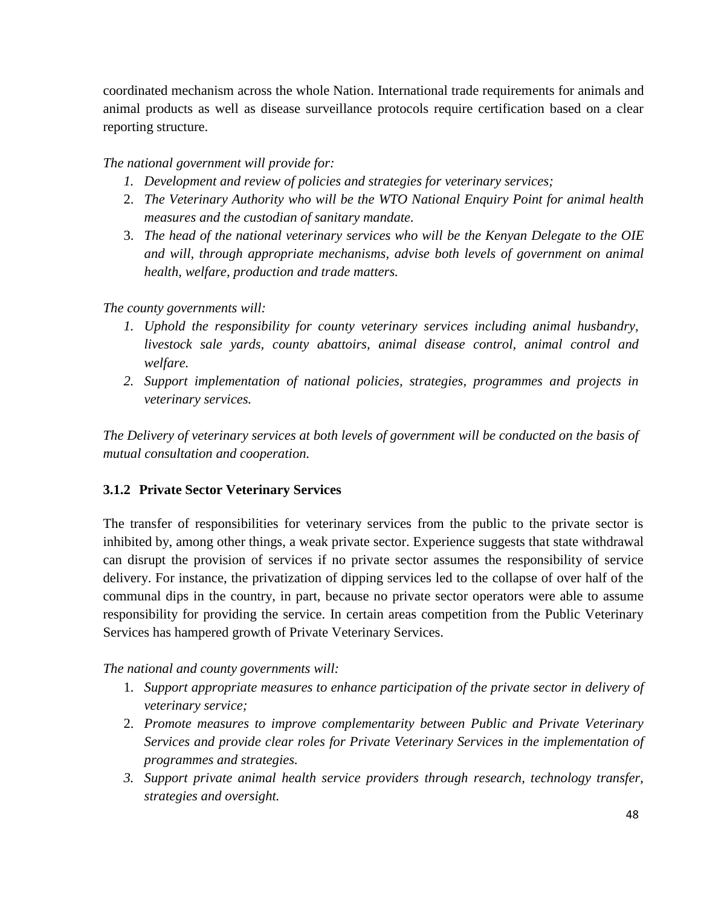coordinated mechanism across the whole Nation. International trade requirements for animals and animal products as well as disease surveillance protocols require certification based on a clear reporting structure.

*The national government will provide for:*

- *1. Development and review of policies and strategies for veterinary services;*
- 2. *The Veterinary Authority who will be the WTO National Enquiry Point for animal health measures and the custodian of sanitary mandate.*
- 3. *The head of the national veterinary services who will be the Kenyan Delegate to the OIE and will, through appropriate mechanisms, advise both levels of government on animal health, welfare, production and trade matters.*

# *The county governments will:*

- *1. Uphold the responsibility for county veterinary services including animal husbandry, livestock sale yards, county abattoirs, animal disease control, animal control and welfare.*
- *2. Support implementation of national policies, strategies, programmes and projects in veterinary services.*

*The Delivery of veterinary services at both levels of government will be conducted on the basis of mutual consultation and cooperation.* 

# <span id="page-47-0"></span>**3.1.2 Private Sector Veterinary Services**

The transfer of responsibilities for veterinary services from the public to the private sector is inhibited by, among other things, a weak private sector. Experience suggests that state withdrawal can disrupt the provision of services if no private sector assumes the responsibility of service delivery. For instance, the privatization of dipping services led to the collapse of over half of the communal dips in the country, in part, because no private sector operators were able to assume responsibility for providing the service. In certain areas competition from the Public Veterinary Services has hampered growth of Private Veterinary Services.

*The national and county governments will:*

- 1. *Support appropriate measures to enhance participation of the private sector in delivery of veterinary service;*
- 2. *Promote measures to improve complementarity between Public and Private Veterinary Services and provide clear roles for Private Veterinary Services in the implementation of programmes and strategies.*
- *3. Support private animal health service providers through research, technology transfer, strategies and oversight.*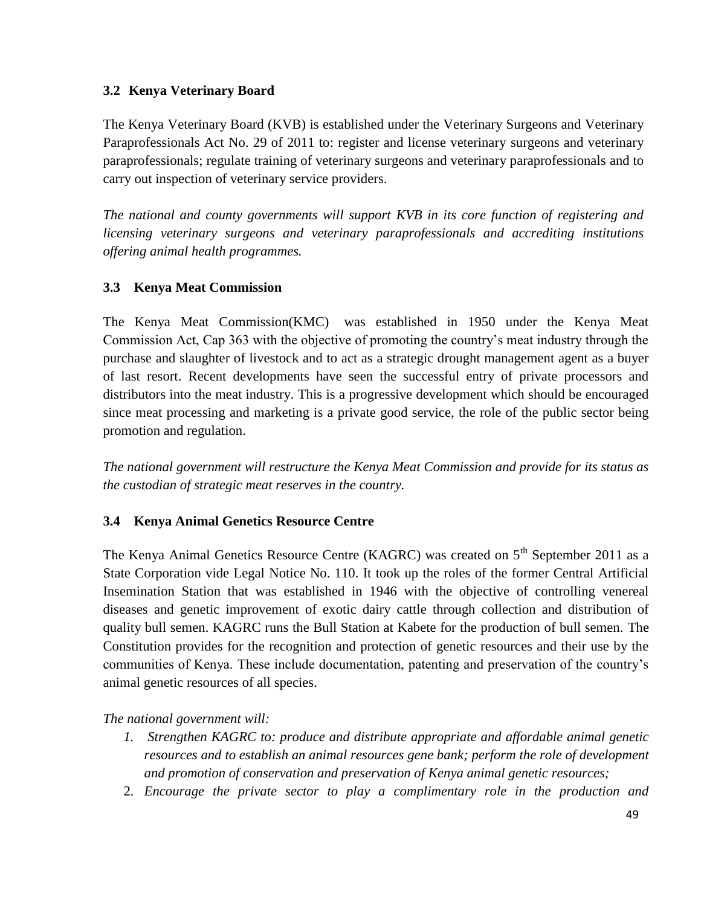# <span id="page-48-0"></span>**3.2 Kenya Veterinary Board**

The Kenya Veterinary Board (KVB) is established under the Veterinary Surgeons and Veterinary Paraprofessionals Act No. 29 of 2011 to: register and license veterinary surgeons and veterinary paraprofessionals; regulate training of veterinary surgeons and veterinary paraprofessionals and to carry out inspection of veterinary service providers.

*The national and county governments will support KVB in its core function of registering and licensing veterinary surgeons and veterinary paraprofessionals and accrediting institutions offering animal health programmes.* 

# <span id="page-48-1"></span>**3.3 Kenya Meat Commission**

The Kenya Meat Commission(KMC) was established in 1950 under the Kenya Meat Commission Act, Cap 363 with the objective of promoting the country's meat industry through the purchase and slaughter of livestock and to act as a strategic drought management agent as a buyer of last resort. Recent developments have seen the successful entry of private processors and distributors into the meat industry. This is a progressive development which should be encouraged since meat processing and marketing is a private good service, the role of the public sector being promotion and regulation.

*The national government will restructure the Kenya Meat Commission and provide for its status as the custodian of strategic meat reserves in the country.* 

# <span id="page-48-2"></span>**3.4 Kenya Animal Genetics Resource Centre**

The Kenya Animal Genetics Resource Centre (KAGRC) was created on 5<sup>th</sup> September 2011 as a State Corporation vide Legal Notice No. 110. It took up the roles of the former Central Artificial Insemination Station that was established in 1946 with the objective of controlling venereal diseases and genetic improvement of exotic dairy cattle through collection and distribution of quality bull semen. KAGRC runs the Bull Station at Kabete for the production of bull semen. The Constitution provides for the recognition and protection of genetic resources and their use by the communities of Kenya. These include documentation, patenting and preservation of the country's animal genetic resources of all species.

*The national government will:*

- *1. Strengthen KAGRC to: produce and distribute appropriate and affordable animal genetic resources and to establish an animal resources gene bank; perform the role of development and promotion of conservation and preservation of Kenya animal genetic resources;*
- 2. *Encourage the private sector to play a complimentary role in the production and*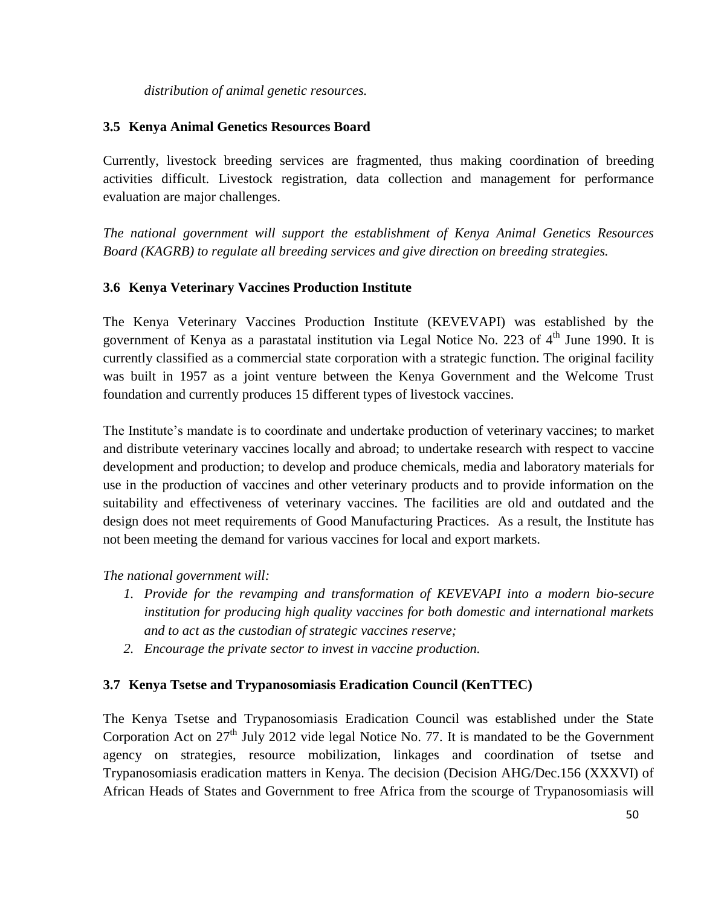*distribution of animal genetic resources.*

### <span id="page-49-0"></span>**3.5 Kenya Animal Genetics Resources Board**

Currently, livestock breeding services are fragmented, thus making coordination of breeding activities difficult. Livestock registration, data collection and management for performance evaluation are major challenges.

*The national government will support the establishment of Kenya Animal Genetics Resources Board (KAGRB) to regulate all breeding services and give direction on breeding strategies.* 

# <span id="page-49-1"></span>**3.6 Kenya Veterinary Vaccines Production Institute**

The Kenya Veterinary Vaccines Production Institute (KEVEVAPI) was established by the government of Kenya as a parastatal institution via Legal Notice No. 223 of  $4<sup>th</sup>$  June 1990. It is currently classified as a commercial state corporation with a strategic function. The original facility was built in 1957 as a joint venture between the Kenya Government and the Welcome Trust foundation and currently produces 15 different types of livestock vaccines.

The Institute's mandate is to coordinate and undertake production of veterinary vaccines; to market and distribute veterinary vaccines locally and abroad; to undertake research with respect to vaccine development and production; to develop and produce chemicals, media and laboratory materials for use in the production of vaccines and other veterinary products and to provide information on the suitability and effectiveness of veterinary vaccines. The facilities are old and outdated and the design does not meet requirements of Good Manufacturing Practices. As a result, the Institute has not been meeting the demand for various vaccines for local and export markets.

*The national government will:*

- *1. Provide for the revamping and transformation of KEVEVAPI into a modern bio-secure institution for producing high quality vaccines for both domestic and international markets and to act as the custodian of strategic vaccines reserve;*
- *2. Encourage the private sector to invest in vaccine production.*

# <span id="page-49-2"></span>**3.7 Kenya Tsetse and Trypanosomiasis Eradication Council (KenTTEC)**

The Kenya Tsetse and Trypanosomiasis Eradication Council was established under the State Corporation Act on  $27<sup>th</sup>$  July 2012 vide legal Notice No. 77. It is mandated to be the Government agency on strategies, resource mobilization, linkages and coordination of tsetse and Trypanosomiasis eradication matters in Kenya. The decision (Decision AHG/Dec.156 (XXXVI) of African Heads of States and Government to free Africa from the scourge of Trypanosomiasis will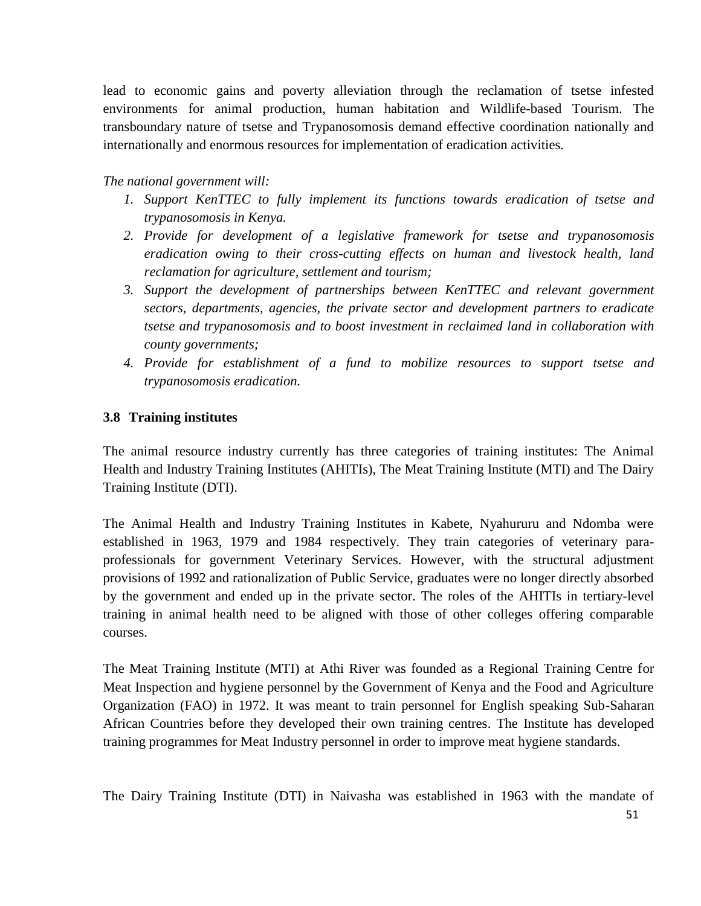lead to economic gains and poverty alleviation through the reclamation of tsetse infested environments for animal production, human habitation and Wildlife-based Tourism. The transboundary nature of tsetse and Trypanosomosis demand effective coordination nationally and internationally and enormous resources for implementation of eradication activities.

# *The national government will:*

- *1. Support KenTTEC to fully implement its functions towards eradication of tsetse and trypanosomosis in Kenya.*
- *2. Provide for development of a legislative framework for tsetse and trypanosomosis eradication owing to their cross-cutting effects on human and livestock health, land reclamation for agriculture, settlement and tourism;*
- *3. Support the development of partnerships between KenTTEC and relevant government sectors, departments, agencies, the private sector and development partners to eradicate tsetse and trypanosomosis and to boost investment in reclaimed land in collaboration with county governments;*
- *4. Provide for establishment of a fund to mobilize resources to support tsetse and trypanosomosis eradication.*

# <span id="page-50-0"></span>**3.8 Training institutes**

The animal resource industry currently has three categories of training institutes: The Animal Health and Industry Training Institutes (AHITIs), The Meat Training Institute (MTI) and The Dairy Training Institute (DTI).

The Animal Health and Industry Training Institutes in Kabete, Nyahururu and Ndomba were established in 1963, 1979 and 1984 respectively. They train categories of veterinary paraprofessionals for government Veterinary Services. However, with the structural adjustment provisions of 1992 and rationalization of Public Service, graduates were no longer directly absorbed by the government and ended up in the private sector. The roles of the AHITIs in tertiary-level training in animal health need to be aligned with those of other colleges offering comparable courses.

The Meat Training Institute (MTI) at Athi River was founded as a Regional Training Centre for Meat Inspection and hygiene personnel by the Government of Kenya and the Food and Agriculture Organization (FAO) in 1972. It was meant to train personnel for English speaking Sub-Saharan African Countries before they developed their own training centres. The Institute has developed training programmes for Meat Industry personnel in order to improve meat hygiene standards.

The Dairy Training Institute (DTI) in Naivasha was established in 1963 with the mandate of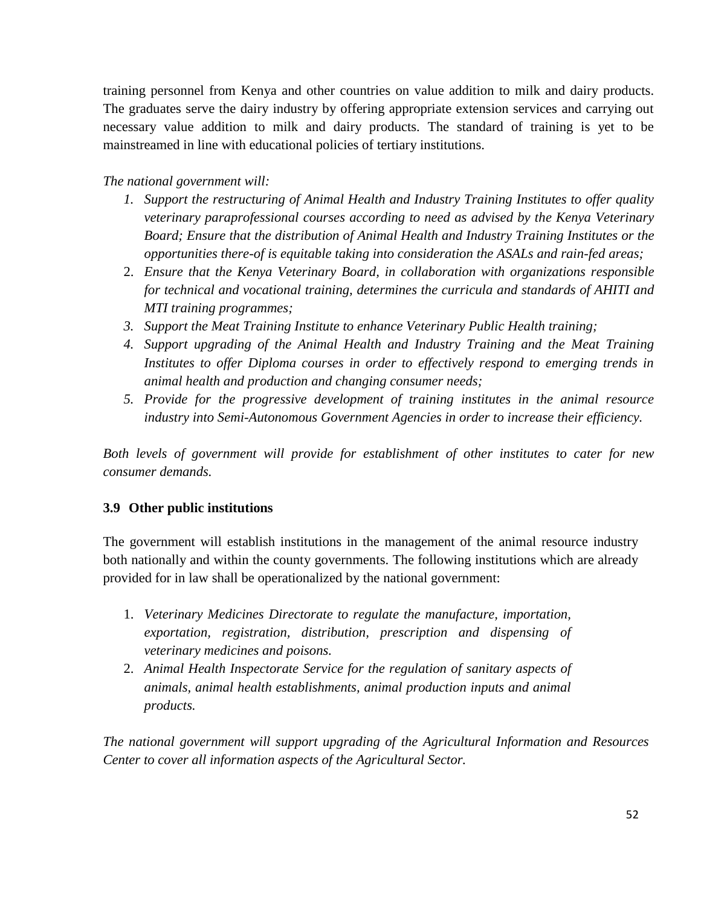training personnel from Kenya and other countries on value addition to milk and dairy products. The graduates serve the dairy industry by offering appropriate extension services and carrying out necessary value addition to milk and dairy products. The standard of training is yet to be mainstreamed in line with educational policies of tertiary institutions.

# *The national government will:*

- *1. Support the restructuring of Animal Health and Industry Training Institutes to offer quality veterinary paraprofessional courses according to need as advised by the Kenya Veterinary Board; Ensure that the distribution of Animal Health and Industry Training Institutes or the opportunities there-of is equitable taking into consideration the ASALs and rain-fed areas;*
- 2. *Ensure that the Kenya Veterinary Board, in collaboration with organizations responsible for technical and vocational training, determines the curricula and standards of AHITI and MTI training programmes;*
- *3. Support the Meat Training Institute to enhance Veterinary Public Health training;*
- *4. Support upgrading of the Animal Health and Industry Training and the Meat Training Institutes to offer Diploma courses in order to effectively respond to emerging trends in animal health and production and changing consumer needs;*
- *5. Provide for the progressive development of training institutes in the animal resource industry into Semi-Autonomous Government Agencies in order to increase their efficiency.*

*Both levels of government will provide for establishment of other institutes to cater for new consumer demands.*

# <span id="page-51-0"></span>**3.9 Other public institutions**

The government will establish institutions in the management of the animal resource industry both nationally and within the county governments. The following institutions which are already provided for in law shall be operationalized by the national government:

- 1. *Veterinary Medicines Directorate to regulate the manufacture, importation, exportation, registration, distribution, prescription and dispensing of veterinary medicines and poisons.*
- 2. *Animal Health Inspectorate Service for the regulation of sanitary aspects of animals, animal health establishments, animal production inputs and animal products.*

*The national government will support upgrading of the Agricultural Information and Resources Center to cover all information aspects of the Agricultural Sector.*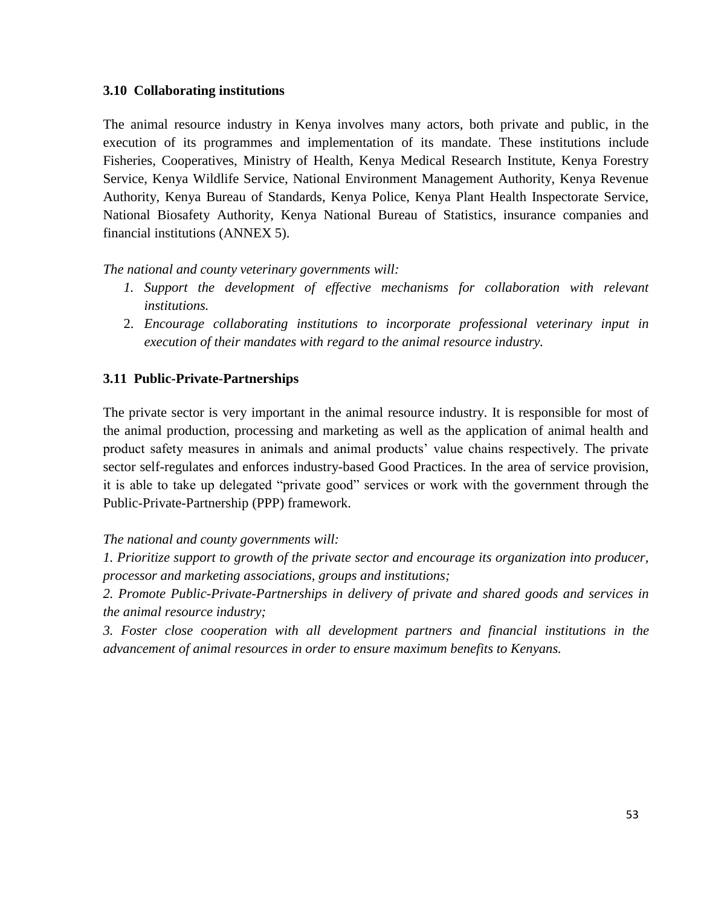# <span id="page-52-0"></span>**3.10 Collaborating institutions**

The animal resource industry in Kenya involves many actors, both private and public, in the execution of its programmes and implementation of its mandate. These institutions include Fisheries, Cooperatives, Ministry of Health, Kenya Medical Research Institute, Kenya Forestry Service, Kenya Wildlife Service, National Environment Management Authority, Kenya Revenue Authority, Kenya Bureau of Standards, Kenya Police, Kenya Plant Health Inspectorate Service, National Biosafety Authority, Kenya National Bureau of Statistics, insurance companies and financial institutions (ANNEX 5).

*The national and county veterinary governments will:*

- *1.* Support the development of effective mechanisms for collaboration with relevant *institutions.*
- 2. *Encourage collaborating institutions to incorporate professional veterinary input in execution of their mandates with regard to the animal resource industry.*

# <span id="page-52-1"></span>**3.11 Public-Private-Partnerships**

The private sector is very important in the animal resource industry. It is responsible for most of the animal production, processing and marketing as well as the application of animal health and product safety measures in animals and animal products' value chains respectively. The private sector self-regulates and enforces industry-based Good Practices. In the area of service provision, it is able to take up delegated "private good" services or work with the government through the Public-Private-Partnership (PPP) framework.

*The national and county governments will:*

*1. Prioritize support to growth of the private sector and encourage its organization into producer, processor and marketing associations, groups and institutions;*

*2. Promote Public-Private-Partnerships in delivery of private and shared goods and services in the animal resource industry;*

*3. Foster close cooperation with all development partners and financial institutions in the advancement of animal resources in order to ensure maximum benefits to Kenyans.*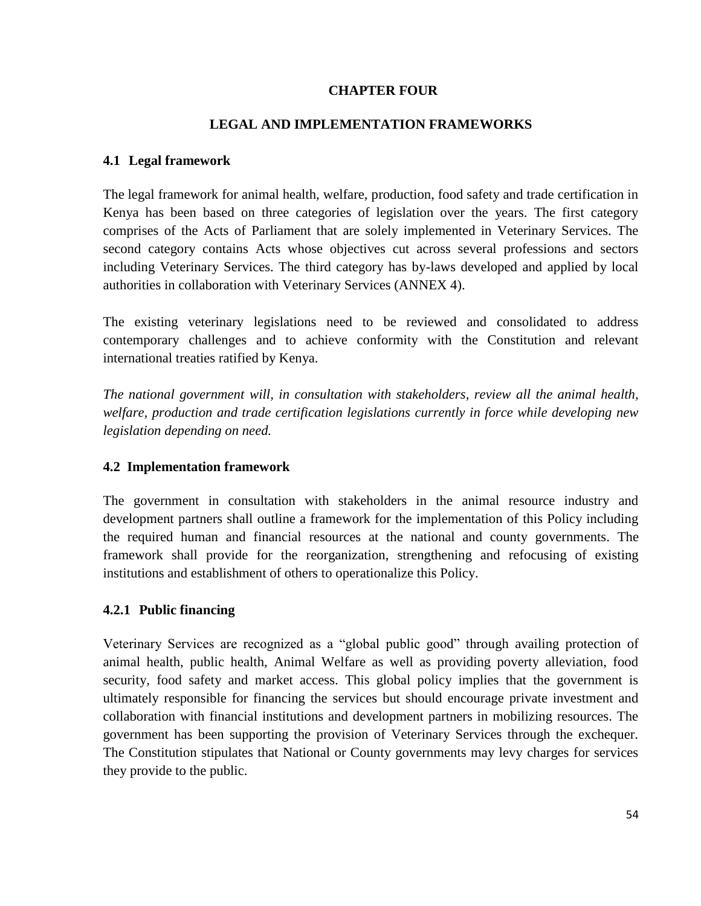### **CHAPTER FOUR**

#### **LEGAL AND IMPLEMENTATION FRAMEWORKS**

#### <span id="page-53-2"></span><span id="page-53-1"></span><span id="page-53-0"></span>**4.1 Legal framework**

The legal framework for animal health, welfare, production, food safety and trade certification in Kenya has been based on three categories of legislation over the years. The first category comprises of the Acts of Parliament that are solely implemented in Veterinary Services. The second category contains Acts whose objectives cut across several professions and sectors including Veterinary Services. The third category has by-laws developed and applied by local authorities in collaboration with Veterinary Services (ANNEX 4).

The existing veterinary legislations need to be reviewed and consolidated to address contemporary challenges and to achieve conformity with the Constitution and relevant international treaties ratified by Kenya.

*The national government will, in consultation with stakeholders, review all the animal health, welfare, production and trade certification legislations currently in force while developing new legislation depending on need.* 

#### <span id="page-53-3"></span>**4.2 Implementation framework**

The government in consultation with stakeholders in the animal resource industry and development partners shall outline a framework for the implementation of this Policy including the required human and financial resources at the national and county governments. The framework shall provide for the reorganization, strengthening and refocusing of existing institutions and establishment of others to operationalize this Policy.

# <span id="page-53-4"></span>**4.2.1 Public financing**

Veterinary Services are recognized as a "global public good" through availing protection of animal health, public health, Animal Welfare as well as providing poverty alleviation, food security, food safety and market access. This global policy implies that the government is ultimately responsible for financing the services but should encourage private investment and collaboration with financial institutions and development partners in mobilizing resources. The government has been supporting the provision of Veterinary Services through the exchequer. The Constitution stipulates that National or County governments may levy charges for services they provide to the public.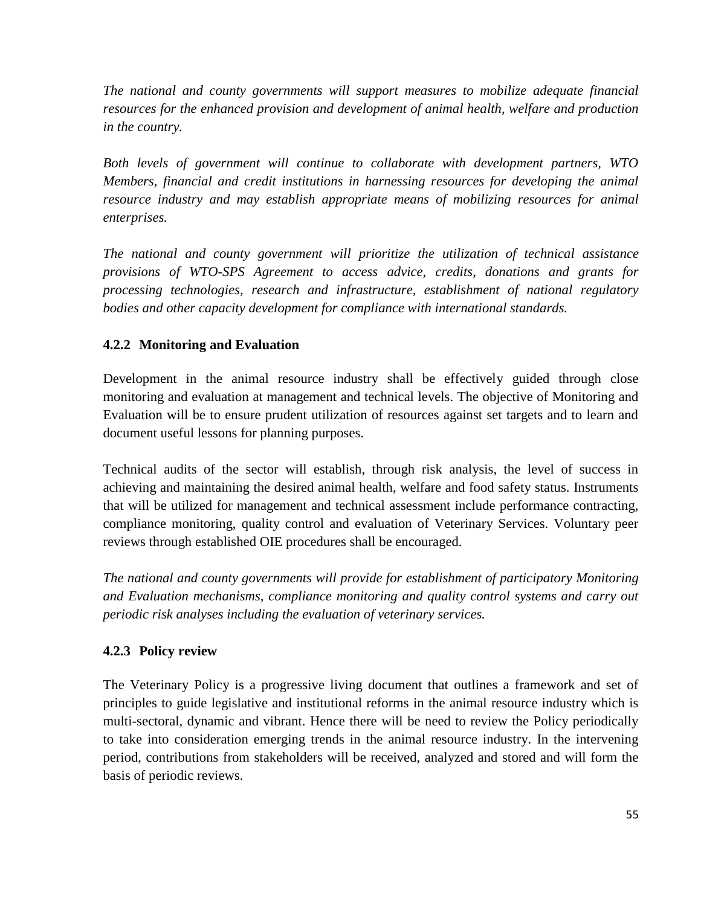*The national and county governments will support measures to mobilize adequate financial resources for the enhanced provision and development of animal health, welfare and production in the country.* 

*Both levels of government will continue to collaborate with development partners, WTO Members, financial and credit institutions in harnessing resources for developing the animal resource industry and may establish appropriate means of mobilizing resources for animal enterprises.*

*The national and county government will prioritize the utilization of technical assistance provisions of WTO-SPS Agreement to access advice, credits, donations and grants for processing technologies, research and infrastructure, establishment of national regulatory bodies and other capacity development for compliance with international standards.*

# <span id="page-54-0"></span>**4.2.2 Monitoring and Evaluation**

Development in the animal resource industry shall be effectively guided through close monitoring and evaluation at management and technical levels. The objective of Monitoring and Evaluation will be to ensure prudent utilization of resources against set targets and to learn and document useful lessons for planning purposes.

Technical audits of the sector will establish, through risk analysis, the level of success in achieving and maintaining the desired animal health, welfare and food safety status. Instruments that will be utilized for management and technical assessment include performance contracting, compliance monitoring, quality control and evaluation of Veterinary Services. Voluntary peer reviews through established OIE procedures shall be encouraged.

*The national and county governments will provide for establishment of participatory Monitoring and Evaluation mechanisms, compliance monitoring and quality control systems and carry out periodic risk analyses including the evaluation of veterinary services.* 

# <span id="page-54-1"></span>**4.2.3 Policy review**

The Veterinary Policy is a progressive living document that outlines a framework and set of principles to guide legislative and institutional reforms in the animal resource industry which is multi-sectoral, dynamic and vibrant. Hence there will be need to review the Policy periodically to take into consideration emerging trends in the animal resource industry. In the intervening period, contributions from stakeholders will be received, analyzed and stored and will form the basis of periodic reviews.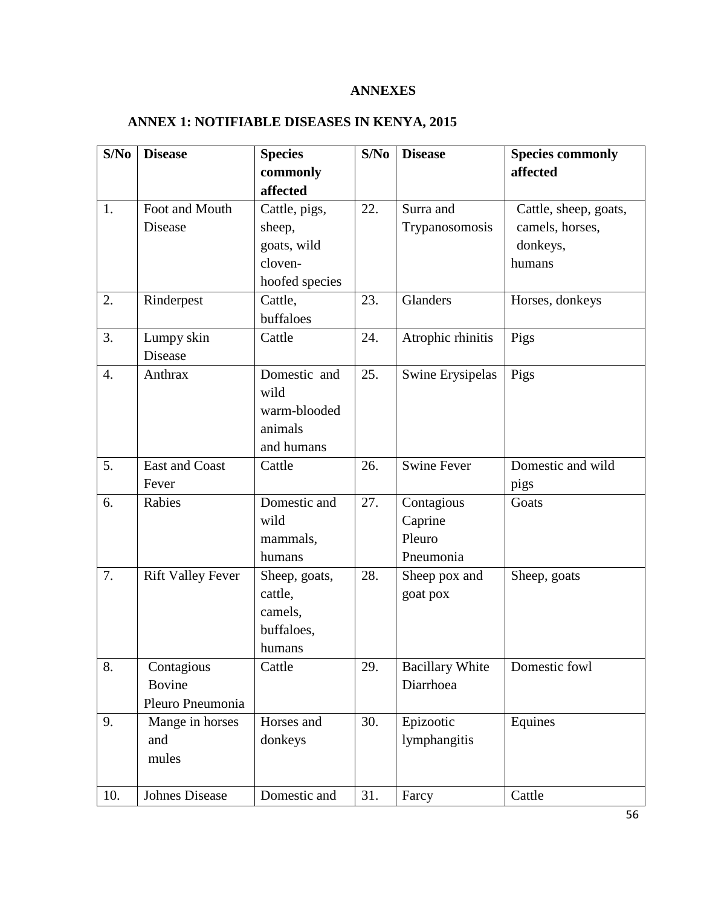# **ANNEXES**

# <span id="page-55-0"></span>**ANNEX 1: NOTIFIABLE DISEASES IN KENYA, 2015**

| S/No | <b>Disease</b>           | <b>Species</b> | S/No | <b>Disease</b>         | <b>Species commonly</b> |
|------|--------------------------|----------------|------|------------------------|-------------------------|
|      |                          | commonly       |      |                        | affected                |
|      |                          | affected       |      |                        |                         |
| 1.   | Foot and Mouth           | Cattle, pigs,  | 22.  | Surra and              | Cattle, sheep, goats,   |
|      | Disease                  | sheep,         |      | Trypanosomosis         | camels, horses,         |
|      |                          | goats, wild    |      |                        | donkeys,                |
|      |                          | cloven-        |      |                        | humans                  |
|      |                          | hoofed species |      |                        |                         |
| 2.   | Rinderpest               | Cattle,        | 23.  | Glanders               | Horses, donkeys         |
|      |                          | buffaloes      |      |                        |                         |
| 3.   | Lumpy skin               | Cattle         | 24.  | Atrophic rhinitis      | Pigs                    |
|      | Disease                  |                |      |                        |                         |
| 4.   | Anthrax                  | Domestic and   | 25.  | Swine Erysipelas       | Pigs                    |
|      |                          | wild           |      |                        |                         |
|      |                          | warm-blooded   |      |                        |                         |
|      |                          | animals        |      |                        |                         |
|      |                          | and humans     |      |                        |                         |
| 5.   | East and Coast           | Cattle         | 26.  | <b>Swine Fever</b>     | Domestic and wild       |
|      | Fever                    |                |      |                        | pigs                    |
| 6.   | Rabies                   | Domestic and   | 27.  | Contagious             | Goats                   |
|      |                          | wild           |      | Caprine                |                         |
|      |                          | mammals,       |      | Pleuro                 |                         |
|      |                          | humans         |      | Pneumonia              |                         |
| 7.   | <b>Rift Valley Fever</b> | Sheep, goats,  | 28.  | Sheep pox and          | Sheep, goats            |
|      |                          | cattle,        |      | goat pox               |                         |
|      |                          | camels,        |      |                        |                         |
|      |                          | buffaloes,     |      |                        |                         |
|      |                          | humans         |      |                        |                         |
| 8.   | Contagious               | Cattle         | 29.  | <b>Bacillary White</b> | Domestic fowl           |
|      | <b>Bovine</b>            |                |      | Diarrhoea              |                         |
|      | Pleuro Pneumonia         |                |      |                        |                         |
| 9.   | Mange in horses          | Horses and     | 30.  | Epizootic              | Equines                 |
|      | and                      | donkeys        |      | lymphangitis           |                         |
|      | mules                    |                |      |                        |                         |
|      |                          |                |      |                        |                         |
| 10.  | Johnes Disease           | Domestic and   | 31.  | Farcy                  | Cattle                  |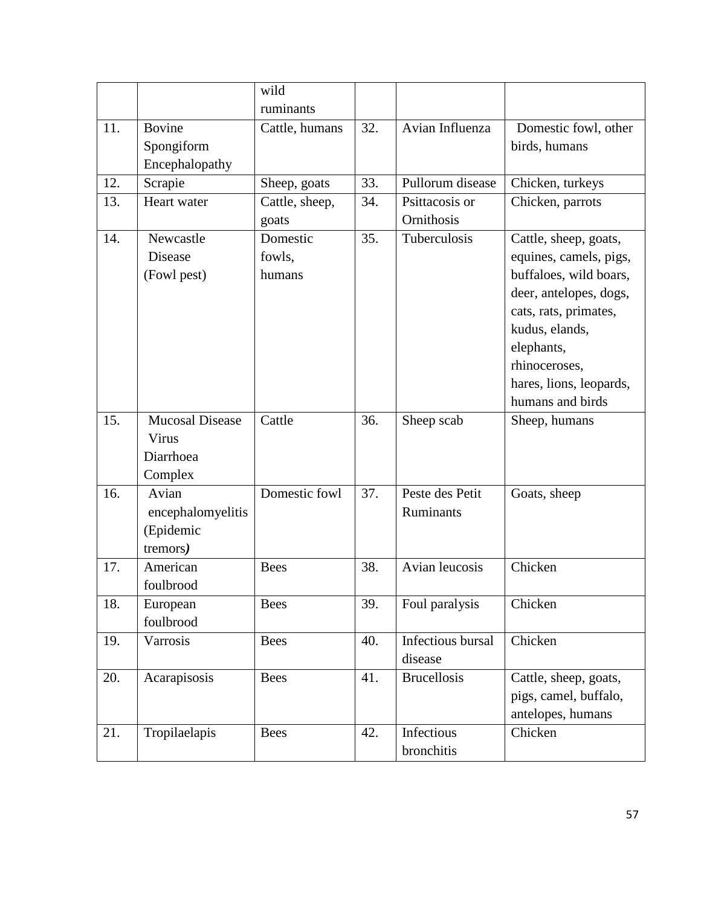|     |                        | wild           |     |                    |                         |
|-----|------------------------|----------------|-----|--------------------|-------------------------|
|     |                        | ruminants      |     |                    |                         |
| 11. | <b>Bovine</b>          | Cattle, humans | 32. | Avian Influenza    | Domestic fowl, other    |
|     | Spongiform             |                |     |                    | birds, humans           |
|     | Encephalopathy         |                |     |                    |                         |
| 12. | Scrapie                | Sheep, goats   | 33. | Pullorum disease   | Chicken, turkeys        |
| 13. | Heart water            | Cattle, sheep, | 34. | Psittacosis or     | Chicken, parrots        |
|     |                        | goats          |     | Ornithosis         |                         |
| 14. | Newcastle              | Domestic       | 35. | Tuberculosis       | Cattle, sheep, goats,   |
|     | Disease                | fowls,         |     |                    | equines, camels, pigs,  |
|     | (Fowl pest)            | humans         |     |                    | buffaloes, wild boars,  |
|     |                        |                |     |                    | deer, antelopes, dogs,  |
|     |                        |                |     |                    | cats, rats, primates,   |
|     |                        |                |     |                    | kudus, elands,          |
|     |                        |                |     |                    | elephants,              |
|     |                        |                |     |                    | rhinoceroses,           |
|     |                        |                |     |                    | hares, lions, leopards, |
|     |                        |                |     |                    | humans and birds        |
| 15. | <b>Mucosal Disease</b> | Cattle         | 36. | Sheep scab         | Sheep, humans           |
|     | Virus                  |                |     |                    |                         |
|     | Diarrhoea              |                |     |                    |                         |
|     | Complex                |                |     |                    |                         |
| 16. | Avian                  | Domestic fowl  | 37. | Peste des Petit    | Goats, sheep            |
|     | encephalomyelitis      |                |     | Ruminants          |                         |
|     | (Epidemic              |                |     |                    |                         |
|     | tremors)               |                |     |                    |                         |
| 17. | American               | <b>Bees</b>    | 38. | Avian leucosis     | Chicken                 |
|     | foulbrood              |                |     |                    |                         |
| 18. | European               | <b>Bees</b>    | 39. | Foul paralysis     | Chicken                 |
|     | foulbrood              |                |     |                    |                         |
| 19. | Varrosis               | <b>Bees</b>    | 40. | Infectious bursal  | Chicken                 |
|     |                        |                |     | disease            |                         |
| 20. | Acarapisosis           | <b>Bees</b>    | 41. | <b>Brucellosis</b> | Cattle, sheep, goats,   |
|     |                        |                |     |                    | pigs, camel, buffalo,   |
|     |                        |                |     |                    | antelopes, humans       |
| 21. | Tropilaelapis          | <b>Bees</b>    | 42. | Infectious         | Chicken                 |
|     |                        |                |     | bronchitis         |                         |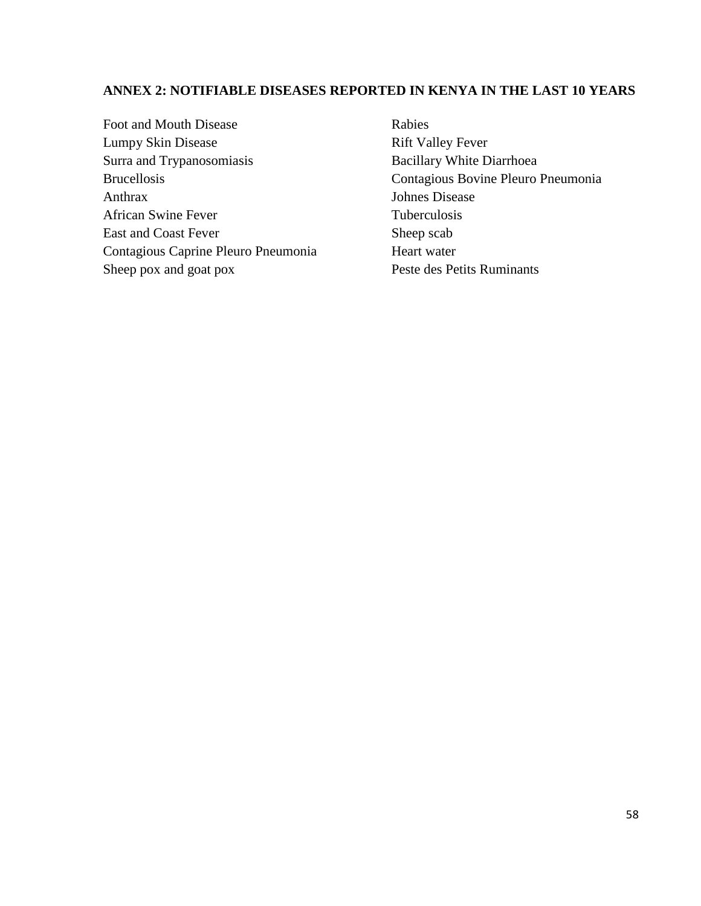# **ANNEX 2: NOTIFIABLE DISEASES REPORTED IN KENYA IN THE LAST 10 YEARS**

Foot and Mouth Disease Lumpy Skin Disease Surra and Trypanosomiasis Brucellosis Anthrax African Swine Fever East and Coast Fever Contagious Caprine Pleuro Pneumonia Sheep pox and goat pox

Rabies Rift Valley Fever Bacillary White Diarrhoea Contagious Bovine Pleuro Pneumonia Johnes Disease Tuberculosis Sheep scab Heart water Peste des Petits Ruminants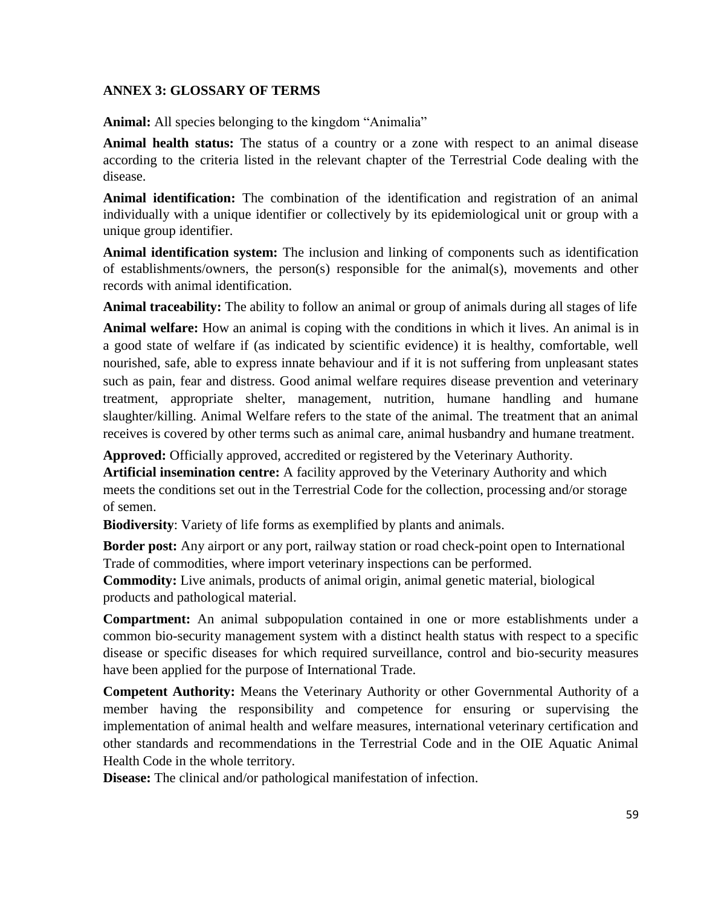#### **ANNEX 3: GLOSSARY OF TERMS**

**Animal:** All species belonging to the kingdom "Animalia"

**Animal health status:** The status of a country or a zone with respect to an animal disease according to the criteria listed in the relevant chapter of the Terrestrial Code dealing with the disease.

**Animal identification:** The combination of the identification and registration of an animal individually with a unique identifier or collectively by its epidemiological unit or group with a unique group identifier.

**Animal identification system:** The inclusion and linking of components such as identification of establishments/owners, the person(s) responsible for the animal(s), movements and other records with animal identification.

**Animal traceability:** The ability to follow an animal or group of animals during all stages of life

**Animal welfare:** How an animal is coping with the conditions in which it lives. An animal is in a good state of welfare if (as indicated by scientific evidence) it is healthy, comfortable, well nourished, safe, able to express innate behaviour and if it is not suffering from unpleasant states such as pain, fear and distress. Good animal welfare requires disease prevention and veterinary treatment, appropriate shelter, management, nutrition, humane handling and humane slaughter/killing. Animal Welfare refers to the state of the animal. The treatment that an animal receives is covered by other terms such as animal care, animal husbandry and humane treatment.

**Approved:** Officially approved, accredited or registered by the Veterinary Authority.

**Artificial insemination centre:** A facility approved by the Veterinary Authority and which meets the conditions set out in the Terrestrial Code for the collection, processing and/or storage of semen.

**Biodiversity**: Variety of life forms as exemplified by plants and animals.

**Border post:** Any airport or any port, railway station or road check-point open to International Trade of commodities, where import veterinary inspections can be performed.

**Commodity:** Live animals, products of animal origin, animal genetic material, biological products and pathological material.

**Compartment:** An animal subpopulation contained in one or more establishments under a common bio-security management system with a distinct health status with respect to a specific disease or specific diseases for which required surveillance, control and bio-security measures have been applied for the purpose of International Trade.

**Competent Authority:** Means the Veterinary Authority or other Governmental Authority of a member having the responsibility and competence for ensuring or supervising the implementation of animal health and welfare measures, international veterinary certification and other standards and recommendations in the Terrestrial Code and in the OIE Aquatic Animal Health Code in the whole territory.

**Disease:** The clinical and/or pathological manifestation of infection.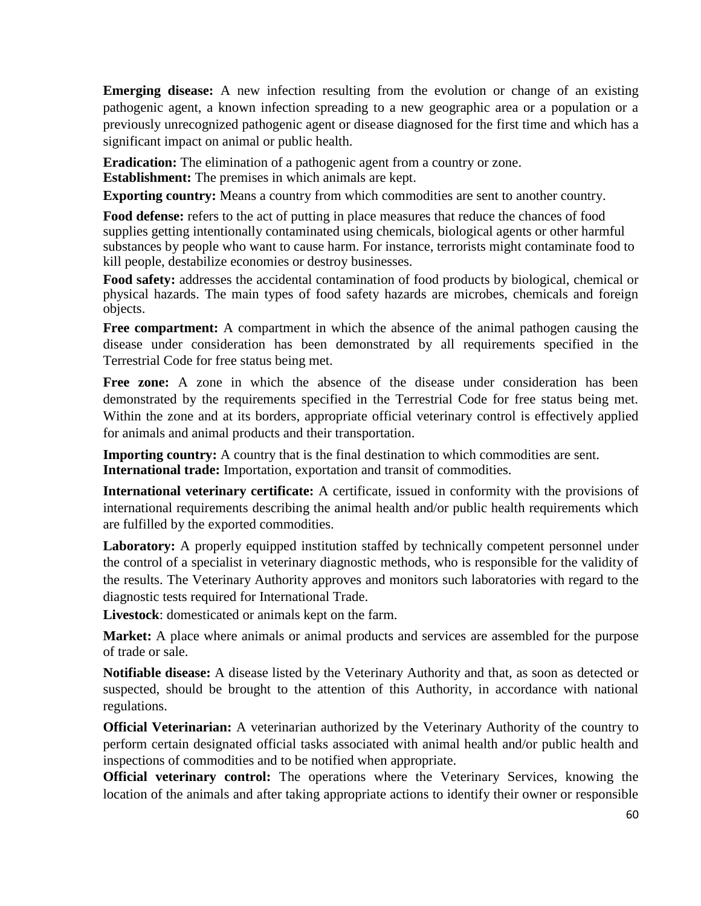**Emerging disease:** A new infection resulting from the evolution or change of an existing pathogenic agent, a known infection spreading to a new geographic area or a population or a previously unrecognized pathogenic agent or disease diagnosed for the first time and which has a significant impact on animal or public health.

**Eradication:** The elimination of a pathogenic agent from a country or zone.

**Establishment:** The premises in which animals are kept.

**Exporting country:** Means a country from which commodities are sent to another country.

**Food defense:** refers to the act of putting in place measures that reduce the chances of food supplies getting intentionally contaminated using chemicals, biological agents or other harmful substances by people who want to cause harm. For instance, terrorists might contaminate food to kill people, destabilize economies or destroy businesses.

**Food safety:** addresses the accidental contamination of food products by biological, chemical or physical hazards. The main types of food safety hazards are microbes, chemicals and foreign objects.

**Free compartment:** A compartment in which the absence of the animal pathogen causing the disease under consideration has been demonstrated by all requirements specified in the Terrestrial Code for free status being met.

**Free zone:** A zone in which the absence of the disease under consideration has been demonstrated by the requirements specified in the Terrestrial Code for free status being met. Within the zone and at its borders, appropriate official veterinary control is effectively applied for animals and animal products and their transportation.

**Importing country:** A country that is the final destination to which commodities are sent. **International trade:** Importation, exportation and transit of commodities.

**International veterinary certificate:** A certificate, issued in conformity with the provisions of international requirements describing the animal health and/or public health requirements which are fulfilled by the exported commodities.

**Laboratory:** A properly equipped institution staffed by technically competent personnel under the control of a specialist in veterinary diagnostic methods, who is responsible for the validity of the results. The Veterinary Authority approves and monitors such laboratories with regard to the diagnostic tests required for International Trade.

**Livestock**: domesticated or animals kept on the farm.

**Market:** A place where animals or animal products and services are assembled for the purpose of trade or sale.

**Notifiable disease:** A disease listed by the Veterinary Authority and that, as soon as detected or suspected, should be brought to the attention of this Authority, in accordance with national regulations.

**Official Veterinarian:** A veterinarian authorized by the Veterinary Authority of the country to perform certain designated official tasks associated with animal health and/or public health and inspections of commodities and to be notified when appropriate.

**Official veterinary control:** The operations where the Veterinary Services, knowing the location of the animals and after taking appropriate actions to identify their owner or responsible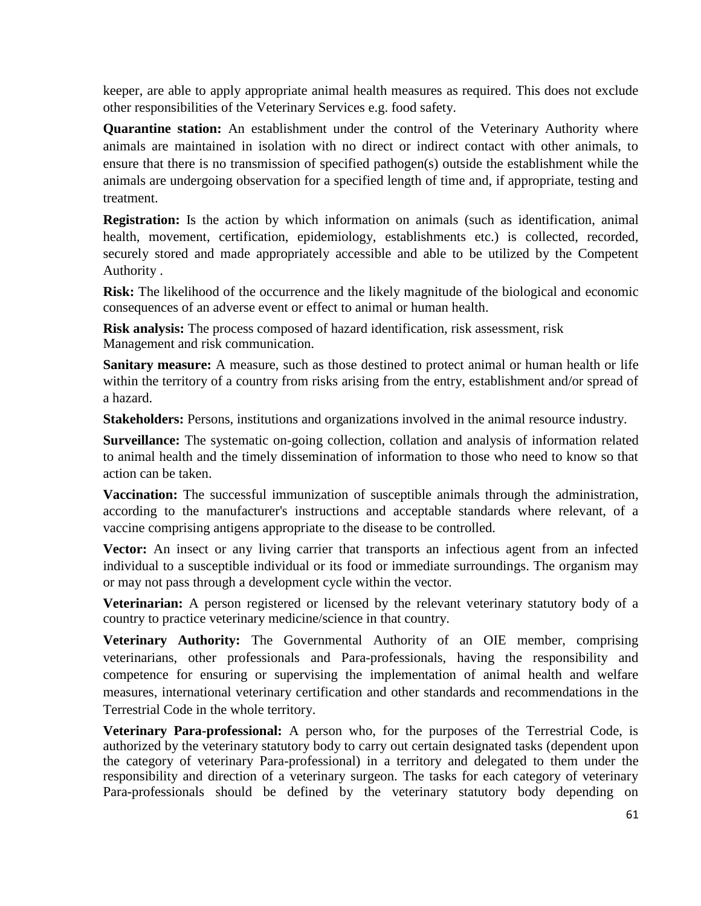keeper, are able to apply appropriate animal health measures as required. This does not exclude other responsibilities of the Veterinary Services e.g. food safety.

**Quarantine station:** An establishment under the control of the Veterinary Authority where animals are maintained in isolation with no direct or indirect contact with other animals, to ensure that there is no transmission of specified pathogen(s) outside the establishment while the animals are undergoing observation for a specified length of time and, if appropriate, testing and treatment.

**Registration:** Is the action by which information on animals (such as identification, animal health, movement, certification, epidemiology, establishments etc.) is collected, recorded, securely stored and made appropriately accessible and able to be utilized by the Competent Authority .

**Risk:** The likelihood of the occurrence and the likely magnitude of the biological and economic consequences of an adverse event or effect to animal or human health.

**Risk analysis:** The process composed of hazard identification, risk assessment, risk Management and risk communication.

**Sanitary measure:** A measure, such as those destined to protect animal or human health or life within the territory of a country from risks arising from the entry, establishment and/or spread of a hazard.

**Stakeholders:** Persons, institutions and organizations involved in the animal resource industry.

**Surveillance:** The systematic on-going collection, collation and analysis of information related to animal health and the timely dissemination of information to those who need to know so that action can be taken.

**Vaccination:** The successful immunization of susceptible animals through the administration, according to the manufacturer's instructions and acceptable standards where relevant, of a vaccine comprising antigens appropriate to the disease to be controlled.

**Vector:** An insect or any living carrier that transports an infectious agent from an infected individual to a susceptible individual or its food or immediate surroundings. The organism may or may not pass through a development cycle within the vector.

**Veterinarian:** A person registered or licensed by the relevant veterinary statutory body of a country to practice veterinary medicine/science in that country.

**Veterinary Authority:** The Governmental Authority of an OIE member, comprising veterinarians, other professionals and Para-professionals, having the responsibility and competence for ensuring or supervising the implementation of animal health and welfare measures, international veterinary certification and other standards and recommendations in the Terrestrial Code in the whole territory.

**Veterinary Para-professional:** A person who, for the purposes of the Terrestrial Code, is authorized by the veterinary statutory body to carry out certain designated tasks (dependent upon the category of veterinary Para-professional) in a territory and delegated to them under the responsibility and direction of a veterinary surgeon. The tasks for each category of veterinary Para-professionals should be defined by the veterinary statutory body depending on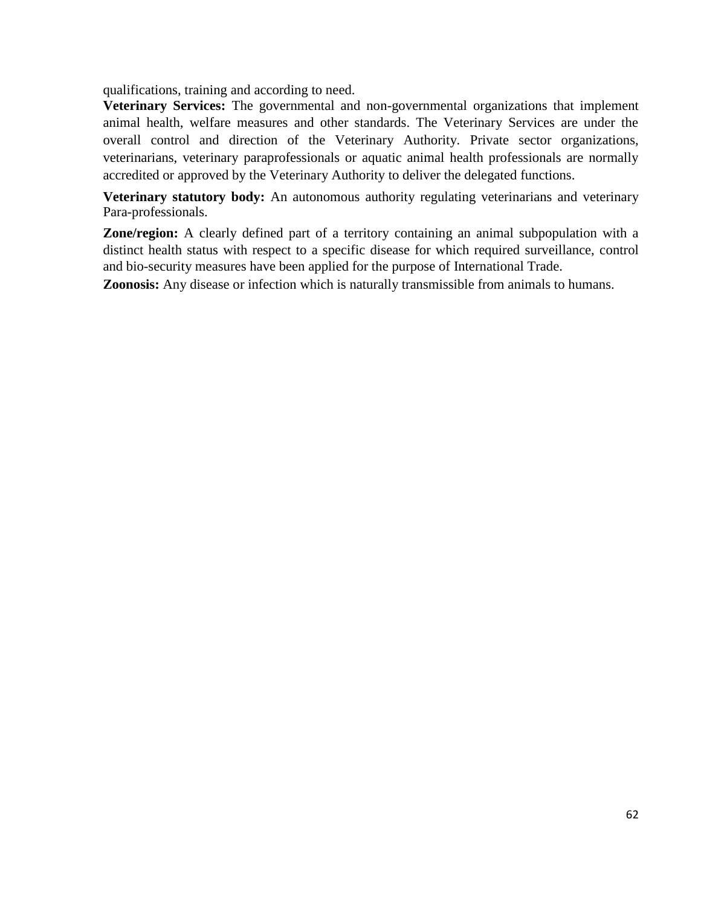qualifications, training and according to need.

**Veterinary Services:** The governmental and non-governmental organizations that implement animal health, welfare measures and other standards. The Veterinary Services are under the overall control and direction of the Veterinary Authority. Private sector organizations, veterinarians, veterinary paraprofessionals or aquatic animal health professionals are normally accredited or approved by the Veterinary Authority to deliver the delegated functions.

**Veterinary statutory body:** An autonomous authority regulating veterinarians and veterinary Para-professionals.

**Zone/region:** A clearly defined part of a territory containing an animal subpopulation with a distinct health status with respect to a specific disease for which required surveillance, control and bio-security measures have been applied for the purpose of International Trade.

**Zoonosis:** Any disease or infection which is naturally transmissible from animals to humans.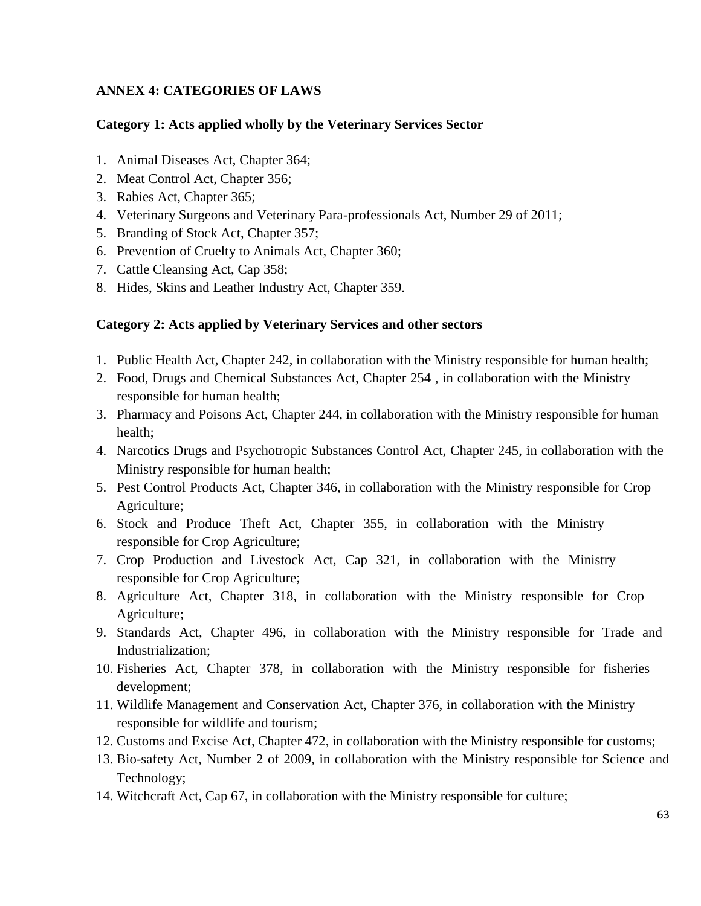# **ANNEX 4: CATEGORIES OF LAWS**

### **Category 1: Acts applied wholly by the Veterinary Services Sector**

- 1. Animal Diseases Act, Chapter 364;
- 2. Meat Control Act, Chapter 356;
- 3. Rabies Act, Chapter 365;
- 4. Veterinary Surgeons and Veterinary Para-professionals Act, Number 29 of 2011;
- 5. Branding of Stock Act, Chapter 357;
- 6. Prevention of Cruelty to Animals Act, Chapter 360;
- 7. Cattle Cleansing Act, Cap 358;
- 8. Hides, Skins and Leather Industry Act, Chapter 359.

# **Category 2: Acts applied by Veterinary Services and other sectors**

- 1. Public Health Act, Chapter 242, in collaboration with the Ministry responsible for human health;
- 2. Food, Drugs and Chemical Substances Act, Chapter 254 , in collaboration with the Ministry responsible for human health;
- 3. Pharmacy and Poisons Act, Chapter 244, in collaboration with the Ministry responsible for human health;
- 4. Narcotics Drugs and Psychotropic Substances Control Act, Chapter 245, in collaboration with the Ministry responsible for human health;
- 5. Pest Control Products Act, Chapter 346, in collaboration with the Ministry responsible for Crop Agriculture;
- 6. Stock and Produce Theft Act, Chapter 355, in collaboration with the Ministry responsible for Crop Agriculture;
- 7. Crop Production and Livestock Act, Cap 321, in collaboration with the Ministry responsible for Crop Agriculture;
- 8. Agriculture Act, Chapter 318, in collaboration with the Ministry responsible for Crop Agriculture;
- 9. Standards Act, Chapter 496, in collaboration with the Ministry responsible for Trade and Industrialization;
- 10. Fisheries Act, Chapter 378, in collaboration with the Ministry responsible for fisheries development;
- 11. Wildlife Management and Conservation Act, Chapter 376, in collaboration with the Ministry responsible for wildlife and tourism;
- 12. Customs and Excise Act, Chapter 472, in collaboration with the Ministry responsible for customs;
- 13. Bio-safety Act, Number 2 of 2009, in collaboration with the Ministry responsible for Science and Technology;
- 14. Witchcraft Act, Cap 67, in collaboration with the Ministry responsible for culture;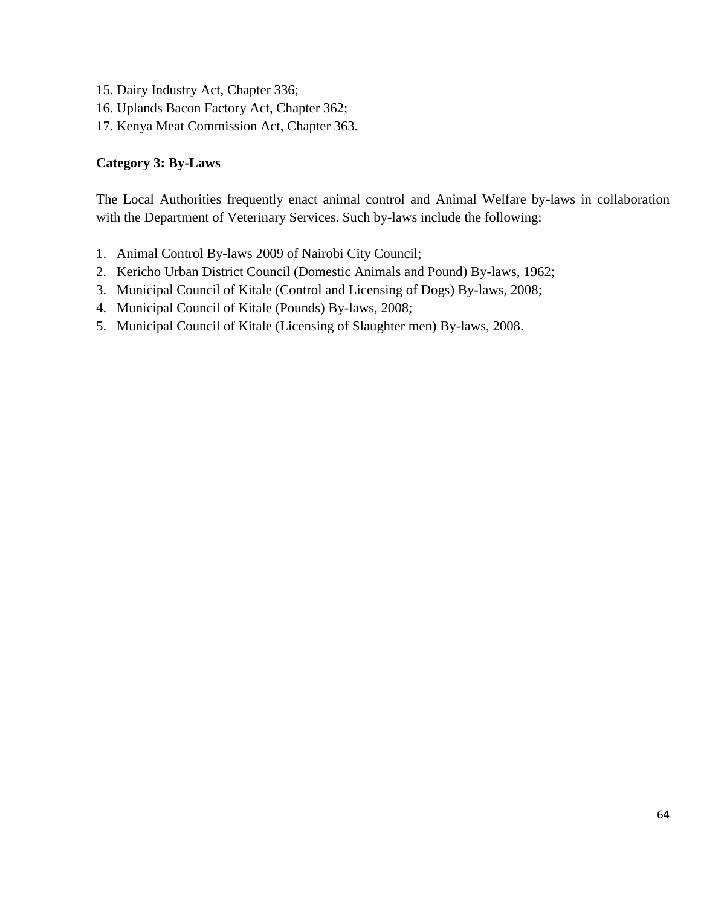- 15. Dairy Industry Act, Chapter 336;
- 16. Uplands Bacon Factory Act, Chapter 362;
- 17. Kenya Meat Commission Act, Chapter 363.

#### **Category 3: By-Laws**

The Local Authorities frequently enact animal control and Animal Welfare by-laws in collaboration with the Department of Veterinary Services. Such by-laws include the following:

- 1. Animal Control By-laws 2009 of Nairobi City Council;
- 2. Kericho Urban District Council (Domestic Animals and Pound) By-laws, 1962;
- 3. Municipal Council of Kitale (Control and Licensing of Dogs) By-laws, 2008;
- 4. Municipal Council of Kitale (Pounds) By-laws, 2008;
- 5. Municipal Council of Kitale (Licensing of Slaughter men) By-laws, 2008.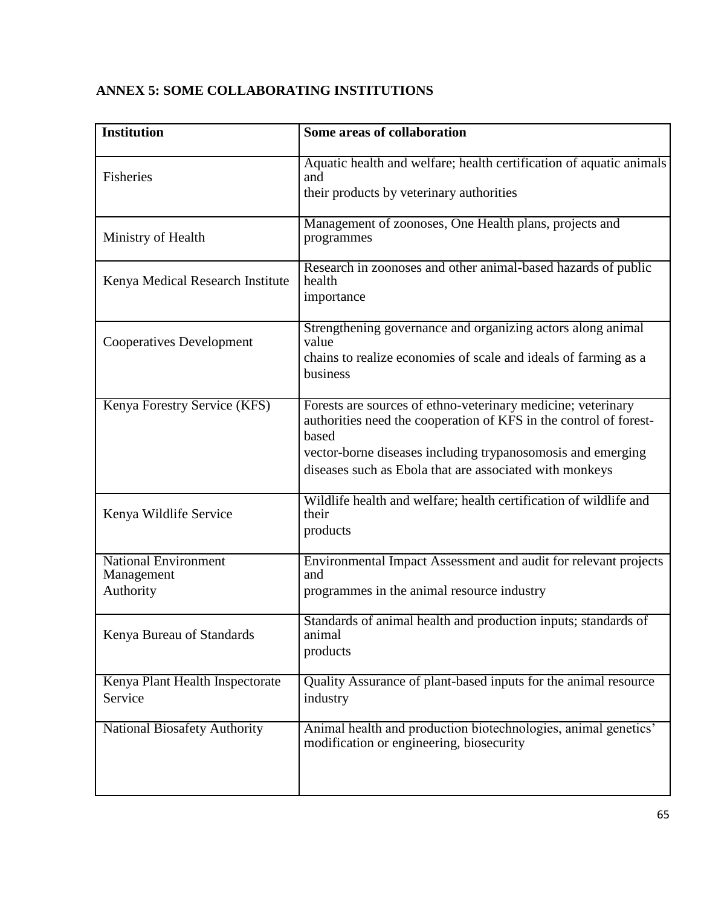| <b>Institution</b>                                     | Some areas of collaboration                                                                                                                                                                                                                                          |
|--------------------------------------------------------|----------------------------------------------------------------------------------------------------------------------------------------------------------------------------------------------------------------------------------------------------------------------|
| Fisheries                                              | Aquatic health and welfare; health certification of aquatic animals<br>and<br>their products by veterinary authorities                                                                                                                                               |
| Ministry of Health                                     | Management of zoonoses, One Health plans, projects and<br>programmes                                                                                                                                                                                                 |
| Kenya Medical Research Institute                       | Research in zoonoses and other animal-based hazards of public<br>health<br>importance                                                                                                                                                                                |
| <b>Cooperatives Development</b>                        | Strengthening governance and organizing actors along animal<br>value<br>chains to realize economies of scale and ideals of farming as a<br>business                                                                                                                  |
| Kenya Forestry Service (KFS)                           | Forests are sources of ethno-veterinary medicine; veterinary<br>authorities need the cooperation of KFS in the control of forest-<br>based<br>vector-borne diseases including trypanosomosis and emerging<br>diseases such as Ebola that are associated with monkeys |
| Kenya Wildlife Service                                 | Wildlife health and welfare; health certification of wildlife and<br>their<br>products                                                                                                                                                                               |
| <b>National Environment</b><br>Management<br>Authority | Environmental Impact Assessment and audit for relevant projects<br>and<br>programmes in the animal resource industry                                                                                                                                                 |
| Kenya Bureau of Standards                              | Standards of animal health and production inputs; standards of<br>animal<br>products                                                                                                                                                                                 |
| Kenya Plant Health Inspectorate<br>Service             | Quality Assurance of plant-based inputs for the animal resource<br>industry                                                                                                                                                                                          |
| <b>National Biosafety Authority</b>                    | Animal health and production biotechnologies, animal genetics'<br>modification or engineering, biosecurity                                                                                                                                                           |

# **ANNEX 5: SOME COLLABORATING INSTITUTIONS**